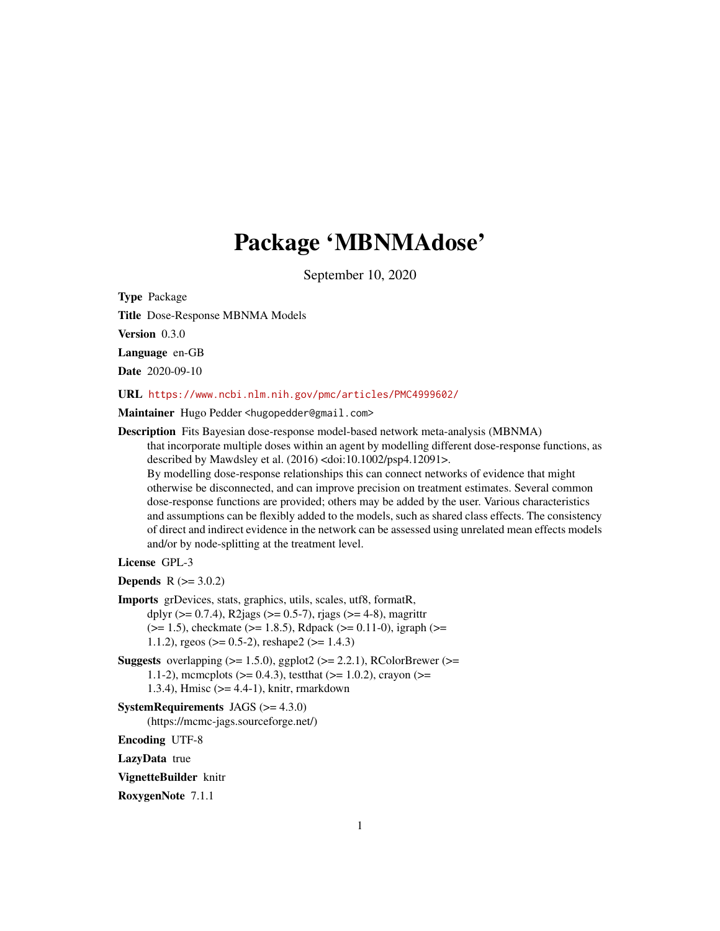# Package 'MBNMAdose'

September 10, 2020

<span id="page-0-0"></span>Type Package

Title Dose-Response MBNMA Models

Version 0.3.0

Language en-GB

Date 2020-09-10

URL <https://www.ncbi.nlm.nih.gov/pmc/articles/PMC4999602/>

Maintainer Hugo Pedder <hugopedder@gmail.com>

Description Fits Bayesian dose-response model-based network meta-analysis (MBNMA) that incorporate multiple doses within an agent by modelling different dose-response functions, as described by Mawdsley et al. (2016) <doi:10.1002/psp4.12091>. By modelling dose-response relationships this can connect networks of evidence that might otherwise be disconnected, and can improve precision on treatment estimates. Several common dose-response functions are provided; others may be added by the user. Various characteristics and assumptions can be flexibly added to the models, such as shared class effects. The consistency of direct and indirect evidence in the network can be assessed using unrelated mean effects models and/or by node-splitting at the treatment level.

# License GPL-3

**Depends**  $R (= 3.0.2)$ 

Imports grDevices, stats, graphics, utils, scales, utf8, formatR, dplyr ( $> = 0.7.4$ ), R2jags ( $> = 0.5-7$ ), rjags ( $> = 4-8$ ), magrittr  $(>= 1.5)$ , checkmate  $(>= 1.8.5)$ , Rdpack  $(>= 0.11-0)$ , igraph  $(>= 1.5)$ 

```
1.1.2), rgeos (> = 0.5-2), reshape2 (> = 1.4.3)
```
**Suggests** overlapping  $(>= 1.5.0)$ , ggplot2  $(>= 2.2.1)$ , RColorBrewer  $(>= 1.5.0)$ 1.1-2), mcmcplots ( $>= 0.4.3$ ), test that ( $>= 1.0.2$ ), crayon ( $>=$ 1.3.4), Hmisc (>= 4.4-1), knitr, rmarkdown

```
SystemRequirements JAGS (>= 4.3.0)
```
(https://mcmc-jags.sourceforge.net/)

Encoding UTF-8

LazyData true

VignetteBuilder knitr

RoxygenNote 7.1.1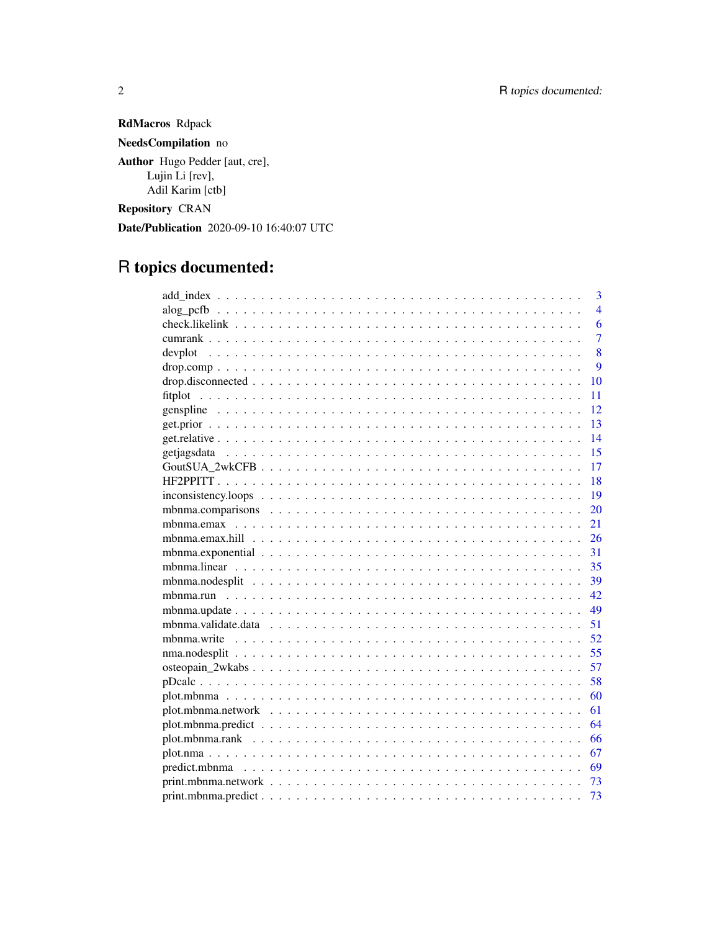RdMacros Rdpack

NeedsCompilation no

Author Hugo Pedder [aut, cre], Lujin Li [rev], Adil Karim [ctb]

Repository CRAN

Date/Publication 2020-09-10 16:40:07 UTC

# R topics documented:

|                                                                                                                             | 3              |
|-----------------------------------------------------------------------------------------------------------------------------|----------------|
|                                                                                                                             | $\overline{4}$ |
|                                                                                                                             | 6              |
|                                                                                                                             | $\overline{7}$ |
|                                                                                                                             | 8              |
|                                                                                                                             | 9              |
|                                                                                                                             | 10             |
|                                                                                                                             | 11             |
|                                                                                                                             | 12             |
|                                                                                                                             | 13             |
|                                                                                                                             | 14             |
|                                                                                                                             | 15             |
|                                                                                                                             | 17             |
|                                                                                                                             | 18             |
|                                                                                                                             | 19             |
|                                                                                                                             | 20             |
|                                                                                                                             | 21             |
|                                                                                                                             | 26             |
|                                                                                                                             | 31             |
|                                                                                                                             | 35             |
|                                                                                                                             | 39             |
|                                                                                                                             | 42             |
|                                                                                                                             | 49             |
|                                                                                                                             | 51             |
|                                                                                                                             | 52             |
|                                                                                                                             | 55             |
|                                                                                                                             | 57             |
|                                                                                                                             | 58             |
|                                                                                                                             | 60             |
|                                                                                                                             | 61             |
|                                                                                                                             | 64             |
|                                                                                                                             | 66             |
|                                                                                                                             | 67             |
|                                                                                                                             |                |
|                                                                                                                             | 73             |
| $print.mbnma.predict \dots \dots \dots \dots \dots \dots \dots \dots \dots \dots \dots \dots \dots \dots \dots \dots \dots$ | 73             |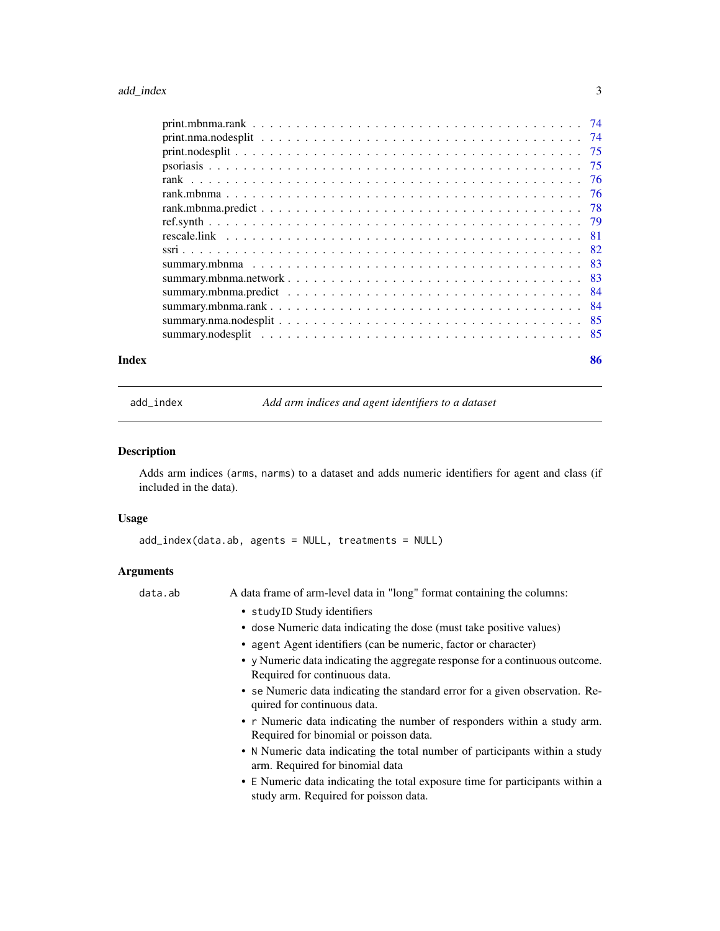#### <span id="page-2-0"></span>add\_index 3

#### **Index [86](#page-85-0). In the set of the set of the set of the set of the set of the set of the set of the set of the set of the set of the set of the set of the set of the set of the set of the set of the set of the set of the set of**

add\_index *Add arm indices and agent identifiers to a dataset*

#### Description

Adds arm indices (arms, narms) to a dataset and adds numeric identifiers for agent and class (if included in the data).

#### Usage

```
add_index(data.ab, agents = NULL, treatments = NULL)
```
#### Arguments

data.ab A data frame of arm-level data in "long" format containing the columns:

- studyID Study identifiers
- dose Numeric data indicating the dose (must take positive values)
- agent Agent identifiers (can be numeric, factor or character)
- y Numeric data indicating the aggregate response for a continuous outcome. Required for continuous data.
- se Numeric data indicating the standard error for a given observation. Required for continuous data.
- r Numeric data indicating the number of responders within a study arm. Required for binomial or poisson data.
- N Numeric data indicating the total number of participants within a study arm. Required for binomial data
- E Numeric data indicating the total exposure time for participants within a study arm. Required for poisson data.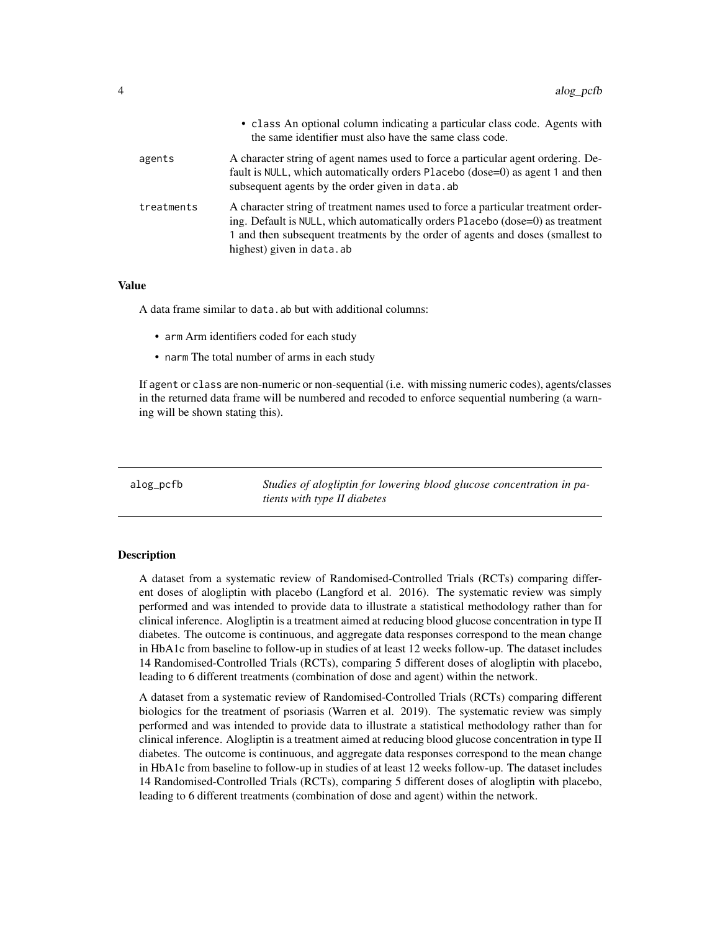<span id="page-3-0"></span>

|            | • class An optional column indicating a particular class code. Agents with<br>the same identifier must also have the same class code.                                                                                                                                              |
|------------|------------------------------------------------------------------------------------------------------------------------------------------------------------------------------------------------------------------------------------------------------------------------------------|
| agents     | A character string of agent names used to force a particular agent ordering. De-<br>fault is NULL, which automatically orders Placebo (dose=0) as agent 1 and then<br>subsequent agents by the order given in data. ab                                                             |
| treatments | A character string of treatment names used to force a particular treatment order-<br>ing. Default is NULL, which automatically orders Placebo (dose=0) as treatment<br>1 and then subsequent treatments by the order of agents and doses (smallest to<br>highest) given in data.ab |

#### Value

A data frame similar to data.ab but with additional columns:

- arm Arm identifiers coded for each study
- narm The total number of arms in each study

If agent or class are non-numeric or non-sequential (i.e. with missing numeric codes), agents/classes in the returned data frame will be numbered and recoded to enforce sequential numbering (a warning will be shown stating this).

alog\_pcfb *Studies of alogliptin for lowering blood glucose concentration in patients with type II diabetes*

# Description

A dataset from a systematic review of Randomised-Controlled Trials (RCTs) comparing different doses of alogliptin with placebo (Langford et al. 2016). The systematic review was simply performed and was intended to provide data to illustrate a statistical methodology rather than for clinical inference. Alogliptin is a treatment aimed at reducing blood glucose concentration in type II diabetes. The outcome is continuous, and aggregate data responses correspond to the mean change in HbA1c from baseline to follow-up in studies of at least 12 weeks follow-up. The dataset includes 14 Randomised-Controlled Trials (RCTs), comparing 5 different doses of alogliptin with placebo, leading to 6 different treatments (combination of dose and agent) within the network.

A dataset from a systematic review of Randomised-Controlled Trials (RCTs) comparing different biologics for the treatment of psoriasis (Warren et al. 2019). The systematic review was simply performed and was intended to provide data to illustrate a statistical methodology rather than for clinical inference. Alogliptin is a treatment aimed at reducing blood glucose concentration in type II diabetes. The outcome is continuous, and aggregate data responses correspond to the mean change in HbA1c from baseline to follow-up in studies of at least 12 weeks follow-up. The dataset includes 14 Randomised-Controlled Trials (RCTs), comparing 5 different doses of alogliptin with placebo, leading to 6 different treatments (combination of dose and agent) within the network.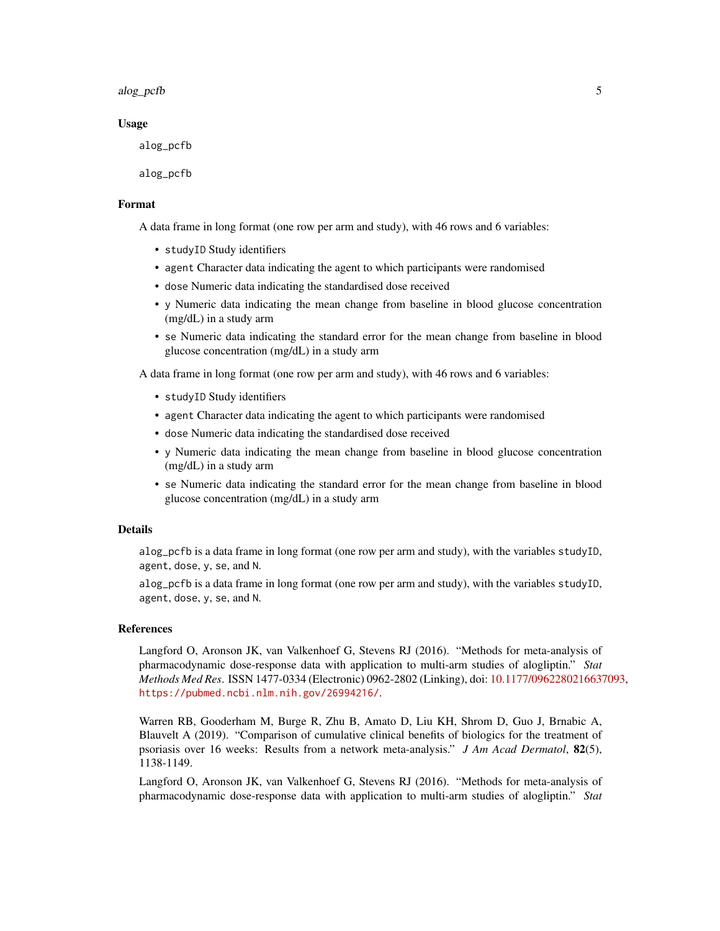alog\_pcfb 5

#### Usage

alog\_pcfb

alog\_pcfb

#### Format

A data frame in long format (one row per arm and study), with 46 rows and 6 variables:

- studyID Study identifiers
- agent Character data indicating the agent to which participants were randomised
- dose Numeric data indicating the standardised dose received
- y Numeric data indicating the mean change from baseline in blood glucose concentration (mg/dL) in a study arm
- se Numeric data indicating the standard error for the mean change from baseline in blood glucose concentration (mg/dL) in a study arm

A data frame in long format (one row per arm and study), with 46 rows and 6 variables:

- studyID Study identifiers
- agent Character data indicating the agent to which participants were randomised
- dose Numeric data indicating the standardised dose received
- y Numeric data indicating the mean change from baseline in blood glucose concentration (mg/dL) in a study arm
- se Numeric data indicating the standard error for the mean change from baseline in blood glucose concentration (mg/dL) in a study arm

# Details

alog\_pcfb is a data frame in long format (one row per arm and study), with the variables studyID, agent, dose, y, se, and N.

alog\_pcfb is a data frame in long format (one row per arm and study), with the variables studyID, agent, dose, y, se, and N.

#### References

Langford O, Aronson JK, van Valkenhoef G, Stevens RJ (2016). "Methods for meta-analysis of pharmacodynamic dose-response data with application to multi-arm studies of alogliptin." *Stat Methods Med Res*. ISSN 1477-0334 (Electronic) 0962-2802 (Linking), doi: [10.1177/0962280216637093,](https://doi.org/10.1177/0962280216637093) <https://pubmed.ncbi.nlm.nih.gov/26994216/>.

Warren RB, Gooderham M, Burge R, Zhu B, Amato D, Liu KH, Shrom D, Guo J, Brnabic A, Blauvelt A (2019). "Comparison of cumulative clinical benefits of biologics for the treatment of psoriasis over 16 weeks: Results from a network meta-analysis." *J Am Acad Dermatol*, 82(5), 1138-1149.

Langford O, Aronson JK, van Valkenhoef G, Stevens RJ (2016). "Methods for meta-analysis of pharmacodynamic dose-response data with application to multi-arm studies of alogliptin." *Stat*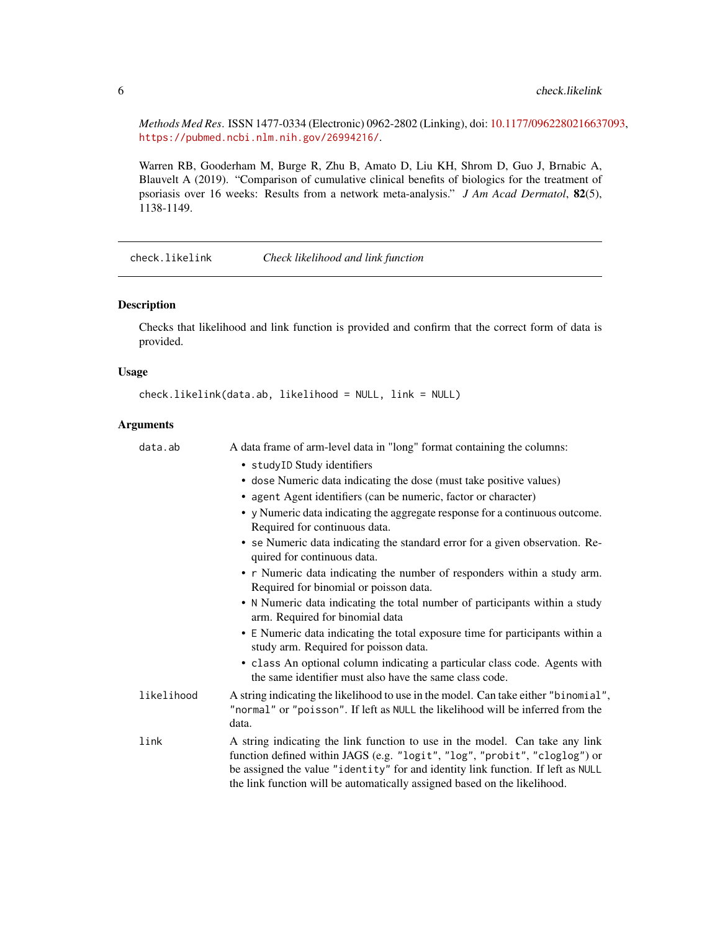*Methods Med Res*. ISSN 1477-0334 (Electronic) 0962-2802 (Linking), doi: [10.1177/0962280216637093,](https://doi.org/10.1177/0962280216637093) <https://pubmed.ncbi.nlm.nih.gov/26994216/>.

Warren RB, Gooderham M, Burge R, Zhu B, Amato D, Liu KH, Shrom D, Guo J, Brnabic A, Blauvelt A (2019). "Comparison of cumulative clinical benefits of biologics for the treatment of psoriasis over 16 weeks: Results from a network meta-analysis." *J Am Acad Dermatol*, 82(5), 1138-1149.

check.likelink *Check likelihood and link function*

# Description

Checks that likelihood and link function is provided and confirm that the correct form of data is provided.

#### Usage

```
check.likelink(data.ab, likelihood = NULL, link = NULL)
```

| data.ab    | A data frame of arm-level data in "long" format containing the columns:                                                                                                                                                                                                                                                     |
|------------|-----------------------------------------------------------------------------------------------------------------------------------------------------------------------------------------------------------------------------------------------------------------------------------------------------------------------------|
|            | • studyID Study identifiers                                                                                                                                                                                                                                                                                                 |
|            | • dose Numeric data indicating the dose (must take positive values)                                                                                                                                                                                                                                                         |
|            | • agent Agent identifiers (can be numeric, factor or character)                                                                                                                                                                                                                                                             |
|            | • y Numeric data indicating the aggregate response for a continuous outcome.<br>Required for continuous data.                                                                                                                                                                                                               |
|            | • se Numeric data indicating the standard error for a given observation. Re-<br>quired for continuous data.                                                                                                                                                                                                                 |
|            | • r Numeric data indicating the number of responders within a study arm.<br>Required for binomial or poisson data.                                                                                                                                                                                                          |
|            | • N Numeric data indicating the total number of participants within a study<br>arm. Required for binomial data                                                                                                                                                                                                              |
|            | • E Numeric data indicating the total exposure time for participants within a<br>study arm. Required for poisson data.                                                                                                                                                                                                      |
|            | • class An optional column indicating a particular class code. Agents with<br>the same identifier must also have the same class code.                                                                                                                                                                                       |
| likelihood | A string indicating the likelihood to use in the model. Can take either "binomial",<br>"normal" or "poisson". If left as NULL the likelihood will be inferred from the<br>data.                                                                                                                                             |
| link       | A string indicating the link function to use in the model. Can take any link<br>function defined within JAGS (e.g. "logit", "log", "probit", "cloglog") or<br>be assigned the value "identity" for and identity link function. If left as NULL<br>the link function will be automatically assigned based on the likelihood. |

<span id="page-5-0"></span>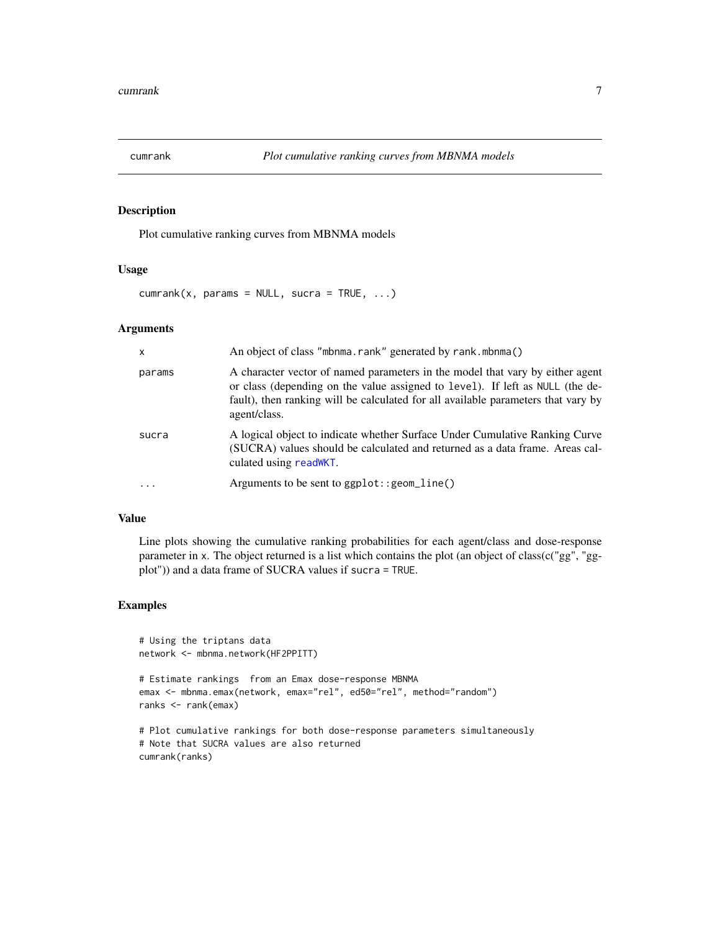<span id="page-6-0"></span>

## Description

Plot cumulative ranking curves from MBNMA models

#### Usage

 $cumrank(x, params = NULL, sur a = TRUE, ...)$ 

# Arguments

| X         | An object of class "mbnma.rank" generated by rank.mbnma()                                                                                                                                                                                                           |
|-----------|---------------------------------------------------------------------------------------------------------------------------------------------------------------------------------------------------------------------------------------------------------------------|
| params    | A character vector of named parameters in the model that vary by either agent<br>or class (depending on the value assigned to level). If left as NULL (the de-<br>fault), then ranking will be calculated for all available parameters that vary by<br>agent/class. |
| sucra     | A logical object to indicate whether Surface Under Cumulative Ranking Curve<br>(SUCRA) values should be calculated and returned as a data frame. Areas cal-<br>culated using read WKT.                                                                              |
| $\ddotsc$ | Arguments to be sent to ggplot:: geom_line()                                                                                                                                                                                                                        |

# Value

Line plots showing the cumulative ranking probabilities for each agent/class and dose-response parameter in x. The object returned is a list which contains the plot (an object of class(c("gg", "ggplot")) and a data frame of SUCRA values if sucra = TRUE.

#### Examples

```
# Using the triptans data
network <- mbnma.network(HF2PPITT)
# Estimate rankings from an Emax dose-response MBNMA
emax <- mbnma.emax(network, emax="rel", ed50="rel", method="random")
ranks <- rank(emax)
# Plot cumulative rankings for both dose-response parameters simultaneously
# Note that SUCRA values are also returned
cumrank(ranks)
```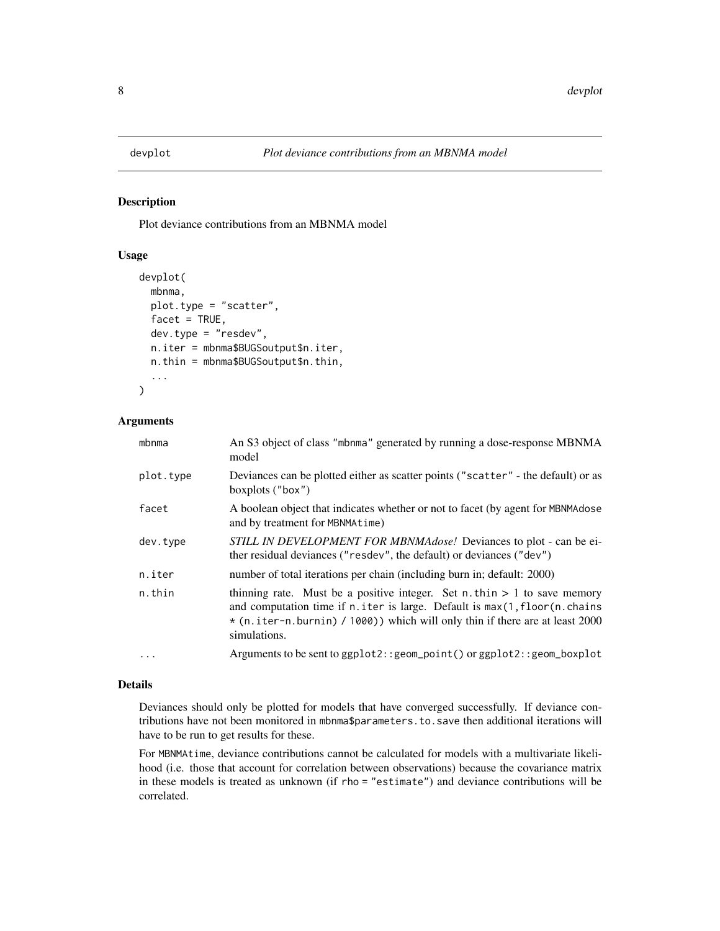<span id="page-7-0"></span>

# Description

Plot deviance contributions from an MBNMA model

#### Usage

```
devplot(
 mbnma,
 plot.type = "scatter",
  facet = TRUE,dev.type = "resdev",
  n.iter = mbnma$BUGSoutput$n.iter,
 n.thin = mbnma$BUGSoutput$n.thin,
  ...
\lambda
```
#### Arguments

| mbnma     | An S3 object of class "mbnma" generated by running a dose-response MBNMA<br>model                                                                                                                                                                        |  |  |
|-----------|----------------------------------------------------------------------------------------------------------------------------------------------------------------------------------------------------------------------------------------------------------|--|--|
| plot.type | Deviances can be plotted either as scatter points ("scatter" - the default) or as<br>boxplots ("box")                                                                                                                                                    |  |  |
| facet     | A boolean object that indicates whether or not to facet (by agent for MBNMAdose<br>and by treatment for MBNMAtime)                                                                                                                                       |  |  |
| dev.type  | STILL IN DEVELOPMENT FOR MBNMAdose! Deviances to plot - can be ei-<br>ther residual deviances ("resdev", the default) or deviances ("dev")                                                                                                               |  |  |
| n.iter    | number of total iterations per chain (including burn in; default: 2000)                                                                                                                                                                                  |  |  |
| n.thin    | thinning rate. Must be a positive integer. Set n.thin $> 1$ to save memory<br>and computation time if n. iter is large. Default is max(1,floor(n.chains)<br>* (n.iter-n.burnin) / 1000)) which will only thin if there are at least 2000<br>simulations. |  |  |
|           | Arguments to be sent to ggplot2:: geom_point() or ggplot2:: geom_boxplot                                                                                                                                                                                 |  |  |

# Details

Deviances should only be plotted for models that have converged successfully. If deviance contributions have not been monitored in mbnma\$parameters.to.save then additional iterations will have to be run to get results for these.

For MBNMAtime, deviance contributions cannot be calculated for models with a multivariate likelihood (i.e. those that account for correlation between observations) because the covariance matrix in these models is treated as unknown (if rho = "estimate") and deviance contributions will be correlated.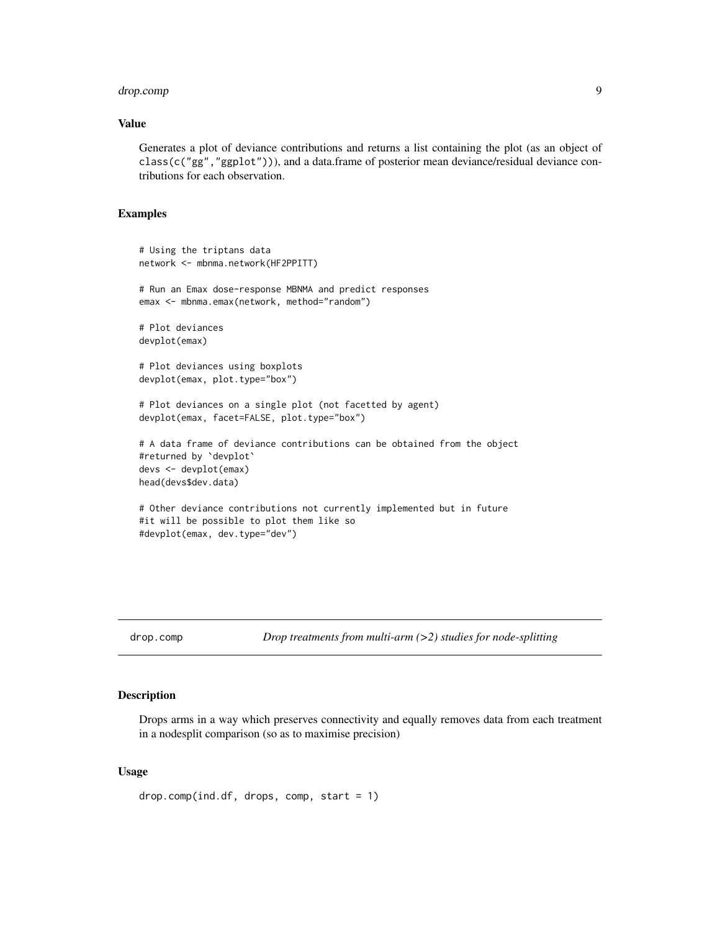# <span id="page-8-0"></span>drop.comp 9

### Value

Generates a plot of deviance contributions and returns a list containing the plot (as an object of class(c("gg","ggplot"))), and a data.frame of posterior mean deviance/residual deviance contributions for each observation.

#### Examples

```
# Using the triptans data
network <- mbnma.network(HF2PPITT)
# Run an Emax dose-response MBNMA and predict responses
emax <- mbnma.emax(network, method="random")
# Plot deviances
devplot(emax)
# Plot deviances using boxplots
devplot(emax, plot.type="box")
# Plot deviances on a single plot (not facetted by agent)
devplot(emax, facet=FALSE, plot.type="box")
# A data frame of deviance contributions can be obtained from the object
#returned by `devplot`
devs <- devplot(emax)
head(devs$dev.data)
# Other deviance contributions not currently implemented but in future
#it will be possible to plot them like so
#devplot(emax, dev.type="dev")
```

```
drop.comp Drop treatments from multi-arm (>2) studies for node-splitting
```
#### Description

Drops arms in a way which preserves connectivity and equally removes data from each treatment in a nodesplit comparison (so as to maximise precision)

#### Usage

```
drop.comp(ind.df, drops, comp, start = 1)
```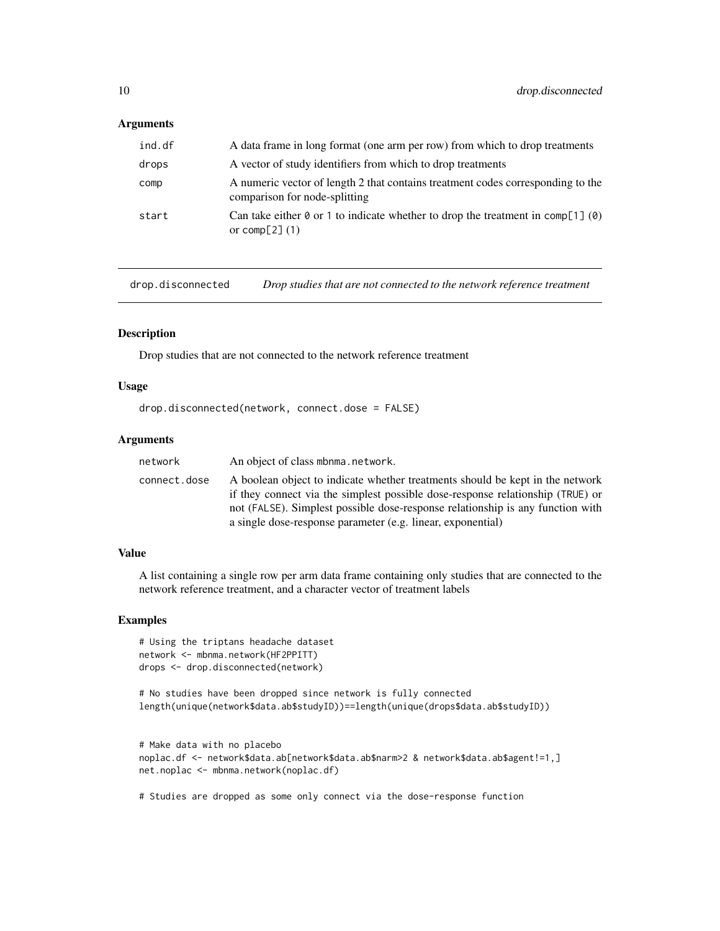#### <span id="page-9-0"></span>Arguments

| ind.df | A data frame in long format (one arm per row) from which to drop treatments                                      |
|--------|------------------------------------------------------------------------------------------------------------------|
| drops  | A vector of study identifiers from which to drop treatments                                                      |
| comp   | A numeric vector of length 2 that contains treatment codes corresponding to the<br>comparison for node-splitting |
| start  | Can take either 0 or 1 to indicate whether to drop the treatment in comp[1] (0)<br>or comp $[2]$ (1)             |

drop.disconnected *Drop studies that are not connected to the network reference treatment*

# Description

Drop studies that are not connected to the network reference treatment

# Usage

```
drop.disconnected(network, connect.dose = FALSE)
```
#### Arguments

| network      | An object of class mbnma.network.                                                                                                                                                                                                                                                                                |
|--------------|------------------------------------------------------------------------------------------------------------------------------------------------------------------------------------------------------------------------------------------------------------------------------------------------------------------|
| connect.dose | A boolean object to indicate whether treatments should be kept in the network<br>if they connect via the simplest possible dose-response relationship (TRUE) or<br>not (FALSE). Simplest possible dose-response relationship is any function with<br>a single dose-response parameter (e.g. linear, exponential) |
|              |                                                                                                                                                                                                                                                                                                                  |

# Value

A list containing a single row per arm data frame containing only studies that are connected to the network reference treatment, and a character vector of treatment labels

# Examples

```
# Using the triptans headache dataset
network <- mbnma.network(HF2PPITT)
drops <- drop.disconnected(network)
```

```
# No studies have been dropped since network is fully connected
length(unique(network$data.ab$studyID))==length(unique(drops$data.ab$studyID))
```

```
# Make data with no placebo
noplac.df <- network$data.ab[network$data.ab$narm>2 & network$data.ab$agent!=1,]
net.noplac <- mbnma.network(noplac.df)
```
# Studies are dropped as some only connect via the dose-response function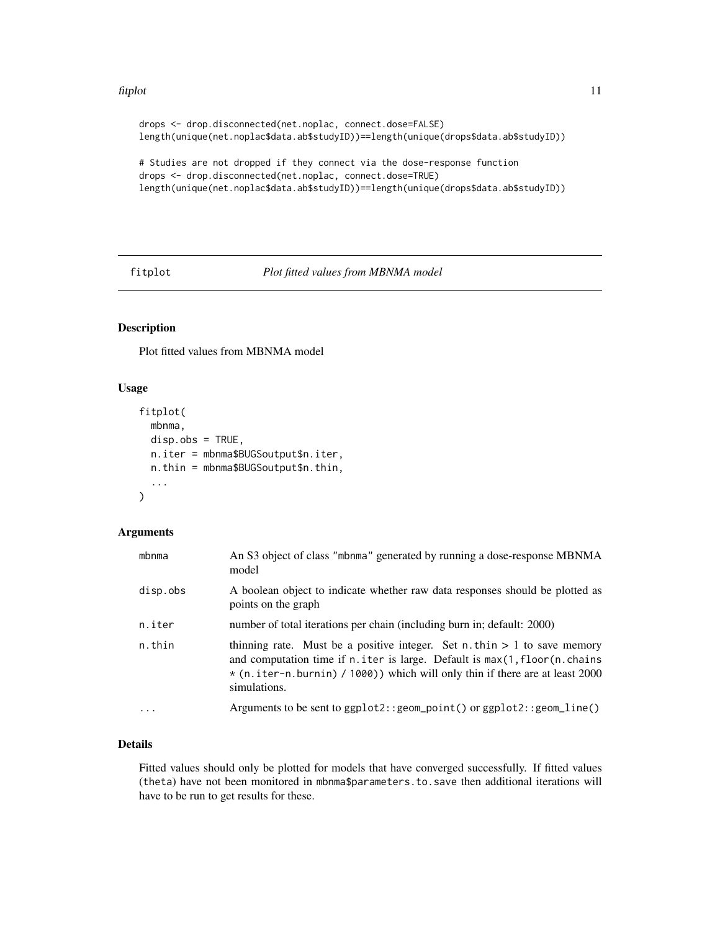#### <span id="page-10-0"></span>fitplot that the contract of the contract of the contract of the contract of the contract of the contract of the contract of the contract of the contract of the contract of the contract of the contract of the contract of t

```
drops <- drop.disconnected(net.noplac, connect.dose=FALSE)
length(unique(net.noplac$data.ab$studyID))==length(unique(drops$data.ab$studyID))
# Studies are not dropped if they connect via the dose-response function
```

```
drops <- drop.disconnected(net.noplac, connect.dose=TRUE)
length(unique(net.noplac$data.ab$studyID))==length(unique(drops$data.ab$studyID))
```
fitplot *Plot fitted values from MBNMA model*

# Description

Plot fitted values from MBNMA model

# Usage

```
fitplot(
  mbnma,
  disp.obs = TRUE,n.iter = mbnma$BUGSoutput$n.iter,
  n.thin = mbnma$BUGSoutput$n.thin,
  ...
)
```
#### Arguments

| mbnma    | An S3 object of class "mbnma" generated by running a dose-response MBNMA<br>model                                                                                                                                                                         |
|----------|-----------------------------------------------------------------------------------------------------------------------------------------------------------------------------------------------------------------------------------------------------------|
| disp.obs | A boolean object to indicate whether raw data responses should be plotted as<br>points on the graph                                                                                                                                                       |
| n.iter   | number of total iterations per chain (including burn in; default: 2000)                                                                                                                                                                                   |
| n.thin   | thinning rate. Must be a positive integer. Set n.thin $> 1$ to save memory<br>and computation time if n. iter is large. Default is max(1, floor(n. chains)<br>* (n.iter-n.burnin) / 1000) which will only thin if there are at least 2000<br>simulations. |
| $\cdot$  | Arguments to be sent to $ggplot2::geom\_point()$ or $ggplot2::geom\_line()$                                                                                                                                                                               |

# Details

Fitted values should only be plotted for models that have converged successfully. If fitted values (theta) have not been monitored in mbnma\$parameters.to.save then additional iterations will have to be run to get results for these.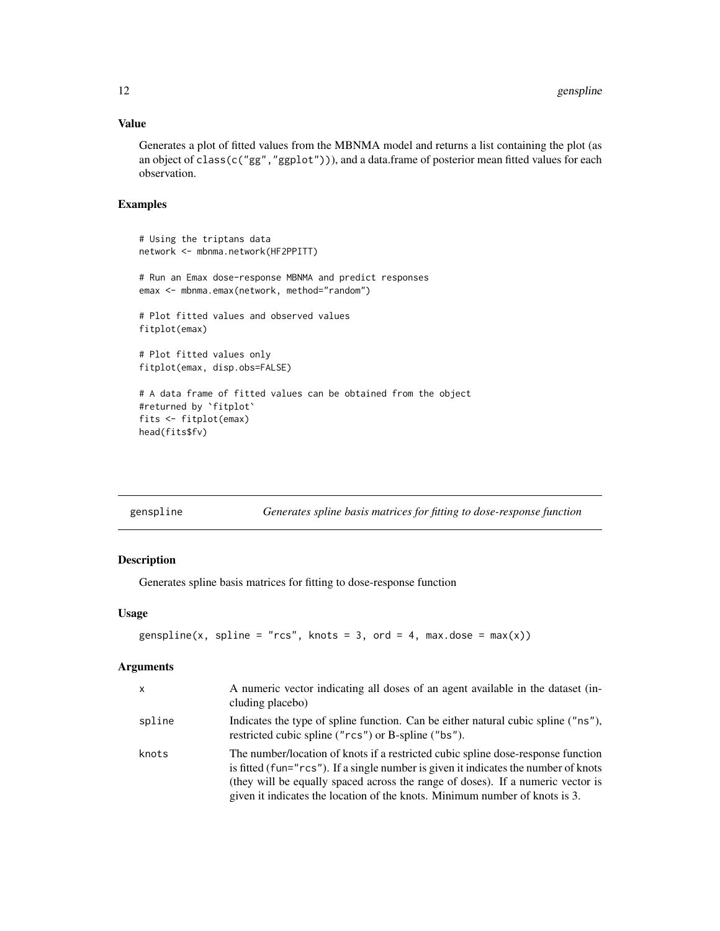# Value

Generates a plot of fitted values from the MBNMA model and returns a list containing the plot (as an object of class(c("gg","ggplot"))), and a data.frame of posterior mean fitted values for each observation.

#### Examples

```
# Using the triptans data
network <- mbnma.network(HF2PPITT)
# Run an Emax dose-response MBNMA and predict responses
emax <- mbnma.emax(network, method="random")
# Plot fitted values and observed values
fitplot(emax)
# Plot fitted values only
fitplot(emax, disp.obs=FALSE)
# A data frame of fitted values can be obtained from the object
#returned by `fitplot`
fits <- fitplot(emax)
head(fits$fv)
```

|           |  | Generates spline basis matrices for fitting to dose-response function |
|-----------|--|-----------------------------------------------------------------------|
| genspline |  |                                                                       |
|           |  |                                                                       |

# Description

Generates spline basis matrices for fitting to dose-response function

# Usage

```
genspline(x, spline = "rcs", knots = 3, ord = 4, max.dose = max(x))
```

| $\mathsf{x}$ | A numeric vector indicating all doses of an agent available in the dataset (in-<br>cluding placebo)                                                                                                                                                                                                                                       |
|--------------|-------------------------------------------------------------------------------------------------------------------------------------------------------------------------------------------------------------------------------------------------------------------------------------------------------------------------------------------|
| spline       | Indicates the type of spline function. Can be either natural cubic spline ("ns"),<br>restricted cubic spline ("rcs") or B-spline ("bs").                                                                                                                                                                                                  |
| knots        | The number/location of knots if a restricted cubic spline dose-response function<br>is fitted (fun="rcs"). If a single number is given it indicates the number of knots<br>(they will be equally spaced across the range of doses). If a numeric vector is<br>given it indicates the location of the knots. Minimum number of knots is 3. |

<span id="page-11-0"></span>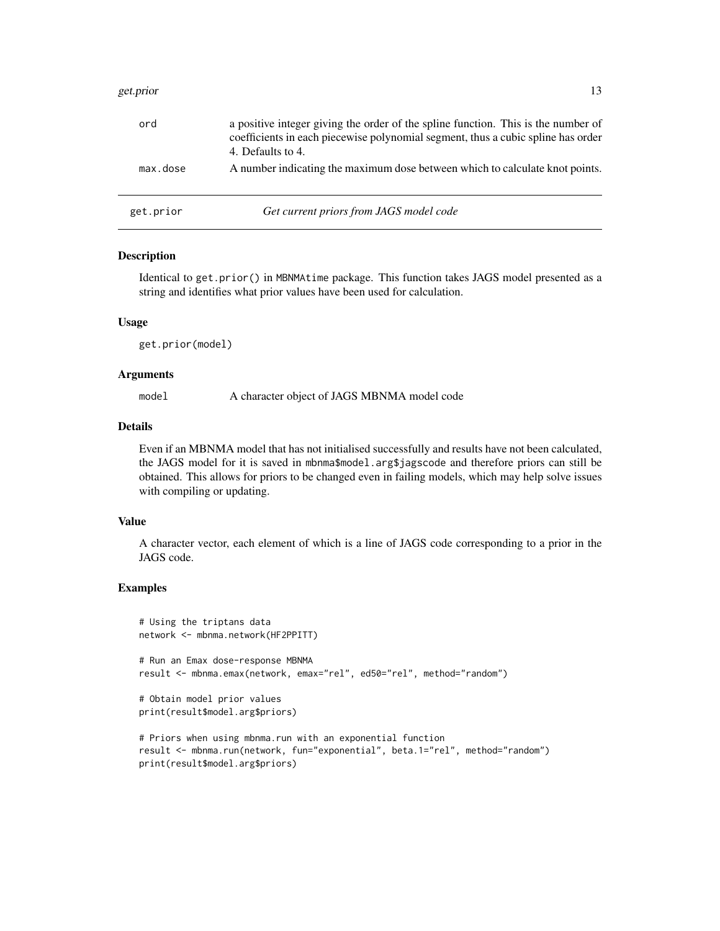#### <span id="page-12-0"></span>get.prior 13

| get.prior | Get current priors from JAGS model code                                                                                                                                                    |
|-----------|--------------------------------------------------------------------------------------------------------------------------------------------------------------------------------------------|
| max.dose  | A number indicating the maximum dose between which to calculate knot points.                                                                                                               |
| ord       | a positive integer giving the order of the spline function. This is the number of<br>coefficients in each piecewise polynomial segment, thus a cubic spline has order<br>4. Defaults to 4. |

#### Description

Identical to get.prior() in MBNMAtime package. This function takes JAGS model presented as a string and identifies what prior values have been used for calculation.

#### Usage

get.prior(model)

# Arguments

model A character object of JAGS MBNMA model code

# Details

Even if an MBNMA model that has not initialised successfully and results have not been calculated, the JAGS model for it is saved in mbnma\$model.arg\$jagscode and therefore priors can still be obtained. This allows for priors to be changed even in failing models, which may help solve issues with compiling or updating.

#### Value

A character vector, each element of which is a line of JAGS code corresponding to a prior in the JAGS code.

# Examples

```
# Using the triptans data
network <- mbnma.network(HF2PPITT)
# Run an Emax dose-response MBNMA
result <- mbnma.emax(network, emax="rel", ed50="rel", method="random")
# Obtain model prior values
print(result$model.arg$priors)
# Priors when using mbnma.run with an exponential function
result <- mbnma.run(network, fun="exponential", beta.1="rel", method="random")
print(result$model.arg$priors)
```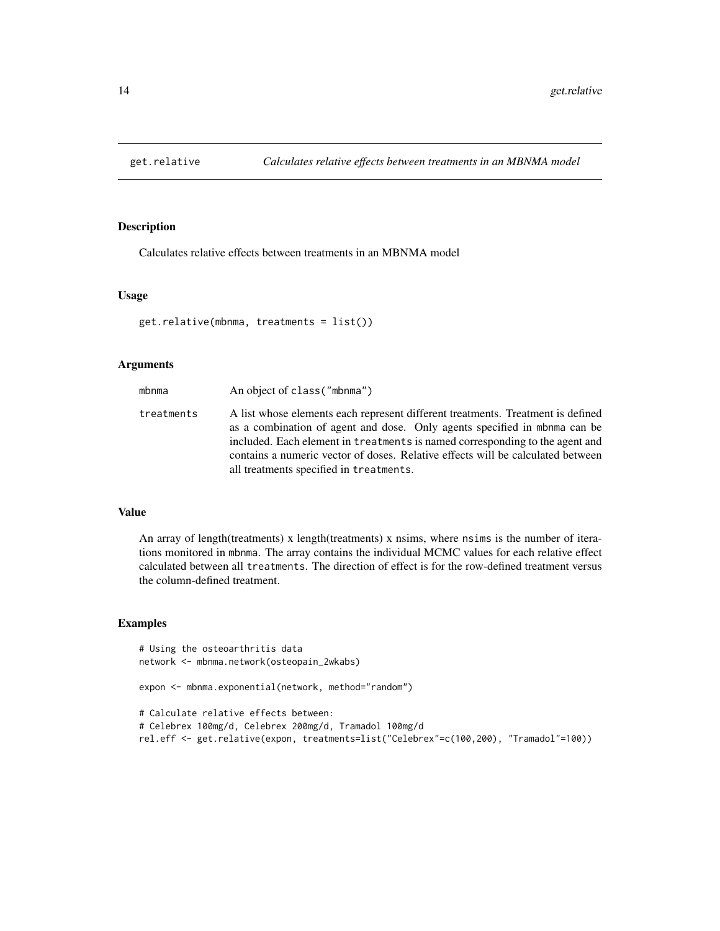<span id="page-13-0"></span>

# Description

Calculates relative effects between treatments in an MBNMA model

#### Usage

```
get.relative(mbnma, treatments = list())
```
## Arguments

| mbnma      | An object of class ("mbnma")                                                                                                                                                                                                                                                                                                                                               |
|------------|----------------------------------------------------------------------------------------------------------------------------------------------------------------------------------------------------------------------------------------------------------------------------------------------------------------------------------------------------------------------------|
| treatments | A list whose elements each represent different treatments. Treatment is defined<br>as a combination of agent and dose. Only agents specified in mbnma can be<br>included. Each element in treatments is named corresponding to the agent and<br>contains a numeric vector of doses. Relative effects will be calculated between<br>all treatments specified in treatments. |

# Value

An array of length(treatments) x length(treatments) x nsims, where nsims is the number of iterations monitored in mbnma. The array contains the individual MCMC values for each relative effect calculated between all treatments. The direction of effect is for the row-defined treatment versus the column-defined treatment.

#### Examples

```
# Using the osteoarthritis data
network <- mbnma.network(osteopain_2wkabs)
expon <- mbnma.exponential(network, method="random")
# Calculate relative effects between:
# Celebrex 100mg/d, Celebrex 200mg/d, Tramadol 100mg/d
rel.eff <- get.relative(expon, treatments=list("Celebrex"=c(100,200), "Tramadol"=100))
```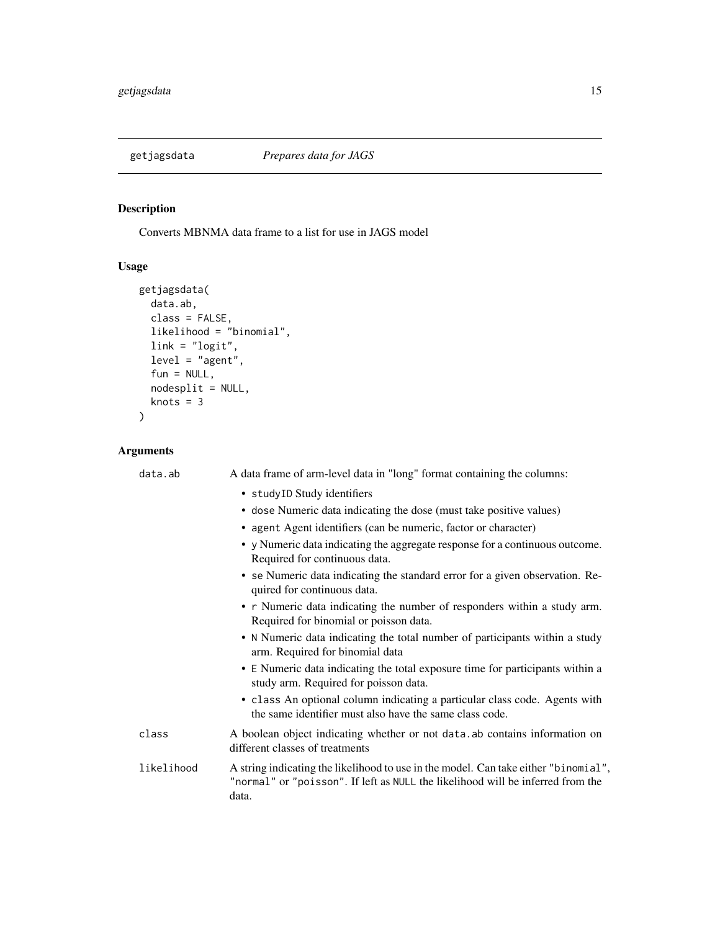<span id="page-14-0"></span>

# Description

Converts MBNMA data frame to a list for use in JAGS model

# Usage

```
getjagsdata(
 data.ab,
 class = FALSE,
 likelihood = "binomial",
 link = "logit",
 level = "agent",fun = NULL,nodesplit = NULL,
 knots = 3)
```

| data.ab    | A data frame of arm-level data in "long" format containing the columns:                                                                                                         |
|------------|---------------------------------------------------------------------------------------------------------------------------------------------------------------------------------|
|            | • studyID Study identifiers                                                                                                                                                     |
|            | • dose Numeric data indicating the dose (must take positive values)                                                                                                             |
|            | • agent Agent identifiers (can be numeric, factor or character)                                                                                                                 |
|            | • y Numeric data indicating the aggregate response for a continuous outcome.<br>Required for continuous data.                                                                   |
|            | • se Numeric data indicating the standard error for a given observation. Re-<br>quired for continuous data.                                                                     |
|            | • r Numeric data indicating the number of responders within a study arm.<br>Required for binomial or poisson data.                                                              |
|            | • N Numeric data indicating the total number of participants within a study<br>arm. Required for binomial data                                                                  |
|            | • E Numeric data indicating the total exposure time for participants within a<br>study arm. Required for poisson data.                                                          |
|            | • class An optional column indicating a particular class code. Agents with<br>the same identifier must also have the same class code.                                           |
| class      | A boolean object indicating whether or not data ab contains information on<br>different classes of treatments                                                                   |
| likelihood | A string indicating the likelihood to use in the model. Can take either "binomial",<br>"normal" or "poisson". If left as NULL the likelihood will be inferred from the<br>data. |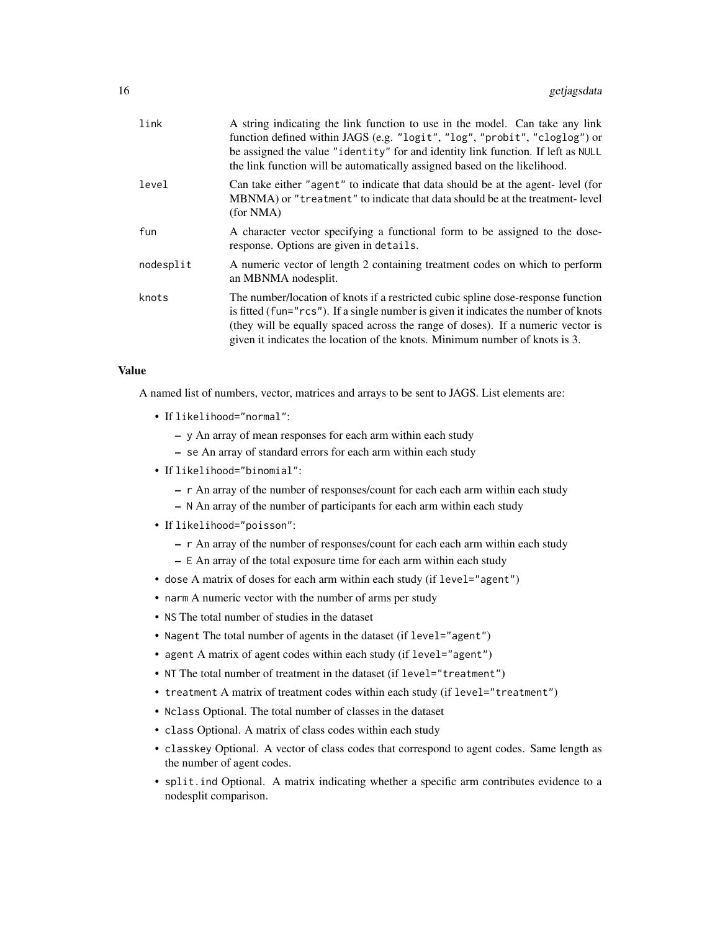| link      | A string indicating the link function to use in the model. Can take any link<br>function defined within JAGS (e.g. "logit", "log", "probit", "cloglog") or<br>be assigned the value "identity" for and identity link function. If left as NULL<br>the link function will be automatically assigned based on the likelihood.               |
|-----------|-------------------------------------------------------------------------------------------------------------------------------------------------------------------------------------------------------------------------------------------------------------------------------------------------------------------------------------------|
| level     | Can take either "agent" to indicate that data should be at the agent-level (for<br>MBNMA) or "treatment" to indicate that data should be at the treatment-level<br>(for NMA)                                                                                                                                                              |
| fun       | A character vector specifying a functional form to be assigned to the dose-<br>response. Options are given in details.                                                                                                                                                                                                                    |
| nodesplit | A numeric vector of length 2 containing treatment codes on which to perform<br>an MBNMA nodesplit.                                                                                                                                                                                                                                        |
| knots     | The number/location of knots if a restricted cubic spline dose-response function<br>is fitted (fun="rcs"). If a single number is given it indicates the number of knots<br>(they will be equally spaced across the range of doses). If a numeric vector is<br>given it indicates the location of the knots. Minimum number of knots is 3. |

# Value

A named list of numbers, vector, matrices and arrays to be sent to JAGS. List elements are:

- If likelihood="normal":
	- y An array of mean responses for each arm within each study
	- se An array of standard errors for each arm within each study
- If likelihood="binomial":
	- r An array of the number of responses/count for each each arm within each study
	- N An array of the number of participants for each arm within each study
- If likelihood="poisson":
	- r An array of the number of responses/count for each each arm within each study
	- E An array of the total exposure time for each arm within each study
- dose A matrix of doses for each arm within each study (if level="agent")
- narm A numeric vector with the number of arms per study
- NS The total number of studies in the dataset
- Nagent The total number of agents in the dataset (if level="agent")
- agent A matrix of agent codes within each study (if level="agent")
- NT The total number of treatment in the dataset (if level="treatment")
- treatment A matrix of treatment codes within each study (if level="treatment")
- Nclass Optional. The total number of classes in the dataset
- class Optional. A matrix of class codes within each study
- classkey Optional. A vector of class codes that correspond to agent codes. Same length as the number of agent codes.
- split.ind Optional. A matrix indicating whether a specific arm contributes evidence to a nodesplit comparison.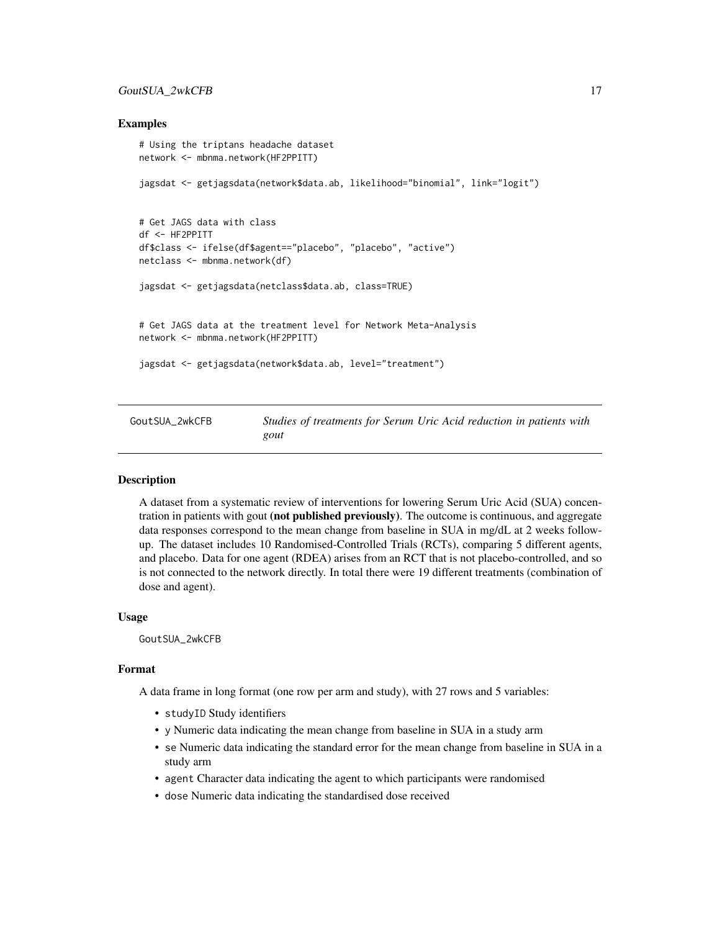#### <span id="page-16-0"></span>GoutSUA\_2wkCFB 17

#### Examples

```
# Using the triptans headache dataset
network <- mbnma.network(HF2PPITT)
jagsdat <- getjagsdata(network$data.ab, likelihood="binomial", link="logit")
# Get JAGS data with class
df <- HF2PPITT
df$class <- ifelse(df$agent=="placebo", "placebo", "active")
netclass <- mbnma.network(df)
jagsdat <- getjagsdata(netclass$data.ab, class=TRUE)
# Get JAGS data at the treatment level for Network Meta-Analysis
network <- mbnma.network(HF2PPITT)
jagsdat <- getjagsdata(network$data.ab, level="treatment")
```
GoutSUA\_2wkCFB *Studies of treatments for Serum Uric Acid reduction in patients with gout*

#### **Description**

A dataset from a systematic review of interventions for lowering Serum Uric Acid (SUA) concentration in patients with gout (not published previously). The outcome is continuous, and aggregate data responses correspond to the mean change from baseline in SUA in mg/dL at 2 weeks followup. The dataset includes 10 Randomised-Controlled Trials (RCTs), comparing 5 different agents, and placebo. Data for one agent (RDEA) arises from an RCT that is not placebo-controlled, and so is not connected to the network directly. In total there were 19 different treatments (combination of dose and agent).

#### Usage

GoutSUA\_2wkCFB

#### Format

A data frame in long format (one row per arm and study), with 27 rows and 5 variables:

- studyID Study identifiers
- y Numeric data indicating the mean change from baseline in SUA in a study arm
- se Numeric data indicating the standard error for the mean change from baseline in SUA in a study arm
- agent Character data indicating the agent to which participants were randomised
- dose Numeric data indicating the standardised dose received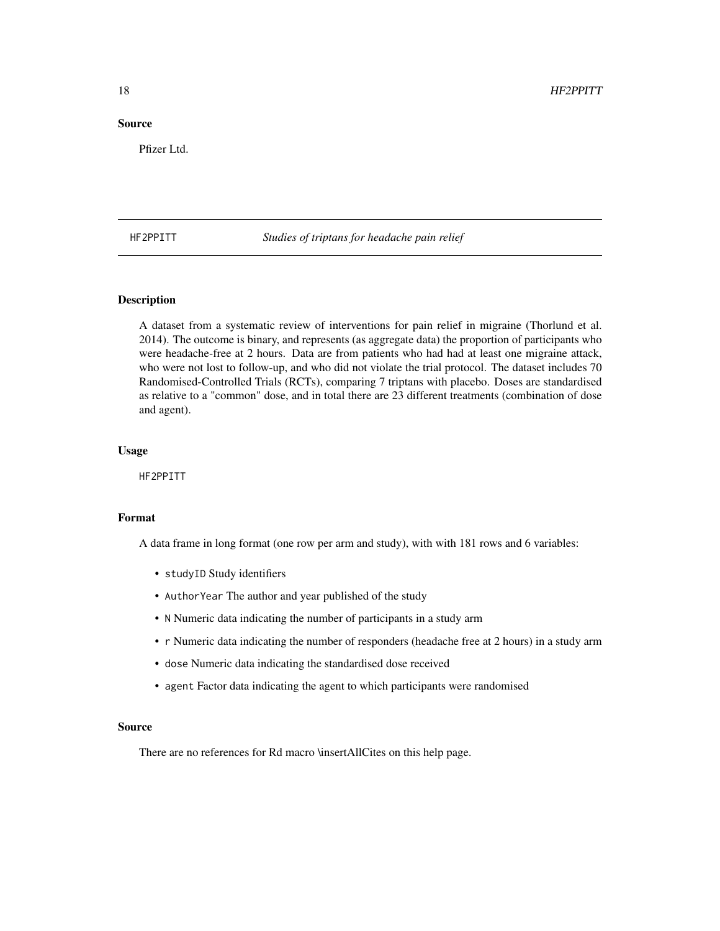#### <span id="page-17-0"></span>Source

Pfizer Ltd.

# HF2PPITT *Studies of triptans for headache pain relief*

#### Description

A dataset from a systematic review of interventions for pain relief in migraine (Thorlund et al. 2014). The outcome is binary, and represents (as aggregate data) the proportion of participants who were headache-free at 2 hours. Data are from patients who had had at least one migraine attack, who were not lost to follow-up, and who did not violate the trial protocol. The dataset includes 70 Randomised-Controlled Trials (RCTs), comparing 7 triptans with placebo. Doses are standardised as relative to a "common" dose, and in total there are 23 different treatments (combination of dose and agent).

#### Usage

HF2PPITT

#### Format

A data frame in long format (one row per arm and study), with with 181 rows and 6 variables:

- studyID Study identifiers
- AuthorYear The author and year published of the study
- N Numeric data indicating the number of participants in a study arm
- r Numeric data indicating the number of responders (headache free at 2 hours) in a study arm
- dose Numeric data indicating the standardised dose received
- agent Factor data indicating the agent to which participants were randomised

# Source

There are no references for Rd macro \insertAllCites on this help page.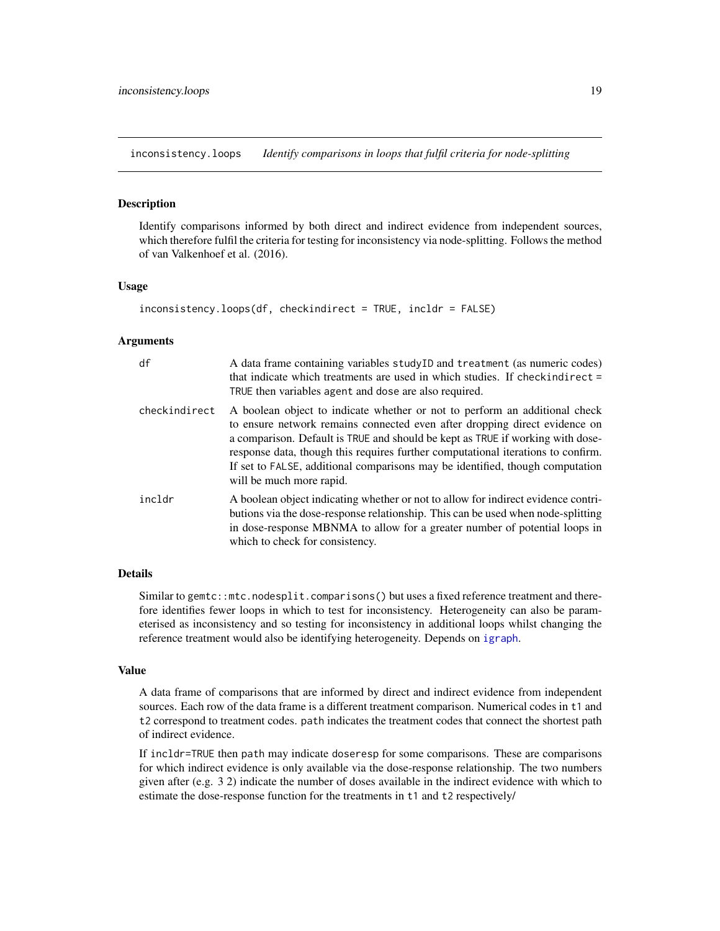<span id="page-18-0"></span>inconsistency.loops *Identify comparisons in loops that fulfil criteria for node-splitting*

#### Description

Identify comparisons informed by both direct and indirect evidence from independent sources, which therefore fulfil the criteria for testing for inconsistency via node-splitting. Follows the method of van Valkenhoef et al. (2016).

#### Usage

```
inconsistency.loops(df, checkindirect = TRUE, incldr = FALSE)
```
#### Arguments

| df            | A data frame containing variables studyID and treatment (as numeric codes)<br>that indicate which treatments are used in which studies. If checkindirect =<br>TRUE then variables agent and dose are also required.                                                                                                                                                                                                                         |
|---------------|---------------------------------------------------------------------------------------------------------------------------------------------------------------------------------------------------------------------------------------------------------------------------------------------------------------------------------------------------------------------------------------------------------------------------------------------|
| checkindirect | A boolean object to indicate whether or not to perform an additional check<br>to ensure network remains connected even after dropping direct evidence on<br>a comparison. Default is TRUE and should be kept as TRUE if working with dose-<br>response data, though this requires further computational iterations to confirm.<br>If set to FALSE, additional comparisons may be identified, though computation<br>will be much more rapid. |
| incldr        | A boolean object indicating whether or not to allow for indirect evidence contri-<br>butions via the dose-response relationship. This can be used when node-splitting<br>in dose-response MBNMA to allow for a greater number of potential loops in<br>which to check for consistency.                                                                                                                                                      |

#### Details

Similar to gemtc::mtc.nodesplit.comparisons() but uses a fixed reference treatment and therefore identifies fewer loops in which to test for inconsistency. Heterogeneity can also be parameterised as inconsistency and so testing for inconsistency in additional loops whilst changing the reference treatment would also be identifying heterogeneity. Depends on [igraph](#page-0-0).

#### Value

A data frame of comparisons that are informed by direct and indirect evidence from independent sources. Each row of the data frame is a different treatment comparison. Numerical codes in t1 and t2 correspond to treatment codes. path indicates the treatment codes that connect the shortest path of indirect evidence.

If incldr=TRUE then path may indicate doseresp for some comparisons. These are comparisons for which indirect evidence is only available via the dose-response relationship. The two numbers given after (e.g. 3 2) indicate the number of doses available in the indirect evidence with which to estimate the dose-response function for the treatments in t1 and t2 respectively/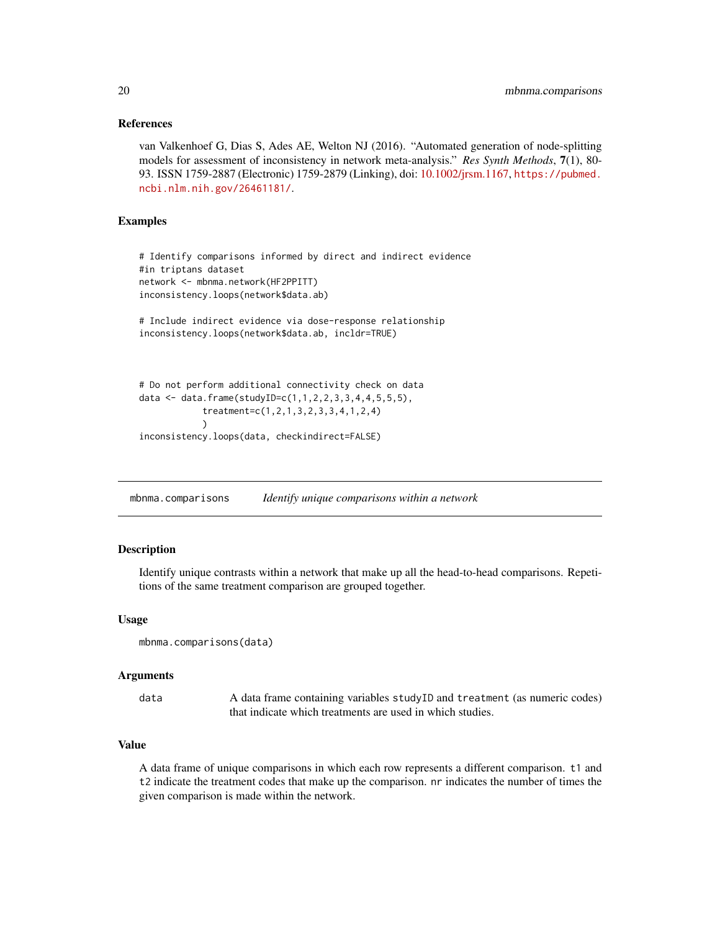#### <span id="page-19-0"></span>References

van Valkenhoef G, Dias S, Ades AE, Welton NJ (2016). "Automated generation of node-splitting models for assessment of inconsistency in network meta-analysis." *Res Synth Methods*, 7(1), 80- 93. ISSN 1759-2887 (Electronic) 1759-2879 (Linking), doi: [10.1002/jrsm.1167,](https://doi.org/10.1002/jrsm.1167) [https://pubmed.](https://pubmed.ncbi.nlm.nih.gov/26461181/) [ncbi.nlm.nih.gov/26461181/](https://pubmed.ncbi.nlm.nih.gov/26461181/).

## Examples

```
# Identify comparisons informed by direct and indirect evidence
#in triptans dataset
network <- mbnma.network(HF2PPITT)
inconsistency.loops(network$data.ab)
# Include indirect evidence via dose-response relationship
inconsistency.loops(network$data.ab, incldr=TRUE)
# Do not perform additional connectivity check on data
data <- data.frame(studyID=c(1,1,2,2,3,3,4,4,5,5,5),
            treatment=c(1,2,1,3,2,3,3,4,1,2,4)
            \lambdainconsistency.loops(data, checkindirect=FALSE)
```
mbnma.comparisons *Identify unique comparisons within a network*

# Description

Identify unique contrasts within a network that make up all the head-to-head comparisons. Repetitions of the same treatment comparison are grouped together.

#### Usage

```
mbnma.comparisons(data)
```
#### Arguments

data A data frame containing variables studyID and treatment (as numeric codes) that indicate which treatments are used in which studies.

# Value

A data frame of unique comparisons in which each row represents a different comparison. t1 and t2 indicate the treatment codes that make up the comparison. nr indicates the number of times the given comparison is made within the network.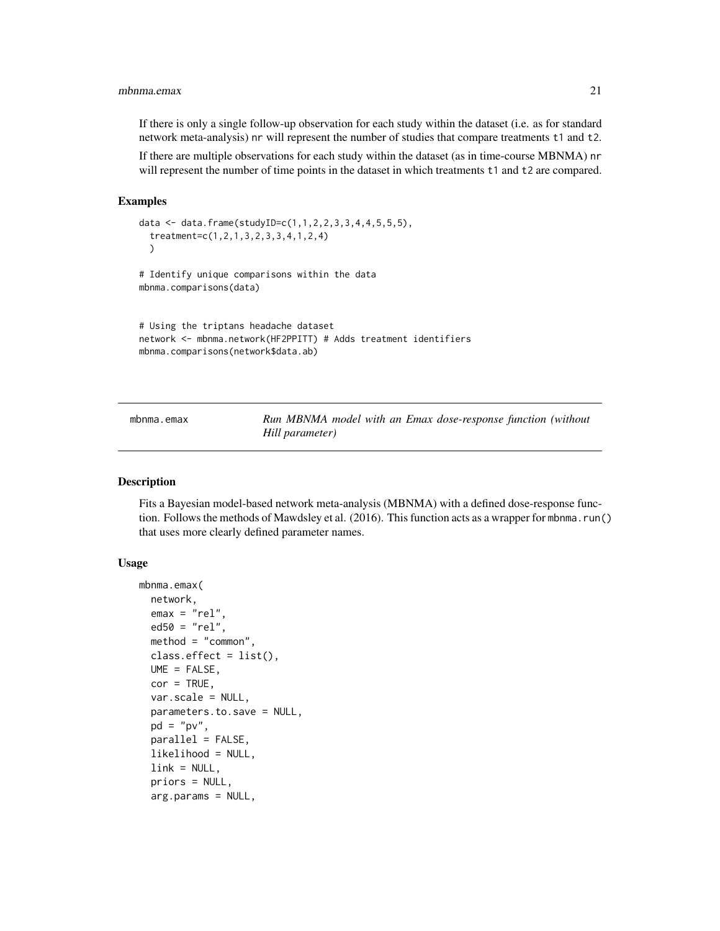#### <span id="page-20-0"></span>mbnma.emax 21

If there is only a single follow-up observation for each study within the dataset (i.e. as for standard network meta-analysis) nr will represent the number of studies that compare treatments t1 and t2.

If there are multiple observations for each study within the dataset (as in time-course MBNMA) nr will represent the number of time points in the dataset in which treatments t1 and t2 are compared.

#### Examples

```
data <- data.frame(studyID=c(1,1,2,2,3,3,4,4,5,5,5),
 treatment=c(1,2,1,3,2,3,3,4,1,2,4)
 )
# Identify unique comparisons within the data
mbnma.comparisons(data)
# Using the triptans headache dataset
```

```
network <- mbnma.network(HF2PPITT) # Adds treatment identifiers
mbnma.comparisons(network$data.ab)
```
mbnma.emax *Run MBNMA model with an Emax dose-response function (without Hill parameter)*

#### Description

Fits a Bayesian model-based network meta-analysis (MBNMA) with a defined dose-response function. Follows the methods of Mawdsley et al. (2016). This function acts as a wrapper for mbnma.run() that uses more clearly defined parameter names.

#### Usage

```
mbnma.emax(
  network,
  emax = "rel",ed50 = "rel",method = "common",
  class.effect = list(),
 UME = FALSE,
  cor = TRUE,var.scale = NULL,
  parameters.to.save = NULL,
 pd = "pv",parallel = FALSE,
  likelihood = NULL,
  link = NULL,priors = NULL,
  arg.params = NULL,
```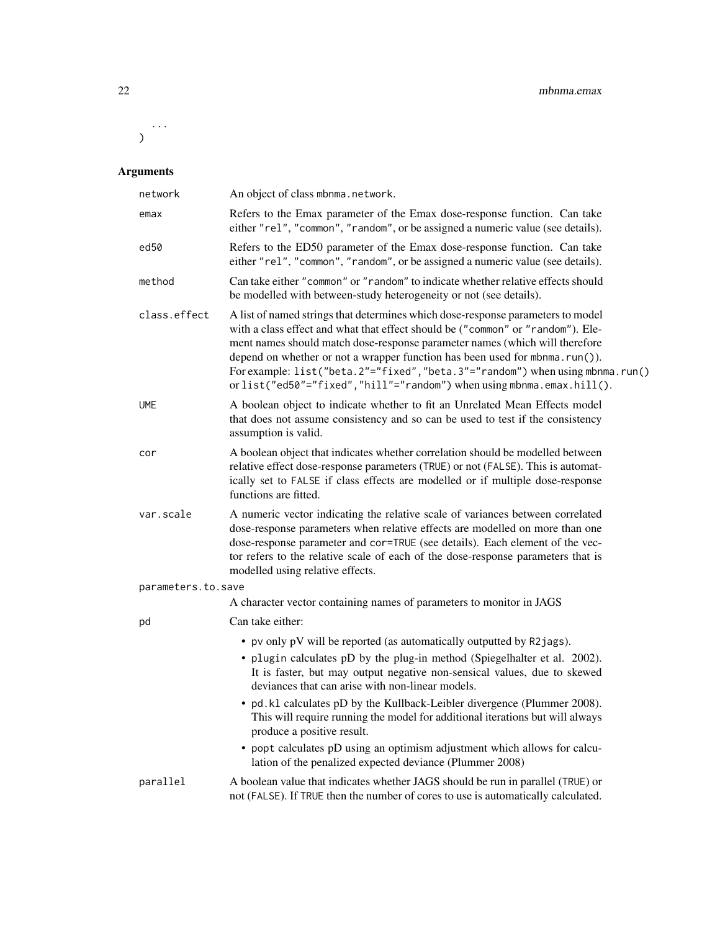...  $\mathcal{L}$ 

| network            | An object of class mbnma.network.                                                                                                                                                                                                                                                                                                                                                                                                                                                         |
|--------------------|-------------------------------------------------------------------------------------------------------------------------------------------------------------------------------------------------------------------------------------------------------------------------------------------------------------------------------------------------------------------------------------------------------------------------------------------------------------------------------------------|
| emax               | Refers to the Emax parameter of the Emax dose-response function. Can take<br>either "rel", "common", "random", or be assigned a numeric value (see details).                                                                                                                                                                                                                                                                                                                              |
| ed50               | Refers to the ED50 parameter of the Emax dose-response function. Can take<br>either "rel", "common", "random", or be assigned a numeric value (see details).                                                                                                                                                                                                                                                                                                                              |
| method             | Can take either "common" or "random" to indicate whether relative effects should<br>be modelled with between-study heterogeneity or not (see details).                                                                                                                                                                                                                                                                                                                                    |
| class.effect       | A list of named strings that determines which dose-response parameters to model<br>with a class effect and what that effect should be ("common" or "random"). Ele-<br>ment names should match dose-response parameter names (which will therefore<br>depend on whether or not a wrapper function has been used for mbnma.run()).<br>For example: list("beta.2"="fixed","beta.3"="random") when using mbnma.run()<br>or list("ed50"="fixed","hill"="random") when using mbnma.emax.hill(). |
| <b>UME</b>         | A boolean object to indicate whether to fit an Unrelated Mean Effects model<br>that does not assume consistency and so can be used to test if the consistency<br>assumption is valid.                                                                                                                                                                                                                                                                                                     |
| cor                | A boolean object that indicates whether correlation should be modelled between<br>relative effect dose-response parameters (TRUE) or not (FALSE). This is automat-<br>ically set to FALSE if class effects are modelled or if multiple dose-response<br>functions are fitted.                                                                                                                                                                                                             |
| var.scale          | A numeric vector indicating the relative scale of variances between correlated<br>dose-response parameters when relative effects are modelled on more than one<br>dose-response parameter and cor=TRUE (see details). Each element of the vec-<br>tor refers to the relative scale of each of the dose-response parameters that is<br>modelled using relative effects.                                                                                                                    |
| parameters.to.save |                                                                                                                                                                                                                                                                                                                                                                                                                                                                                           |
|                    | A character vector containing names of parameters to monitor in JAGS                                                                                                                                                                                                                                                                                                                                                                                                                      |
| pd                 | Can take either:                                                                                                                                                                                                                                                                                                                                                                                                                                                                          |
|                    | • pv only pV will be reported (as automatically outputted by R2jags).                                                                                                                                                                                                                                                                                                                                                                                                                     |
|                    | • plugin calculates pD by the plug-in method (Spiegelhalter et al. 2002).<br>It is faster, but may output negative non-sensical values, due to skewed<br>deviances that can arise with non-linear models.                                                                                                                                                                                                                                                                                 |
|                    | • pd. k1 calculates pD by the Kullback-Leibler divergence (Plummer 2008).<br>This will require running the model for additional iterations but will always<br>produce a positive result.                                                                                                                                                                                                                                                                                                  |
|                    | • popt calculates pD using an optimism adjustment which allows for calcu-<br>lation of the penalized expected deviance (Plummer 2008)                                                                                                                                                                                                                                                                                                                                                     |
| parallel           | A boolean value that indicates whether JAGS should be run in parallel (TRUE) or<br>not (FALSE). If TRUE then the number of cores to use is automatically calculated.                                                                                                                                                                                                                                                                                                                      |
|                    |                                                                                                                                                                                                                                                                                                                                                                                                                                                                                           |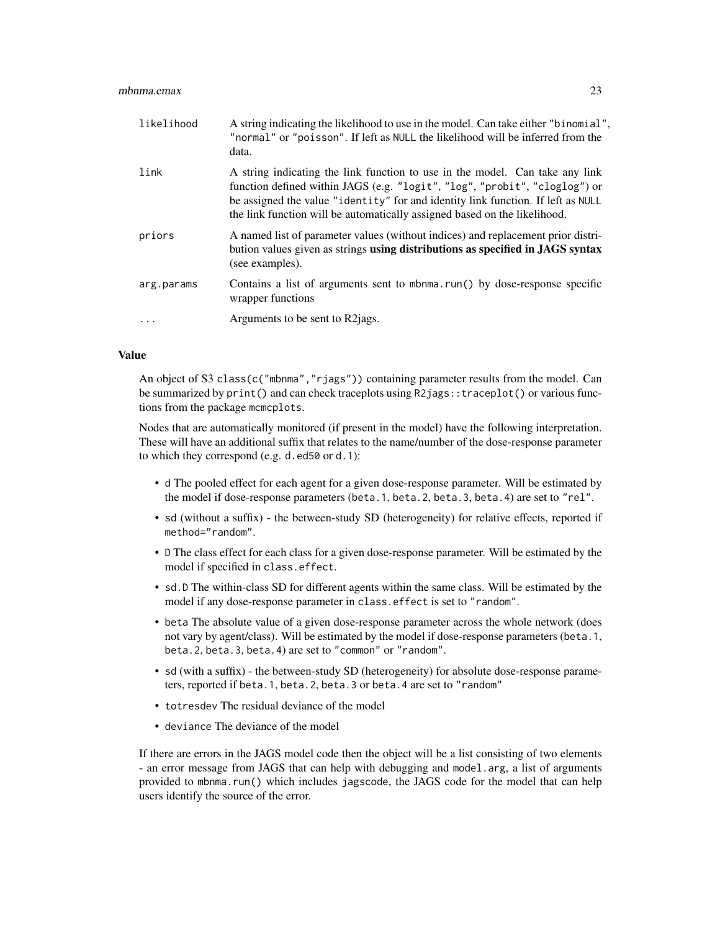#### mbnma.emax 23

| likelihood | A string indicating the likelihood to use in the model. Can take either "binomial",<br>"normal" or "poisson". If left as NULL the likelihood will be inferred from the<br>data.                                                                                                                                             |
|------------|-----------------------------------------------------------------------------------------------------------------------------------------------------------------------------------------------------------------------------------------------------------------------------------------------------------------------------|
| link       | A string indicating the link function to use in the model. Can take any link<br>function defined within JAGS (e.g. "logit", "log", "probit", "cloglog") or<br>be assigned the value "identity" for and identity link function. If left as NULL<br>the link function will be automatically assigned based on the likelihood. |
| priors     | A named list of parameter values (without indices) and replacement prior distri-<br>bution values given as strings using distributions as specified in JAGS syntax<br>(see examples).                                                                                                                                       |
| arg.params | Contains a list of arguments sent to mbnma.run() by dose-response specific<br>wrapper functions                                                                                                                                                                                                                             |
| .          | Arguments to be sent to R2 jags.                                                                                                                                                                                                                                                                                            |

# Value

An object of S3 class(c("mbnma","rjags")) containing parameter results from the model. Can be summarized by print() and can check traceplots using R2jags::traceplot() or various functions from the package mcmcplots.

Nodes that are automatically monitored (if present in the model) have the following interpretation. These will have an additional suffix that relates to the name/number of the dose-response parameter to which they correspond (e.g. d.ed50 or d.1):

- d The pooled effect for each agent for a given dose-response parameter. Will be estimated by the model if dose-response parameters (beta.1, beta.2, beta.3, beta.4) are set to "rel".
- sd (without a suffix) the between-study SD (heterogeneity) for relative effects, reported if method="random".
- D The class effect for each class for a given dose-response parameter. Will be estimated by the model if specified in class.effect.
- sd.D The within-class SD for different agents within the same class. Will be estimated by the model if any dose-response parameter in class.effect is set to "random".
- beta The absolute value of a given dose-response parameter across the whole network (does not vary by agent/class). Will be estimated by the model if dose-response parameters (beta.1, beta.2, beta.3, beta.4) are set to "common" or "random".
- sd (with a suffix) the between-study SD (heterogeneity) for absolute dose-response parameters, reported if beta.1, beta.2, beta.3 or beta.4 are set to "random"
- totresdev The residual deviance of the model
- deviance The deviance of the model

If there are errors in the JAGS model code then the object will be a list consisting of two elements - an error message from JAGS that can help with debugging and model.arg, a list of arguments provided to mbnma.run() which includes jagscode, the JAGS code for the model that can help users identify the source of the error.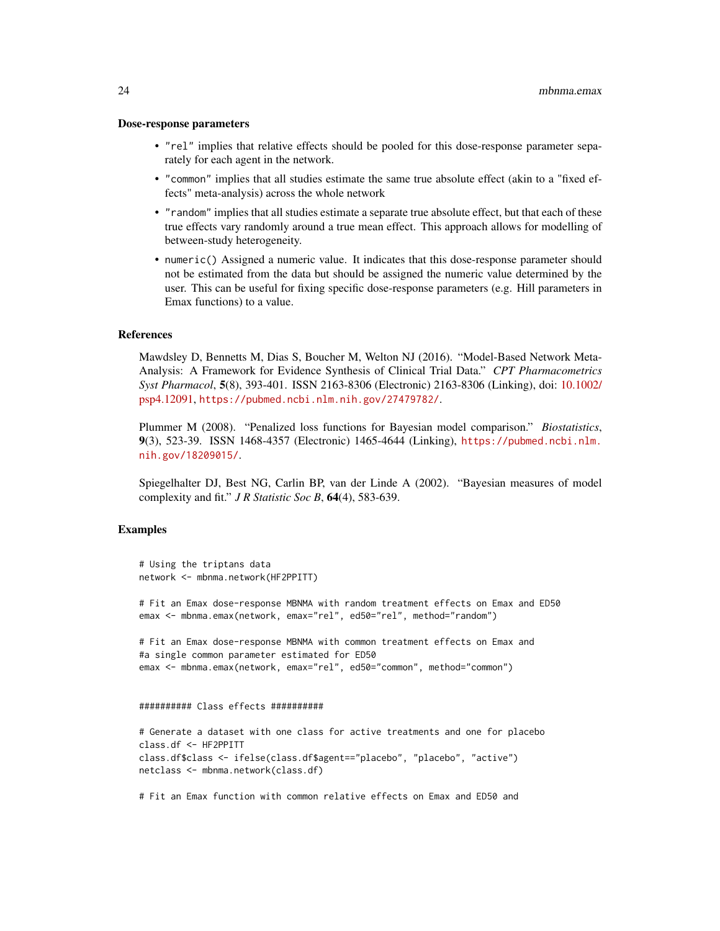#### Dose-response parameters

- "rel" implies that relative effects should be pooled for this dose-response parameter separately for each agent in the network.
- "common" implies that all studies estimate the same true absolute effect (akin to a "fixed effects" meta-analysis) across the whole network
- "random" implies that all studies estimate a separate true absolute effect, but that each of these true effects vary randomly around a true mean effect. This approach allows for modelling of between-study heterogeneity.
- numeric() Assigned a numeric value. It indicates that this dose-response parameter should not be estimated from the data but should be assigned the numeric value determined by the user. This can be useful for fixing specific dose-response parameters (e.g. Hill parameters in Emax functions) to a value.

#### References

Mawdsley D, Bennetts M, Dias S, Boucher M, Welton NJ (2016). "Model-Based Network Meta-Analysis: A Framework for Evidence Synthesis of Clinical Trial Data." *CPT Pharmacometrics Syst Pharmacol*, 5(8), 393-401. ISSN 2163-8306 (Electronic) 2163-8306 (Linking), doi: [10.1002/](https://doi.org/10.1002/psp4.12091) [psp4.12091,](https://doi.org/10.1002/psp4.12091) <https://pubmed.ncbi.nlm.nih.gov/27479782/>.

Plummer M (2008). "Penalized loss functions for Bayesian model comparison." *Biostatistics*, 9(3), 523-39. ISSN 1468-4357 (Electronic) 1465-4644 (Linking), [https://pubmed.ncbi.nlm.](https://pubmed.ncbi.nlm.nih.gov/18209015/) [nih.gov/18209015/](https://pubmed.ncbi.nlm.nih.gov/18209015/).

Spiegelhalter DJ, Best NG, Carlin BP, van der Linde A (2002). "Bayesian measures of model complexity and fit." *J R Statistic Soc B*, 64(4), 583-639.

#### Examples

```
# Using the triptans data
network <- mbnma.network(HF2PPITT)
# Fit an Emax dose-response MBNMA with random treatment effects on Emax and ED50
emax <- mbnma.emax(network, emax="rel", ed50="rel", method="random")
# Fit an Emax dose-response MBNMA with common treatment effects on Emax and
#a single common parameter estimated for ED50
emax <- mbnma.emax(network, emax="rel", ed50="common", method="common")
########## Class effects ##########
# Generate a dataset with one class for active treatments and one for placebo
class.df <- HF2PPITT
class.df$class <- ifelse(class.df$agent=="placebo", "placebo", "active")
netclass <- mbnma.network(class.df)
```
# Fit an Emax function with common relative effects on Emax and ED50 and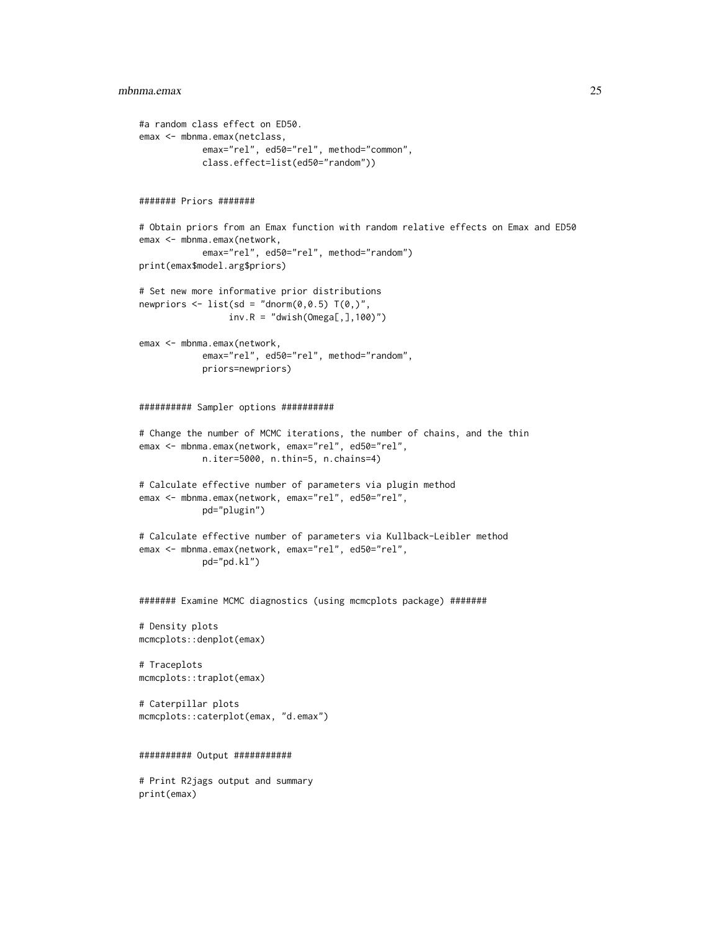```
#a random class effect on ED50.
emax <- mbnma.emax(netclass,
            emax="rel", ed50="rel", method="common",
            class.effect=list(ed50="random"))
####### Priors #######
# Obtain priors from an Emax function with random relative effects on Emax and ED50
emax <- mbnma.emax(network,
            emax="rel", ed50="rel", method="random")
print(emax$model.arg$priors)
# Set new more informative prior distributions
newpriors \le list(sd = "dnorm(0,0.5) T(0,)",
                 inv.R = "d wish(Omega[,], 100)")emax <- mbnma.emax(network,
            emax="rel", ed50="rel", method="random",
            priors=newpriors)
########## Sampler options ##########
# Change the number of MCMC iterations, the number of chains, and the thin
emax <- mbnma.emax(network, emax="rel", ed50="rel",
           n.iter=5000, n.thin=5, n.chains=4)
# Calculate effective number of parameters via plugin method
emax <- mbnma.emax(network, emax="rel", ed50="rel",
           pd="plugin")
# Calculate effective number of parameters via Kullback-Leibler method
emax <- mbnma.emax(network, emax="rel", ed50="rel",
            pd="pd.kl")
####### Examine MCMC diagnostics (using mcmcplots package) #######
# Density plots
mcmcplots::denplot(emax)
# Traceplots
mcmcplots::traplot(emax)
# Caterpillar plots
mcmcplots::caterplot(emax, "d.emax")
########## Output ###########
# Print R2jags output and summary
print(emax)
```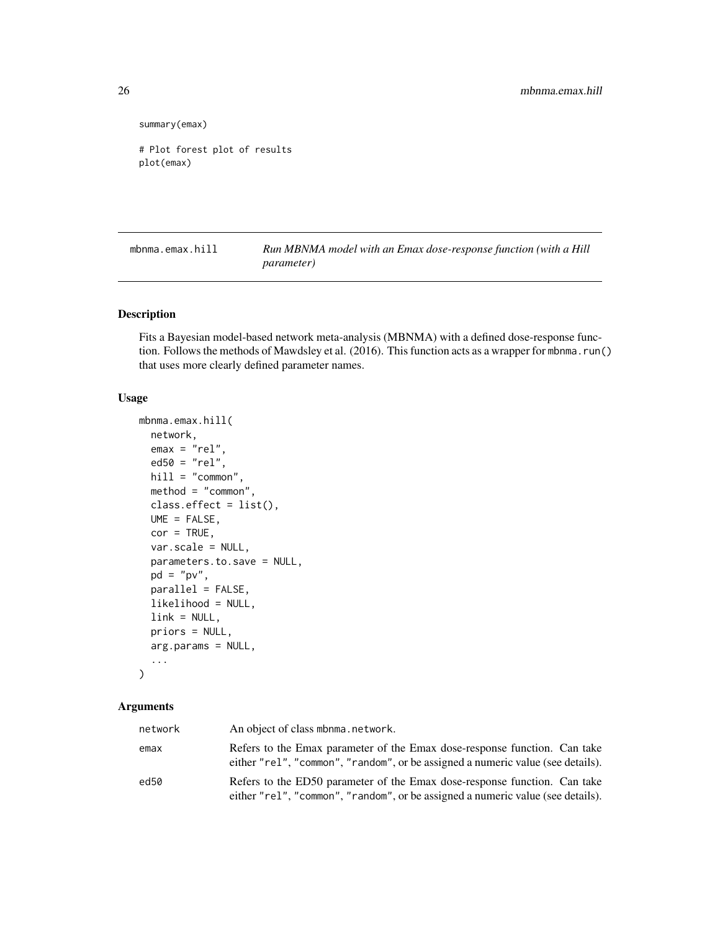<span id="page-25-0"></span>summary(emax)

```
# Plot forest plot of results
plot(emax)
```
mbnma.emax.hill *Run MBNMA model with an Emax dose-response function (with a Hill parameter)*

# Description

Fits a Bayesian model-based network meta-analysis (MBNMA) with a defined dose-response function. Follows the methods of Mawdsley et al. (2016). This function acts as a wrapper for mbnma.run() that uses more clearly defined parameter names.

#### Usage

```
mbnma.emax.hill(
  network,
  emax = "rel",ed50 = "rel",
  hill = "common",
 method = "common",
  class.effect = list(),
 UME = FALSE,
  cor = TRUE,var.scale = NULL,
  parameters.to.save = NULL,
 pd = "pv",parallel = FALSE,
  likelihood = NULL,
  link = NULL,priors = NULL,
  arg.params = NULL,
  ...
```
# $\mathcal{L}$

| network | An object of class mbnma.network.                                                                                                                            |
|---------|--------------------------------------------------------------------------------------------------------------------------------------------------------------|
| emax    | Refers to the Emax parameter of the Emax dose-response function. Can take<br>either "rel", "common", "random", or be assigned a numeric value (see details). |
| ed50    | Refers to the ED50 parameter of the Emax dose-response function. Can take<br>either "rel", "common", "random", or be assigned a numeric value (see details). |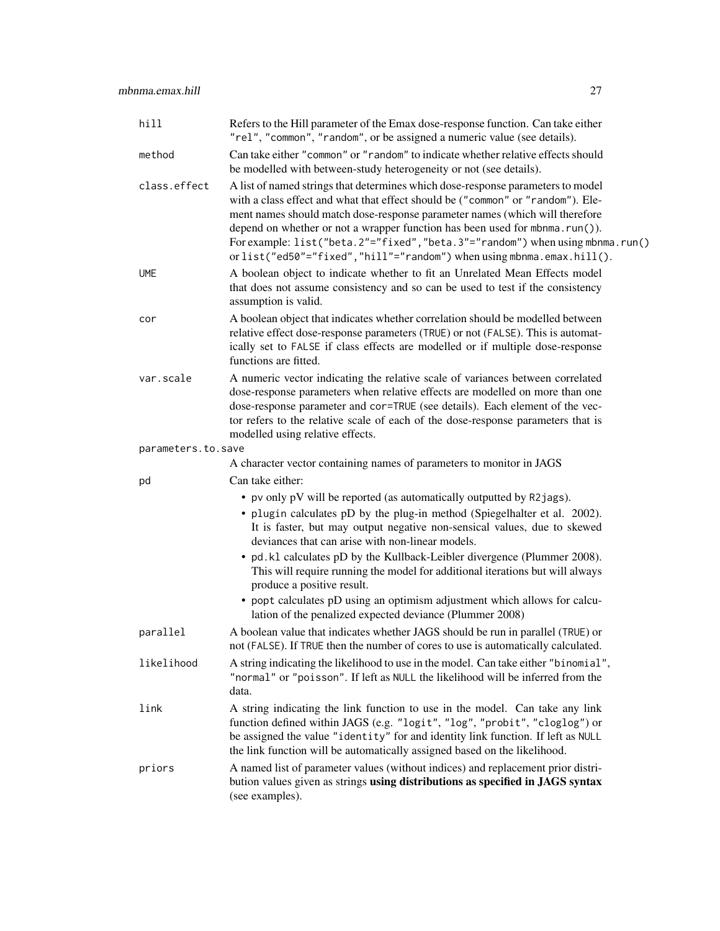| hill               | Refers to the Hill parameter of the Emax dose-response function. Can take either<br>"rel", "common", "random", or be assigned a numeric value (see details).                                                                                                                                                                                                                                                                                                                              |
|--------------------|-------------------------------------------------------------------------------------------------------------------------------------------------------------------------------------------------------------------------------------------------------------------------------------------------------------------------------------------------------------------------------------------------------------------------------------------------------------------------------------------|
| method             | Can take either "common" or "random" to indicate whether relative effects should<br>be modelled with between-study heterogeneity or not (see details).                                                                                                                                                                                                                                                                                                                                    |
| class.effect       | A list of named strings that determines which dose-response parameters to model<br>with a class effect and what that effect should be ("common" or "random"). Ele-<br>ment names should match dose-response parameter names (which will therefore<br>depend on whether or not a wrapper function has been used for mbnma.run()).<br>For example: list("beta.2"="fixed","beta.3"="random") when using mbnma.run()<br>or list("ed50"="fixed","hill"="random") when using mbnma.emax.hill(). |
| <b>UME</b>         | A boolean object to indicate whether to fit an Unrelated Mean Effects model<br>that does not assume consistency and so can be used to test if the consistency<br>assumption is valid.                                                                                                                                                                                                                                                                                                     |
| cor                | A boolean object that indicates whether correlation should be modelled between<br>relative effect dose-response parameters (TRUE) or not (FALSE). This is automat-<br>ically set to FALSE if class effects are modelled or if multiple dose-response<br>functions are fitted.                                                                                                                                                                                                             |
| var.scale          | A numeric vector indicating the relative scale of variances between correlated<br>dose-response parameters when relative effects are modelled on more than one<br>dose-response parameter and cor=TRUE (see details). Each element of the vec-<br>tor refers to the relative scale of each of the dose-response parameters that is<br>modelled using relative effects.                                                                                                                    |
| parameters.to.save |                                                                                                                                                                                                                                                                                                                                                                                                                                                                                           |
|                    | A character vector containing names of parameters to monitor in JAGS                                                                                                                                                                                                                                                                                                                                                                                                                      |
| pd                 | Can take either:                                                                                                                                                                                                                                                                                                                                                                                                                                                                          |
|                    | • pv only pV will be reported (as automatically outputted by R2jags).<br>• plugin calculates pD by the plug-in method (Spiegelhalter et al. 2002).<br>It is faster, but may output negative non-sensical values, due to skewed<br>deviances that can arise with non-linear models.                                                                                                                                                                                                        |
|                    | • pd. k1 calculates pD by the Kullback-Leibler divergence (Plummer 2008).<br>This will require running the model for additional iterations but will always<br>produce a positive result.                                                                                                                                                                                                                                                                                                  |
|                    | • popt calculates pD using an optimism adjustment which allows for calcu-<br>lation of the penalized expected deviance (Plummer 2008)                                                                                                                                                                                                                                                                                                                                                     |
| parallel           | A boolean value that indicates whether JAGS should be run in parallel (TRUE) or<br>not (FALSE). If TRUE then the number of cores to use is automatically calculated.                                                                                                                                                                                                                                                                                                                      |
| likelihood         | A string indicating the likelihood to use in the model. Can take either "binomial",<br>"normal" or "poisson". If left as NULL the likelihood will be inferred from the<br>data.                                                                                                                                                                                                                                                                                                           |
| link               | A string indicating the link function to use in the model. Can take any link<br>function defined within JAGS (e.g. "logit", "log", "probit", "cloglog") or<br>be assigned the value "identity" for and identity link function. If left as NULL<br>the link function will be automatically assigned based on the likelihood.                                                                                                                                                               |
| priors             | A named list of parameter values (without indices) and replacement prior distri-<br>bution values given as strings using distributions as specified in JAGS syntax<br>(see examples).                                                                                                                                                                                                                                                                                                     |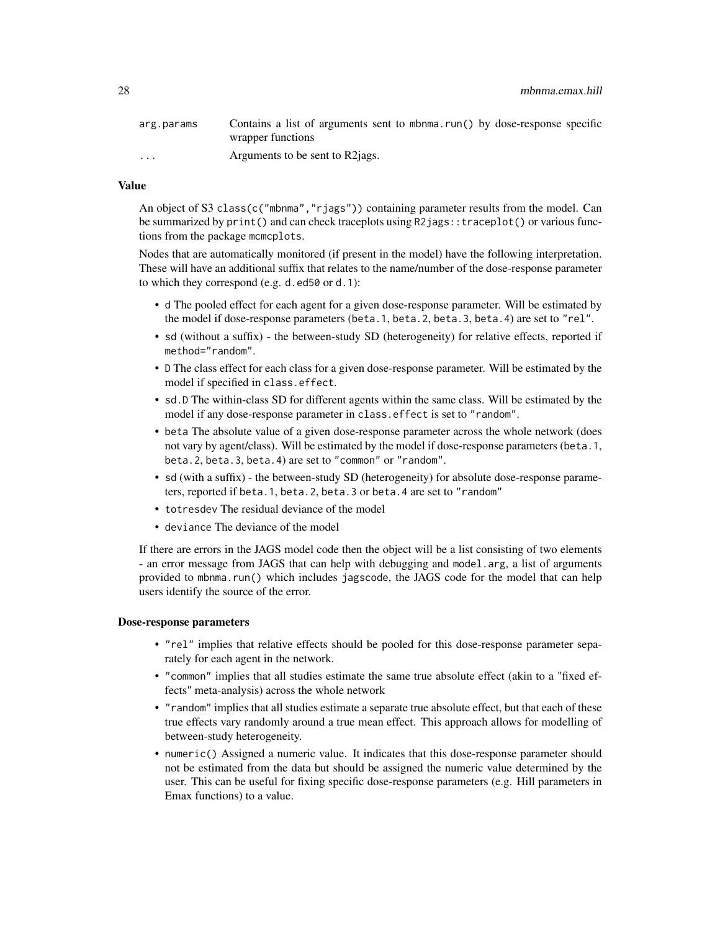| arg.params              | Contains a list of arguments sent to mbnma.run() by dose-response specific |
|-------------------------|----------------------------------------------------------------------------|
|                         | wrapper functions                                                          |
| $\cdot$ $\cdot$ $\cdot$ | Arguments to be sent to R2 jags.                                           |

#### Value

An object of S3 class(c("mbnma","rjags")) containing parameter results from the model. Can be summarized by print() and can check traceplots using R2jags::traceplot() or various functions from the package mcmcplots.

Nodes that are automatically monitored (if present in the model) have the following interpretation. These will have an additional suffix that relates to the name/number of the dose-response parameter to which they correspond (e.g. d.ed50 or d.1):

- d The pooled effect for each agent for a given dose-response parameter. Will be estimated by the model if dose-response parameters (beta.1, beta.2, beta.3, beta.4) are set to "rel".
- sd (without a suffix) the between-study SD (heterogeneity) for relative effects, reported if method="random".
- D The class effect for each class for a given dose-response parameter. Will be estimated by the model if specified in class.effect.
- sd.D The within-class SD for different agents within the same class. Will be estimated by the model if any dose-response parameter in class.effect is set to "random".
- beta The absolute value of a given dose-response parameter across the whole network (does not vary by agent/class). Will be estimated by the model if dose-response parameters (beta.1, beta.2, beta.3, beta.4) are set to "common" or "random".
- sd (with a suffix) the between-study SD (heterogeneity) for absolute dose-response parameters, reported if beta.1, beta.2, beta.3 or beta.4 are set to "random"
- totresdev The residual deviance of the model
- deviance The deviance of the model

If there are errors in the JAGS model code then the object will be a list consisting of two elements - an error message from JAGS that can help with debugging and model.arg, a list of arguments provided to mbnma.run() which includes jagscode, the JAGS code for the model that can help users identify the source of the error.

#### Dose-response parameters

- "rel" implies that relative effects should be pooled for this dose-response parameter separately for each agent in the network.
- "common" implies that all studies estimate the same true absolute effect (akin to a "fixed effects" meta-analysis) across the whole network
- "random" implies that all studies estimate a separate true absolute effect, but that each of these true effects vary randomly around a true mean effect. This approach allows for modelling of between-study heterogeneity.
- numeric() Assigned a numeric value. It indicates that this dose-response parameter should not be estimated from the data but should be assigned the numeric value determined by the user. This can be useful for fixing specific dose-response parameters (e.g. Hill parameters in Emax functions) to a value.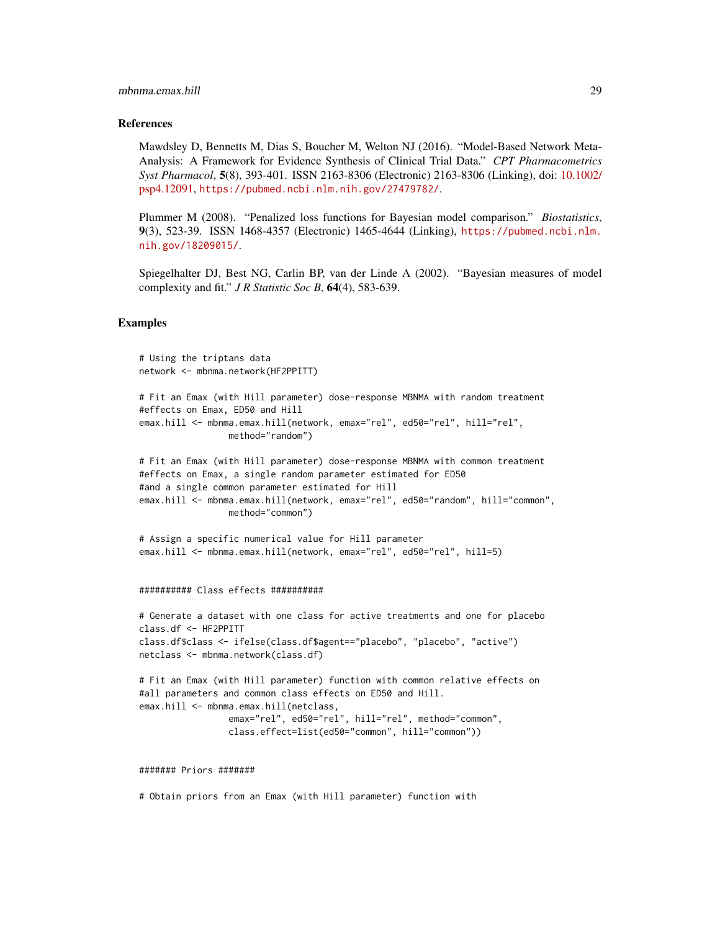#### References

Mawdsley D, Bennetts M, Dias S, Boucher M, Welton NJ (2016). "Model-Based Network Meta-Analysis: A Framework for Evidence Synthesis of Clinical Trial Data." *CPT Pharmacometrics Syst Pharmacol*, 5(8), 393-401. ISSN 2163-8306 (Electronic) 2163-8306 (Linking), doi: [10.1002/](https://doi.org/10.1002/psp4.12091) [psp4.12091,](https://doi.org/10.1002/psp4.12091) <https://pubmed.ncbi.nlm.nih.gov/27479782/>.

Plummer M (2008). "Penalized loss functions for Bayesian model comparison." *Biostatistics*, 9(3), 523-39. ISSN 1468-4357 (Electronic) 1465-4644 (Linking), [https://pubmed.ncbi.nlm.](https://pubmed.ncbi.nlm.nih.gov/18209015/) [nih.gov/18209015/](https://pubmed.ncbi.nlm.nih.gov/18209015/).

Spiegelhalter DJ, Best NG, Carlin BP, van der Linde A (2002). "Bayesian measures of model complexity and fit." *J R Statistic Soc B*, 64(4), 583-639.

#### Examples

```
# Using the triptans data
network <- mbnma.network(HF2PPITT)
# Fit an Emax (with Hill parameter) dose-response MBNMA with random treatment
#effects on Emax, ED50 and Hill
emax.hill <- mbnma.emax.hill(network, emax="rel", ed50="rel", hill="rel",
                method="random")
# Fit an Emax (with Hill parameter) dose-response MBNMA with common treatment
#effects on Emax, a single random parameter estimated for ED50
#and a single common parameter estimated for Hill
emax.hill <- mbnma.emax.hill(network, emax="rel", ed50="random", hill="common",
                 method="common")
# Assign a specific numerical value for Hill parameter
emax.hill <- mbnma.emax.hill(network, emax="rel", ed50="rel", hill=5)
########## Class effects ##########
# Generate a dataset with one class for active treatments and one for placebo
class.df <- HF2PPITT
class.df$class <- ifelse(class.df$agent=="placebo", "placebo", "active")
netclass <- mbnma.network(class.df)
# Fit an Emax (with Hill parameter) function with common relative effects on
#all parameters and common class effects on ED50 and Hill.
emax.hill <- mbnma.emax.hill(netclass,
                 emax="rel", ed50="rel", hill="rel", method="common",
                 class.effect=list(ed50="common", hill="common"))
```
####### Priors #######

# Obtain priors from an Emax (with Hill parameter) function with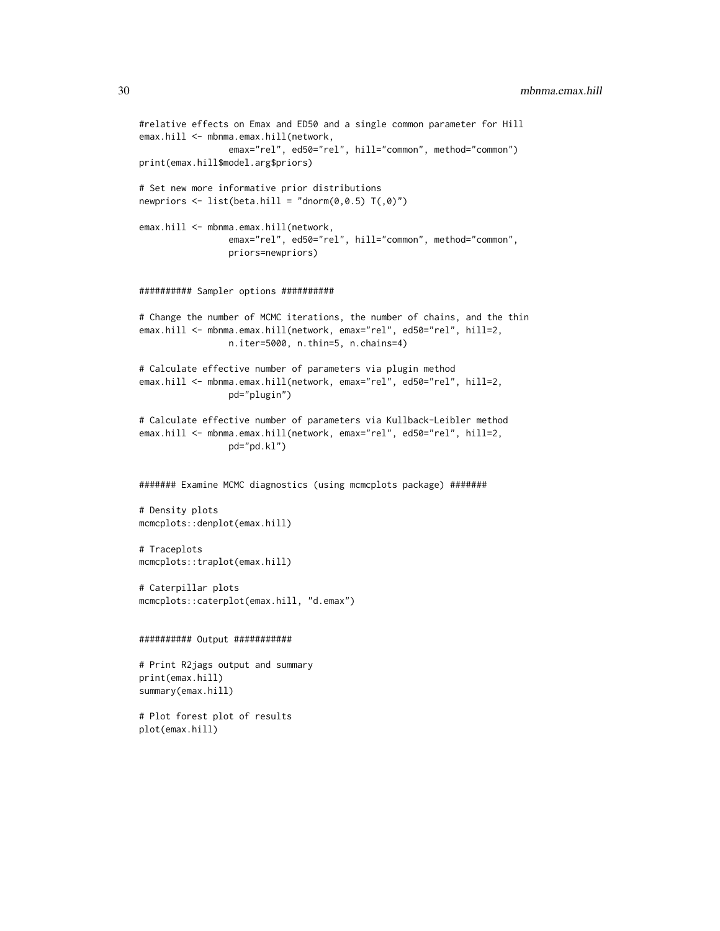```
#relative effects on Emax and ED50 and a single common parameter for Hill
emax.hill <- mbnma.emax.hill(network,
                 emax="rel", ed50="rel", hill="common", method="common")
print(emax.hill$model.arg$priors)
# Set new more informative prior distributions
newpriors \le list(beta.hill = "dnorm(0,0.5) T(,0)")
emax.hill <- mbnma.emax.hill(network,
                 emax="rel", ed50="rel", hill="common", method="common",
                 priors=newpriors)
########## Sampler options ##########
# Change the number of MCMC iterations, the number of chains, and the thin
emax.hill <- mbnma.emax.hill(network, emax="rel", ed50="rel", hill=2,
                 n.iter=5000, n.thin=5, n.chains=4)
# Calculate effective number of parameters via plugin method
emax.hill <- mbnma.emax.hill(network, emax="rel", ed50="rel", hill=2,
                 pd="plugin")
# Calculate effective number of parameters via Kullback-Leibler method
emax.hill <- mbnma.emax.hill(network, emax="rel", ed50="rel", hill=2,
                 pd="pd.kl")
####### Examine MCMC diagnostics (using mcmcplots package) #######
# Density plots
mcmcplots::denplot(emax.hill)
# Traceplots
mcmcplots::traplot(emax.hill)
# Caterpillar plots
mcmcplots::caterplot(emax.hill, "d.emax")
########## Output ###########
# Print R2jags output and summary
print(emax.hill)
summary(emax.hill)
# Plot forest plot of results
plot(emax.hill)
```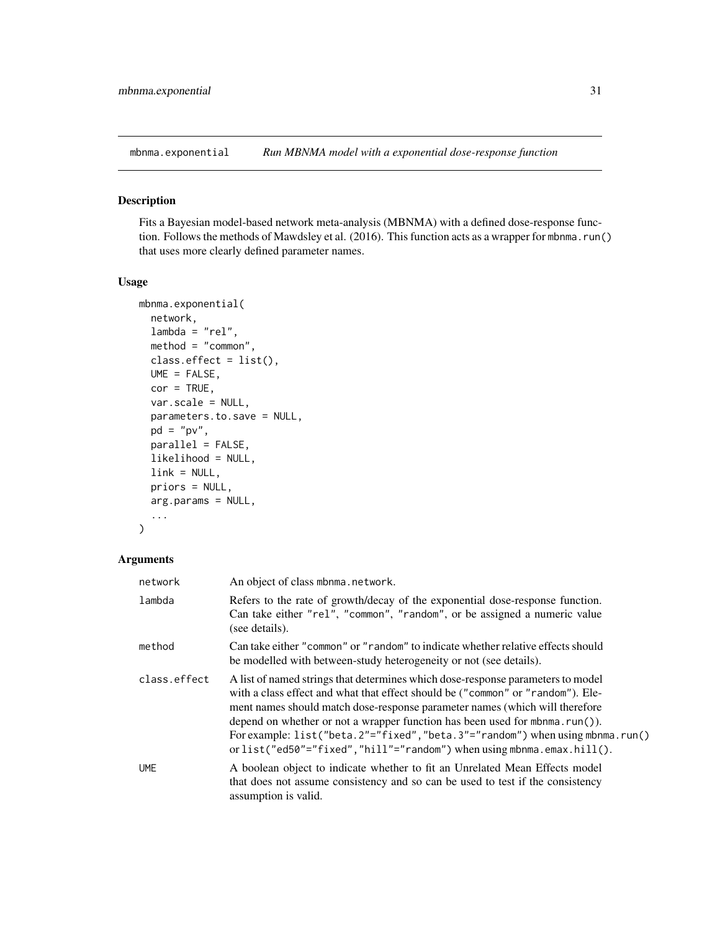<span id="page-30-0"></span>

# Description

Fits a Bayesian model-based network meta-analysis (MBNMA) with a defined dose-response function. Follows the methods of Mawdsley et al. (2016). This function acts as a wrapper for mbnma.run() that uses more clearly defined parameter names.

#### Usage

```
mbnma.exponential(
 network,
 lambda = "rel",method = "common",
 class.effect = list(),
 UME = FALSE,
 cor = TRUE,var.scale = NULL,
 parameters.to.save = NULL,
 pd = "pv",parallel = FALSE,
  likelihood = NULL,
 link = NULL,priors = NULL,
 arg.params = NULL,
  ...
)
```

| network      | An object of class mbnma.network.                                                                                                                                                                                                                                                                                                                                                                                                                                                        |
|--------------|------------------------------------------------------------------------------------------------------------------------------------------------------------------------------------------------------------------------------------------------------------------------------------------------------------------------------------------------------------------------------------------------------------------------------------------------------------------------------------------|
| lambda       | Refers to the rate of growth/decay of the exponential dose-response function.<br>Can take either "rel", "common", "random", or be assigned a numeric value<br>(see details).                                                                                                                                                                                                                                                                                                             |
| method       | Can take either "common" or "random" to indicate whether relative effects should<br>be modelled with between-study heterogeneity or not (see details).                                                                                                                                                                                                                                                                                                                                   |
| class.effect | A list of named strings that determines which dose-response parameters to model<br>with a class effect and what that effect should be ("common" or "random"). Ele-<br>ment names should match dose-response parameter names (which will therefore<br>depend on whether or not a wrapper function has been used for mbnma.run().<br>For example: list("beta.2"="fixed","beta.3"="random") when using mbnma.run()<br>or list("ed50"="fixed","hill"="random") when using mbnma.emax.hill(). |
| <b>UME</b>   | A boolean object to indicate whether to fit an Unrelated Mean Effects model<br>that does not assume consistency and so can be used to test if the consistency<br>assumption is valid.                                                                                                                                                                                                                                                                                                    |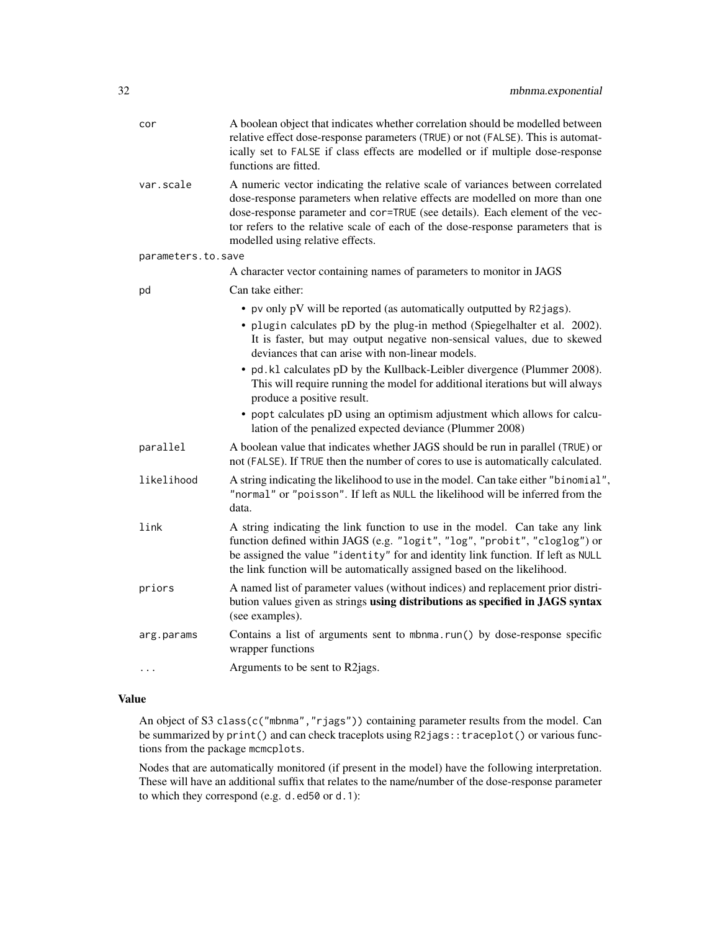| cor                | A boolean object that indicates whether correlation should be modelled between<br>relative effect dose-response parameters (TRUE) or not (FALSE). This is automat-<br>ically set to FALSE if class effects are modelled or if multiple dose-response<br>functions are fitted.                                                                                          |
|--------------------|------------------------------------------------------------------------------------------------------------------------------------------------------------------------------------------------------------------------------------------------------------------------------------------------------------------------------------------------------------------------|
| var.scale          | A numeric vector indicating the relative scale of variances between correlated<br>dose-response parameters when relative effects are modelled on more than one<br>dose-response parameter and cor=TRUE (see details). Each element of the vec-<br>tor refers to the relative scale of each of the dose-response parameters that is<br>modelled using relative effects. |
| parameters.to.save |                                                                                                                                                                                                                                                                                                                                                                        |
|                    | A character vector containing names of parameters to monitor in JAGS                                                                                                                                                                                                                                                                                                   |
| pd                 | Can take either:                                                                                                                                                                                                                                                                                                                                                       |
|                    | • pv only pV will be reported (as automatically outputted by R2jags).                                                                                                                                                                                                                                                                                                  |
|                    | • plugin calculates pD by the plug-in method (Spiegelhalter et al. 2002).<br>It is faster, but may output negative non-sensical values, due to skewed<br>deviances that can arise with non-linear models.                                                                                                                                                              |
|                    | • pd. k1 calculates pD by the Kullback-Leibler divergence (Plummer 2008).<br>This will require running the model for additional iterations but will always<br>produce a positive result.                                                                                                                                                                               |
|                    | • popt calculates pD using an optimism adjustment which allows for calcu-<br>lation of the penalized expected deviance (Plummer 2008)                                                                                                                                                                                                                                  |
| parallel           | A boolean value that indicates whether JAGS should be run in parallel (TRUE) or<br>not (FALSE). If TRUE then the number of cores to use is automatically calculated.                                                                                                                                                                                                   |
| likelihood         | A string indicating the likelihood to use in the model. Can take either "binomial",<br>"normal" or "poisson". If left as NULL the likelihood will be inferred from the<br>data.                                                                                                                                                                                        |
| link               | A string indicating the link function to use in the model. Can take any link<br>function defined within JAGS (e.g. "logit", "log", "probit", "cloglog") or<br>be assigned the value "identity" for and identity link function. If left as NULL<br>the link function will be automatically assigned based on the likelihood.                                            |
| priors             | A named list of parameter values (without indices) and replacement prior distri-<br>bution values given as strings using distributions as specified in JAGS syntax<br>(see examples).                                                                                                                                                                                  |
| arg.params         | Contains a list of arguments sent to mbnma.run() by dose-response specific<br>wrapper functions                                                                                                                                                                                                                                                                        |
|                    | Arguments to be sent to R2jags.                                                                                                                                                                                                                                                                                                                                        |
|                    |                                                                                                                                                                                                                                                                                                                                                                        |

# Value

An object of S3 class(c("mbnma", "rjags")) containing parameter results from the model. Can be summarized by print() and can check traceplots using R2jags:: traceplot() or various functions from the package mcmcplots.

Nodes that are automatically monitored (if present in the model) have the following interpretation. These will have an additional suffix that relates to the name/number of the dose-response parameter to which they correspond (e.g. d.ed50 or d.1):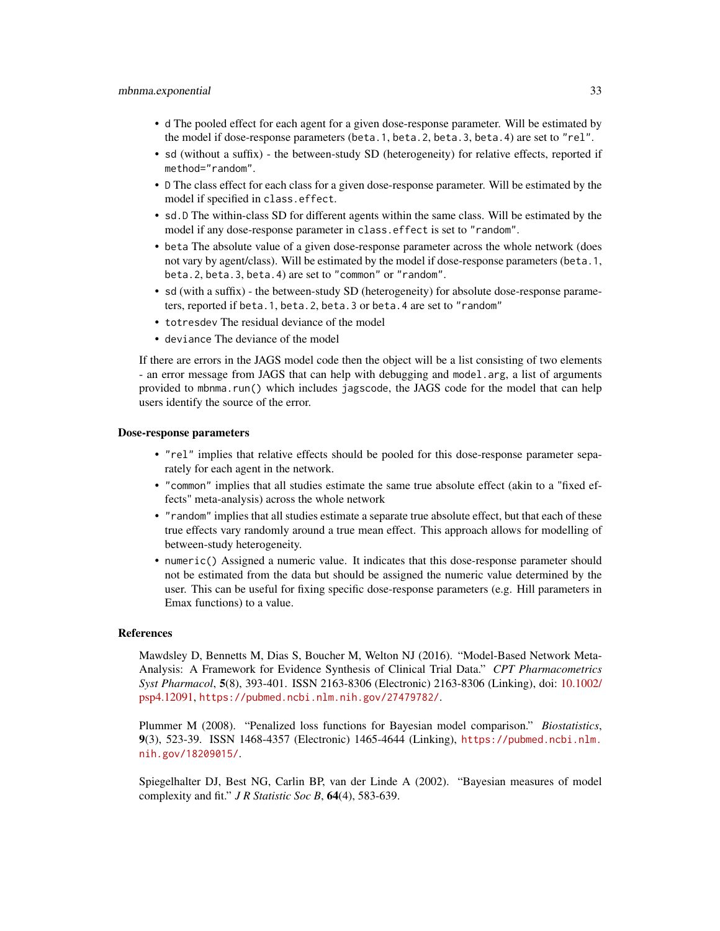- d The pooled effect for each agent for a given dose-response parameter. Will be estimated by the model if dose-response parameters (beta.1, beta.2, beta.3, beta.4) are set to "rel".
- sd (without a suffix) the between-study SD (heterogeneity) for relative effects, reported if method="random".
- D The class effect for each class for a given dose-response parameter. Will be estimated by the model if specified in class.effect.
- sd.D The within-class SD for different agents within the same class. Will be estimated by the model if any dose-response parameter in class.effect is set to "random".
- beta The absolute value of a given dose-response parameter across the whole network (does not vary by agent/class). Will be estimated by the model if dose-response parameters (beta.1, beta.2, beta.3, beta.4) are set to "common" or "random".
- sd (with a suffix) the between-study SD (heterogeneity) for absolute dose-response parameters, reported if beta.1, beta.2, beta.3 or beta.4 are set to "random"
- totresdev The residual deviance of the model
- deviance The deviance of the model

If there are errors in the JAGS model code then the object will be a list consisting of two elements - an error message from JAGS that can help with debugging and model.arg, a list of arguments provided to mbnma.run() which includes jagscode, the JAGS code for the model that can help users identify the source of the error.

# Dose-response parameters

- "rel" implies that relative effects should be pooled for this dose-response parameter separately for each agent in the network.
- "common" implies that all studies estimate the same true absolute effect (akin to a "fixed effects" meta-analysis) across the whole network
- "random" implies that all studies estimate a separate true absolute effect, but that each of these true effects vary randomly around a true mean effect. This approach allows for modelling of between-study heterogeneity.
- numeric() Assigned a numeric value. It indicates that this dose-response parameter should not be estimated from the data but should be assigned the numeric value determined by the user. This can be useful for fixing specific dose-response parameters (e.g. Hill parameters in Emax functions) to a value.

# References

Mawdsley D, Bennetts M, Dias S, Boucher M, Welton NJ (2016). "Model-Based Network Meta-Analysis: A Framework for Evidence Synthesis of Clinical Trial Data." *CPT Pharmacometrics Syst Pharmacol*, 5(8), 393-401. ISSN 2163-8306 (Electronic) 2163-8306 (Linking), doi: [10.1002/](https://doi.org/10.1002/psp4.12091) [psp4.12091,](https://doi.org/10.1002/psp4.12091) <https://pubmed.ncbi.nlm.nih.gov/27479782/>.

Plummer M (2008). "Penalized loss functions for Bayesian model comparison." *Biostatistics*, 9(3), 523-39. ISSN 1468-4357 (Electronic) 1465-4644 (Linking), [https://pubmed.ncbi.nlm.](https://pubmed.ncbi.nlm.nih.gov/18209015/) [nih.gov/18209015/](https://pubmed.ncbi.nlm.nih.gov/18209015/).

Spiegelhalter DJ, Best NG, Carlin BP, van der Linde A (2002). "Bayesian measures of model complexity and fit." *J R Statistic Soc B*, 64(4), 583-639.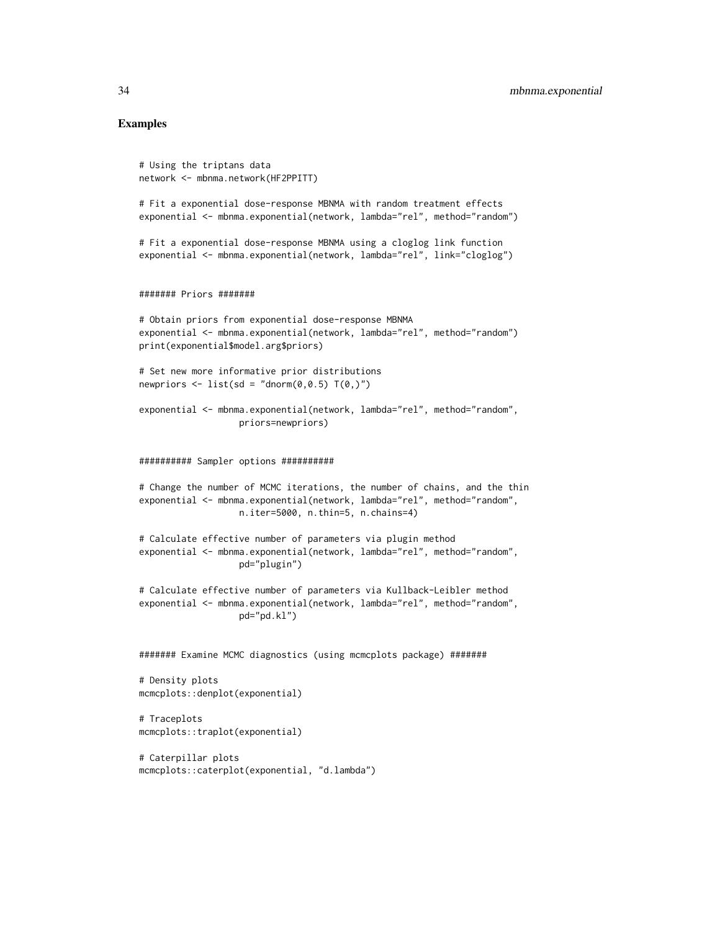#### Examples

```
# Using the triptans data
network <- mbnma.network(HF2PPITT)
# Fit a exponential dose-response MBNMA with random treatment effects
exponential <- mbnma.exponential(network, lambda="rel", method="random")
# Fit a exponential dose-response MBNMA using a cloglog link function
exponential <- mbnma.exponential(network, lambda="rel", link="cloglog")
####### Priors #######
# Obtain priors from exponential dose-response MBNMA
exponential <- mbnma.exponential(network, lambda="rel", method="random")
print(exponential$model.arg$priors)
# Set new more informative prior distributions
newpriors \le list(sd = "dnorm(0,0.5) T(0,)")
exponential <- mbnma.exponential(network, lambda="rel", method="random",
                   priors=newpriors)
########## Sampler options ##########
# Change the number of MCMC iterations, the number of chains, and the thin
exponential <- mbnma.exponential(network, lambda="rel", method="random",
                   n.iter=5000, n.thin=5, n.chains=4)
# Calculate effective number of parameters via plugin method
exponential <- mbnma.exponential(network, lambda="rel", method="random",
                   pd="plugin")
# Calculate effective number of parameters via Kullback-Leibler method
exponential <- mbnma.exponential(network, lambda="rel", method="random",
                   pd="pd.kl")
####### Examine MCMC diagnostics (using mcmcplots package) #######
# Density plots
mcmcplots::denplot(exponential)
# Traceplots
mcmcplots::traplot(exponential)
# Caterpillar plots
```

```
mcmcplots::caterplot(exponential, "d.lambda")
```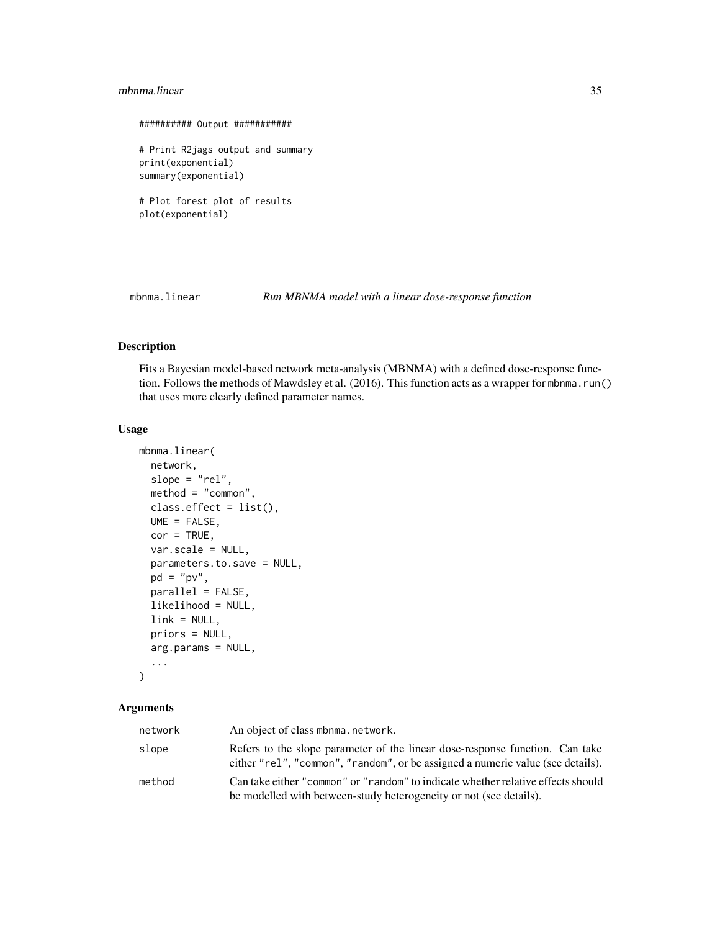#### <span id="page-34-0"></span>mbnma.linear 35

```
########## Output ###########
# Print R2jags output and summary
print(exponential)
summary(exponential)
# Plot forest plot of results
plot(exponential)
```
mbnma.linear *Run MBNMA model with a linear dose-response function*

#### Description

Fits a Bayesian model-based network meta-analysis (MBNMA) with a defined dose-response function. Follows the methods of Mawdsley et al. (2016). This function acts as a wrapper for mbnma.run() that uses more clearly defined parameter names.

#### Usage

```
mbnma.linear(
  network,
  slope = "rel",method = "common",
  class.effect = list(),
 UME = FALSE,cor = TRUE,var.scale = NULL,
  parameters.to.save = NULL,
  pd = "pv",parallel = FALSE,
  likelihood = NULL,
  link = NULL,
  priors = NULL,
  arg.params = NULL,
  ...
)
```

| network | An object of class mbnma.network.                                                                                                                               |
|---------|-----------------------------------------------------------------------------------------------------------------------------------------------------------------|
| slope   | Refers to the slope parameter of the linear dose-response function. Can take<br>either "rel", "common", "random", or be assigned a numeric value (see details). |
| method  | Can take either "common" or "random" to indicate whether relative effects should<br>be modelled with between-study heterogeneity or not (see details).          |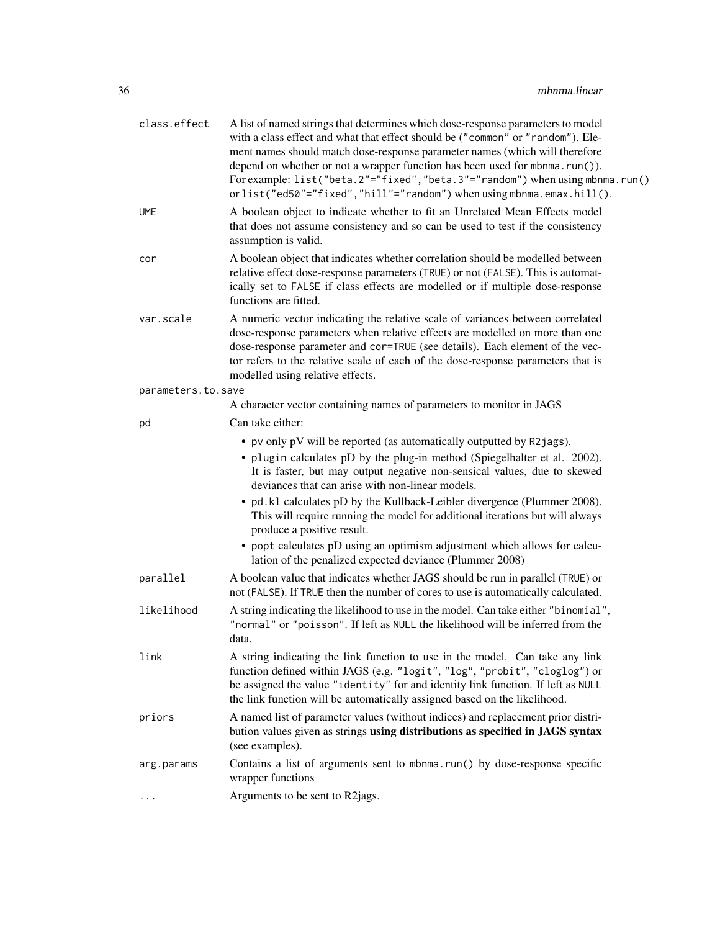| class.effect       | A list of named strings that determines which dose-response parameters to model<br>with a class effect and what that effect should be ("common" or "random"). Ele-<br>ment names should match dose-response parameter names (which will therefore<br>depend on whether or not a wrapper function has been used for mbnma.run()).<br>For example: list("beta.2"="fixed","beta.3"="random") when using mbnma.run()<br>or list("ed50"="fixed","hill"="random") when using mbnma.emax.hill(). |
|--------------------|-------------------------------------------------------------------------------------------------------------------------------------------------------------------------------------------------------------------------------------------------------------------------------------------------------------------------------------------------------------------------------------------------------------------------------------------------------------------------------------------|
| <b>UME</b>         | A boolean object to indicate whether to fit an Unrelated Mean Effects model<br>that does not assume consistency and so can be used to test if the consistency<br>assumption is valid.                                                                                                                                                                                                                                                                                                     |
| cor                | A boolean object that indicates whether correlation should be modelled between<br>relative effect dose-response parameters (TRUE) or not (FALSE). This is automat-<br>ically set to FALSE if class effects are modelled or if multiple dose-response<br>functions are fitted.                                                                                                                                                                                                             |
| var.scale          | A numeric vector indicating the relative scale of variances between correlated<br>dose-response parameters when relative effects are modelled on more than one<br>dose-response parameter and cor=TRUE (see details). Each element of the vec-<br>tor refers to the relative scale of each of the dose-response parameters that is<br>modelled using relative effects.                                                                                                                    |
| parameters.to.save |                                                                                                                                                                                                                                                                                                                                                                                                                                                                                           |
|                    | A character vector containing names of parameters to monitor in JAGS                                                                                                                                                                                                                                                                                                                                                                                                                      |
| pd                 | Can take either:                                                                                                                                                                                                                                                                                                                                                                                                                                                                          |
|                    | • pv only pV will be reported (as automatically outputted by R2jags).<br>• plugin calculates pD by the plug-in method (Spiegelhalter et al. 2002).<br>It is faster, but may output negative non-sensical values, due to skewed<br>deviances that can arise with non-linear models.                                                                                                                                                                                                        |
|                    | • pd. k1 calculates pD by the Kullback-Leibler divergence (Plummer 2008).<br>This will require running the model for additional iterations but will always<br>produce a positive result.                                                                                                                                                                                                                                                                                                  |
|                    | • popt calculates pD using an optimism adjustment which allows for calcu-<br>lation of the penalized expected deviance (Plummer 2008)                                                                                                                                                                                                                                                                                                                                                     |
| parallel           | A boolean value that indicates whether JAGS should be run in parallel (TRUE) or<br>not (FALSE). If TRUE then the number of cores to use is automatically calculated.                                                                                                                                                                                                                                                                                                                      |
| likelihood         | A string indicating the likelihood to use in the model. Can take either "binomial",<br>"normal" or "poisson". If left as NULL the likelihood will be inferred from the<br>data.                                                                                                                                                                                                                                                                                                           |
| link               | A string indicating the link function to use in the model. Can take any link<br>function defined within JAGS (e.g. "logit", "log", "probit", "cloglog") or<br>be assigned the value "identity" for and identity link function. If left as NULL<br>the link function will be automatically assigned based on the likelihood.                                                                                                                                                               |
| priors             | A named list of parameter values (without indices) and replacement prior distri-<br>bution values given as strings using distributions as specified in JAGS syntax<br>(see examples).                                                                                                                                                                                                                                                                                                     |
| arg.params         | Contains a list of arguments sent to mbnma.run() by dose-response specific<br>wrapper functions                                                                                                                                                                                                                                                                                                                                                                                           |
|                    | Arguments to be sent to R2jags.                                                                                                                                                                                                                                                                                                                                                                                                                                                           |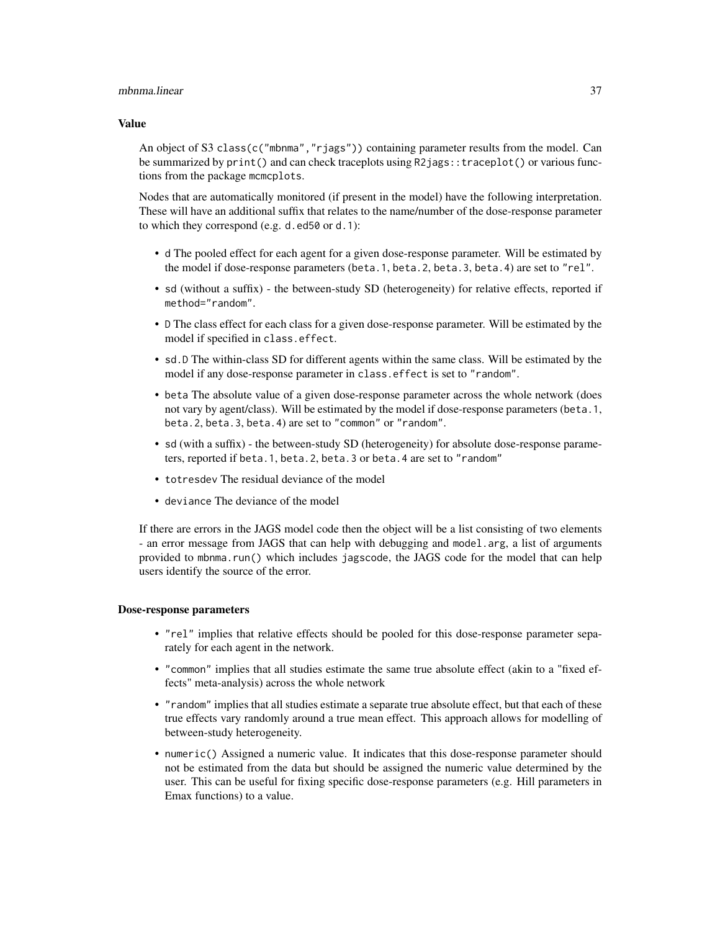#### mbnma.linear 37

### Value

An object of S3 class(c("mbnma", "rjags")) containing parameter results from the model. Can be summarized by print() and can check traceplots using R2jags::traceplot() or various functions from the package mcmcplots.

Nodes that are automatically monitored (if present in the model) have the following interpretation. These will have an additional suffix that relates to the name/number of the dose-response parameter to which they correspond (e.g. d.ed50 or d.1):

- d The pooled effect for each agent for a given dose-response parameter. Will be estimated by the model if dose-response parameters (beta.1, beta.2, beta.3, beta.4) are set to "rel".
- sd (without a suffix) the between-study SD (heterogeneity) for relative effects, reported if method="random".
- D The class effect for each class for a given dose-response parameter. Will be estimated by the model if specified in class.effect.
- sd.D The within-class SD for different agents within the same class. Will be estimated by the model if any dose-response parameter in class.effect is set to "random".
- beta The absolute value of a given dose-response parameter across the whole network (does not vary by agent/class). Will be estimated by the model if dose-response parameters (beta.1, beta.2, beta.3, beta.4) are set to "common" or "random".
- sd (with a suffix) the between-study SD (heterogeneity) for absolute dose-response parameters, reported if beta.1, beta.2, beta.3 or beta.4 are set to "random"
- totresdev The residual deviance of the model
- deviance The deviance of the model

If there are errors in the JAGS model code then the object will be a list consisting of two elements - an error message from JAGS that can help with debugging and model.arg, a list of arguments provided to mbnma.run() which includes jagscode, the JAGS code for the model that can help users identify the source of the error.

#### Dose-response parameters

- "rel" implies that relative effects should be pooled for this dose-response parameter separately for each agent in the network.
- "common" implies that all studies estimate the same true absolute effect (akin to a "fixed effects" meta-analysis) across the whole network
- "random" implies that all studies estimate a separate true absolute effect, but that each of these true effects vary randomly around a true mean effect. This approach allows for modelling of between-study heterogeneity.
- numeric() Assigned a numeric value. It indicates that this dose-response parameter should not be estimated from the data but should be assigned the numeric value determined by the user. This can be useful for fixing specific dose-response parameters (e.g. Hill parameters in Emax functions) to a value.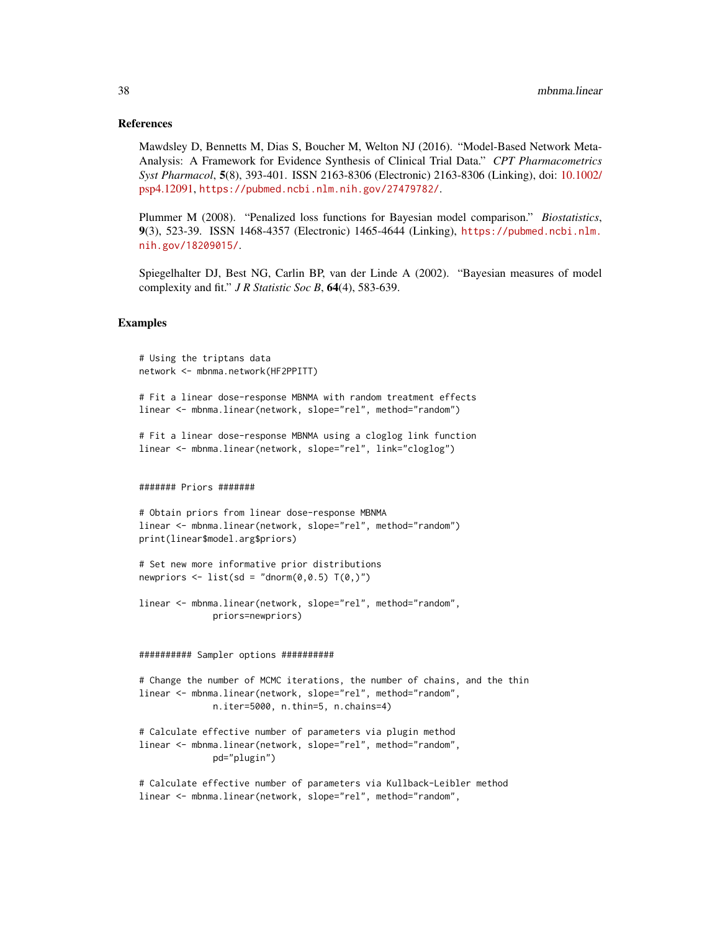#### References

Mawdsley D, Bennetts M, Dias S, Boucher M, Welton NJ (2016). "Model-Based Network Meta-Analysis: A Framework for Evidence Synthesis of Clinical Trial Data." *CPT Pharmacometrics Syst Pharmacol*, 5(8), 393-401. ISSN 2163-8306 (Electronic) 2163-8306 (Linking), doi: [10.1002/](https://doi.org/10.1002/psp4.12091) [psp4.12091,](https://doi.org/10.1002/psp4.12091) <https://pubmed.ncbi.nlm.nih.gov/27479782/>.

Plummer M (2008). "Penalized loss functions for Bayesian model comparison." *Biostatistics*, 9(3), 523-39. ISSN 1468-4357 (Electronic) 1465-4644 (Linking), [https://pubmed.ncbi.nlm.](https://pubmed.ncbi.nlm.nih.gov/18209015/) [nih.gov/18209015/](https://pubmed.ncbi.nlm.nih.gov/18209015/).

Spiegelhalter DJ, Best NG, Carlin BP, van der Linde A (2002). "Bayesian measures of model complexity and fit." *J R Statistic Soc B*, 64(4), 583-639.

#### Examples

```
# Using the triptans data
network <- mbnma.network(HF2PPITT)
# Fit a linear dose-response MBNMA with random treatment effects
linear <- mbnma.linear(network, slope="rel", method="random")
# Fit a linear dose-response MBNMA using a cloglog link function
linear <- mbnma.linear(network, slope="rel", link="cloglog")
####### Priors #######
# Obtain priors from linear dose-response MBNMA
linear <- mbnma.linear(network, slope="rel", method="random")
print(linear$model.arg$priors)
# Set new more informative prior distributions
newpriors \le list(sd = "dnorm(0,0.5) T(0,)")
linear <- mbnma.linear(network, slope="rel", method="random",
              priors=newpriors)
########## Sampler options ##########
# Change the number of MCMC iterations, the number of chains, and the thin
linear <- mbnma.linear(network, slope="rel", method="random",
              n.iter=5000, n.thin=5, n.chains=4)
# Calculate effective number of parameters via plugin method
linear <- mbnma.linear(network, slope="rel", method="random",
              pd="plugin")
# Calculate effective number of parameters via Kullback-Leibler method
linear <- mbnma.linear(network, slope="rel", method="random",
```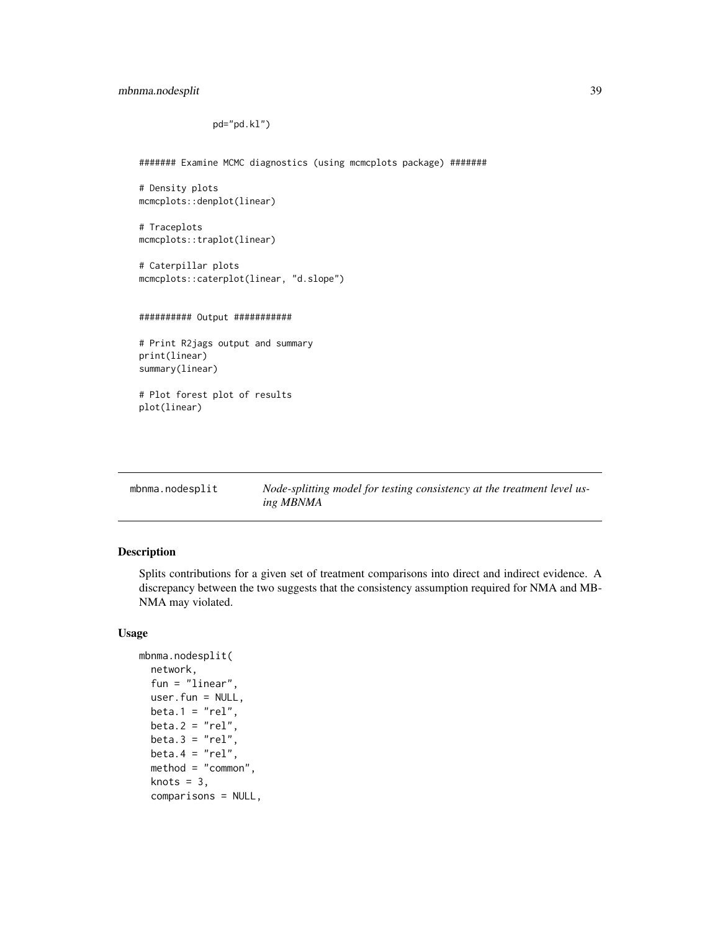## mbnma.nodesplit 39

pd="pd.kl")

####### Examine MCMC diagnostics (using mcmcplots package) #######

# Density plots mcmcplots::denplot(linear)

# Traceplots mcmcplots::traplot(linear)

# Caterpillar plots mcmcplots::caterplot(linear, "d.slope")

########## Output ###########

# Print R2jags output and summary print(linear) summary(linear)

# Plot forest plot of results plot(linear)

| mbnma.nodesplit | Node-splitting model for testing consistency at the treatment level us- |
|-----------------|-------------------------------------------------------------------------|
|                 | <i>ing MBNMA</i>                                                        |

## Description

Splits contributions for a given set of treatment comparisons into direct and indirect evidence. A discrepancy between the two suggests that the consistency assumption required for NMA and MB-NMA may violated.

### Usage

```
mbnma.nodesplit(
  network,
  fun = "linear",
  user.fun = NULL,
 beta.1 = "rel",beta.2 = "rel".
 beta.3 = "rel",
 beta.4 = "rel",
 method = "common",
  knots = 3,
  comparisons = NULL,
```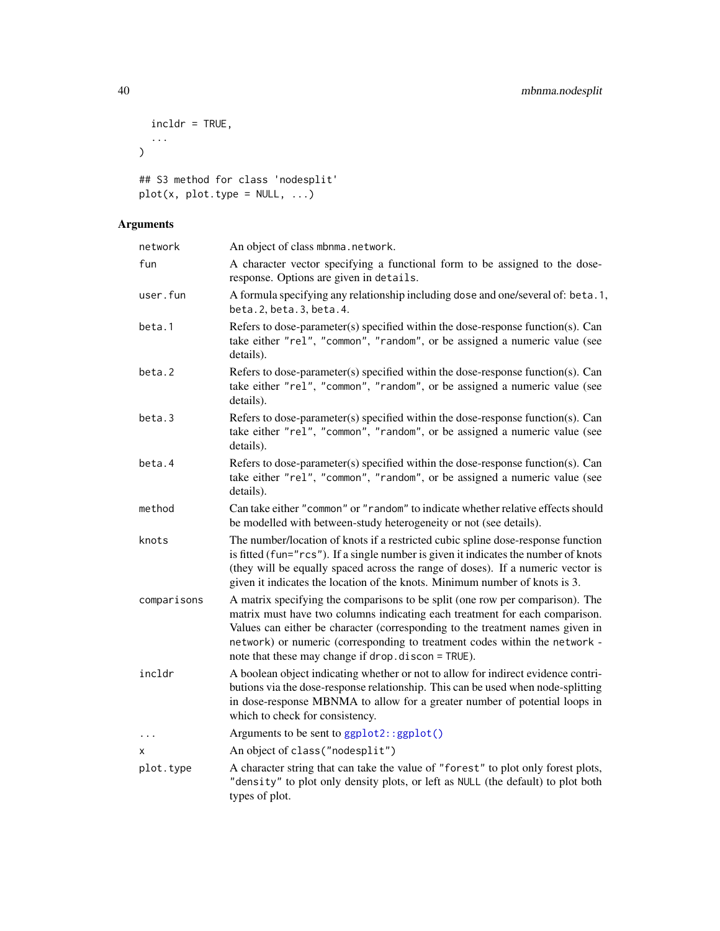```
incldr = TRUE,
  ...
\lambda
```

```
## S3 method for class 'nodesplit'
plot(x, plot_type = NULL, ...)
```

| network     | An object of class mbnma.network.                                                                                                                                                                                                                                                                                                                                                 |
|-------------|-----------------------------------------------------------------------------------------------------------------------------------------------------------------------------------------------------------------------------------------------------------------------------------------------------------------------------------------------------------------------------------|
| fun         | A character vector specifying a functional form to be assigned to the dose-<br>response. Options are given in details.                                                                                                                                                                                                                                                            |
| user.fun    | A formula specifying any relationship including dose and one/several of: beta.1,<br>beta.2, beta.3, beta.4.                                                                                                                                                                                                                                                                       |
| beta.1      | Refers to dose-parameter(s) specified within the dose-response function(s). Can<br>take either "rel", "common", "random", or be assigned a numeric value (see<br>details).                                                                                                                                                                                                        |
| beta.2      | Refers to dose-parameter(s) specified within the dose-response function(s). Can<br>take either "rel", "common", "random", or be assigned a numeric value (see<br>details).                                                                                                                                                                                                        |
| beta.3      | Refers to dose-parameter(s) specified within the dose-response function(s). Can<br>take either "rel", "common", "random", or be assigned a numeric value (see<br>details).                                                                                                                                                                                                        |
| beta.4      | Refers to dose-parameter(s) specified within the dose-response function(s). Can<br>take either "rel", "common", "random", or be assigned a numeric value (see<br>details).                                                                                                                                                                                                        |
| method      | Can take either "common" or "random" to indicate whether relative effects should<br>be modelled with between-study heterogeneity or not (see details).                                                                                                                                                                                                                            |
| knots       | The number/location of knots if a restricted cubic spline dose-response function<br>is fitted (fun="rcs"). If a single number is given it indicates the number of knots<br>(they will be equally spaced across the range of doses). If a numeric vector is<br>given it indicates the location of the knots. Minimum number of knots is 3.                                         |
| comparisons | A matrix specifying the comparisons to be split (one row per comparison). The<br>matrix must have two columns indicating each treatment for each comparison.<br>Values can either be character (corresponding to the treatment names given in<br>network) or numeric (corresponding to treatment codes within the network -<br>note that these may change if drop.discon = TRUE). |
| incldr      | A boolean object indicating whether or not to allow for indirect evidence contri-<br>butions via the dose-response relationship. This can be used when node-splitting<br>in dose-response MBNMA to allow for a greater number of potential loops in<br>which to check for consistency.                                                                                            |
|             | Arguments to be sent to ggplot2::ggplot()                                                                                                                                                                                                                                                                                                                                         |
| х           | An object of class ("nodesplit")                                                                                                                                                                                                                                                                                                                                                  |
| plot.type   | A character string that can take the value of "forest" to plot only forest plots,<br>"density" to plot only density plots, or left as NULL (the default) to plot both<br>types of plot.                                                                                                                                                                                           |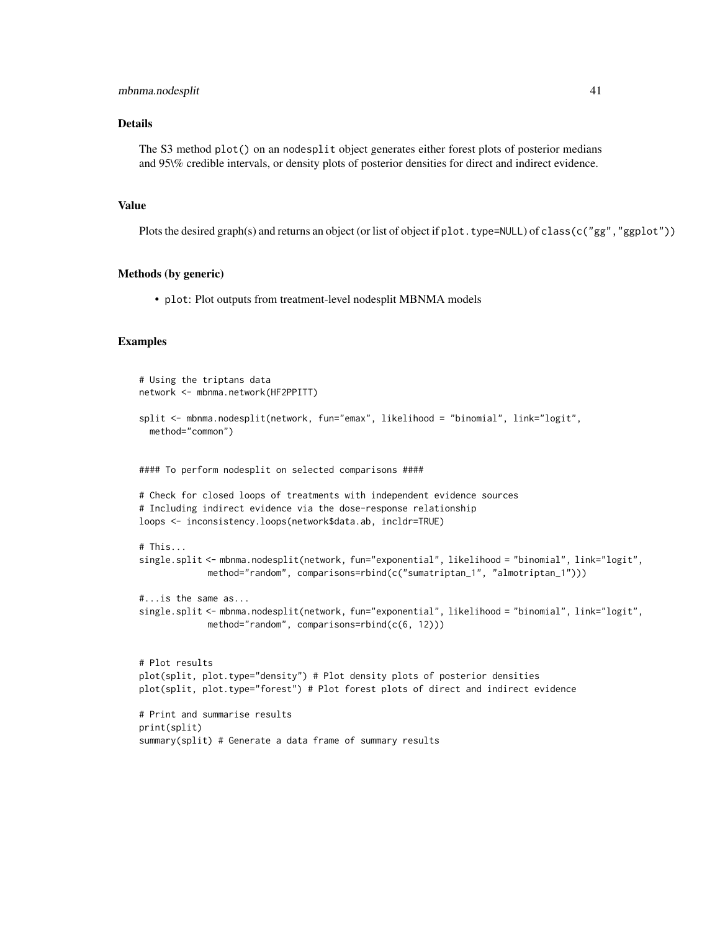### Details

The S3 method plot() on an nodesplit object generates either forest plots of posterior medians and 95\% credible intervals, or density plots of posterior densities for direct and indirect evidence.

### Value

Plots the desired graph(s) and returns an object (or list of object if plot. type=NULL) of class(c("gg", "ggplot"))

#### Methods (by generic)

• plot: Plot outputs from treatment-level nodesplit MBNMA models

## Examples

```
# Using the triptans data
network <- mbnma.network(HF2PPITT)
split <- mbnma.nodesplit(network, fun="emax", likelihood = "binomial", link="logit",
  method="common")
#### To perform nodesplit on selected comparisons ####
# Check for closed loops of treatments with independent evidence sources
# Including indirect evidence via the dose-response relationship
loops <- inconsistency.loops(network$data.ab, incldr=TRUE)
# This...
single.split <- mbnma.nodesplit(network, fun="exponential", likelihood = "binomial", link="logit",
             method="random", comparisons=rbind(c("sumatriptan_1", "almotriptan_1")))
#...is the same as...
single.split <- mbnma.nodesplit(network, fun="exponential", likelihood = "binomial", link="logit",
             method="random", comparisons=rbind(c(6, 12)))
# Plot results
plot(split, plot.type="density") # Plot density plots of posterior densities
plot(split, plot.type="forest") # Plot forest plots of direct and indirect evidence
# Print and summarise results
print(split)
summary(split) # Generate a data frame of summary results
```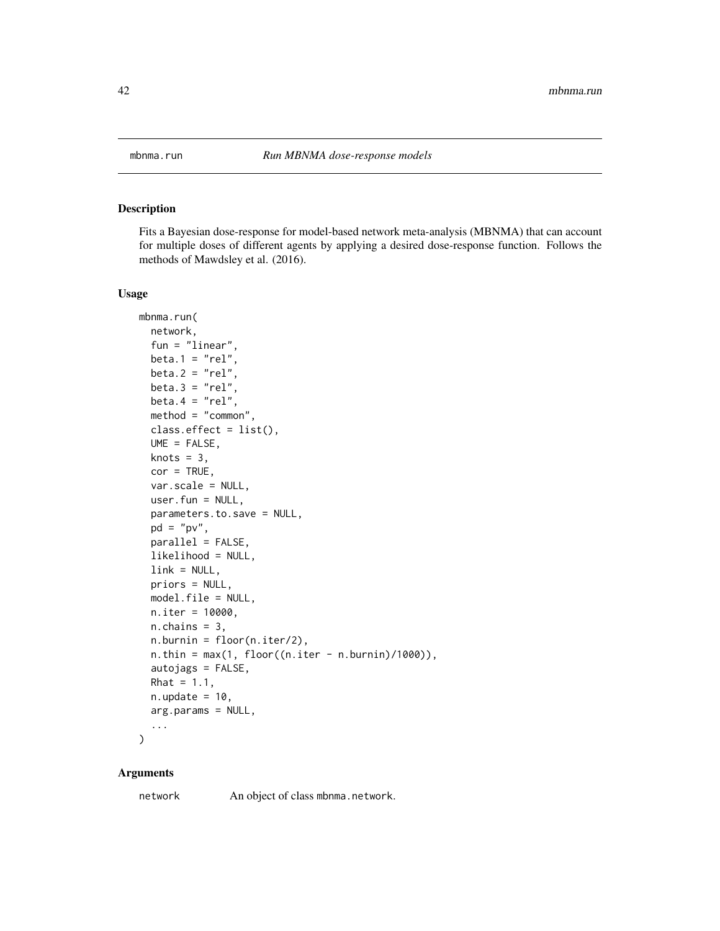### Description

Fits a Bayesian dose-response for model-based network meta-analysis (MBNMA) that can account for multiple doses of different agents by applying a desired dose-response function. Follows the methods of Mawdsley et al. (2016).

#### Usage

```
mbnma.run(
 network,
  fun = "linear",
  beta.1 = "rel",
 beta.2 = "rel",
  beta.3 = "rel",
 beta.4 = "rel",
 method = "common",
  class.effect = list(),
  UME = FALSE,
  knots = 3,
  cor = TRUE,var.scale = NULL,
  user.fun = NULL,
  parameters.to.save = NULL,
  pd = "pv",parallel = FALSE,
  likelihood = NULL,
  link = NULL,
  priors = NULL,
  model.file = NULL,
  n.iter = 10000,
  n.chains = 3,
  n.burnin = floor(n.iter/2),
  n.thin = max(1, floor((n.iter - n.burnin)/1000)),autojags = FALSE,
  Rhat = 1.1,
  n.update = 10,arg.params = NULL,
  ...
```
)

### Arguments

network An object of class mbnma.network.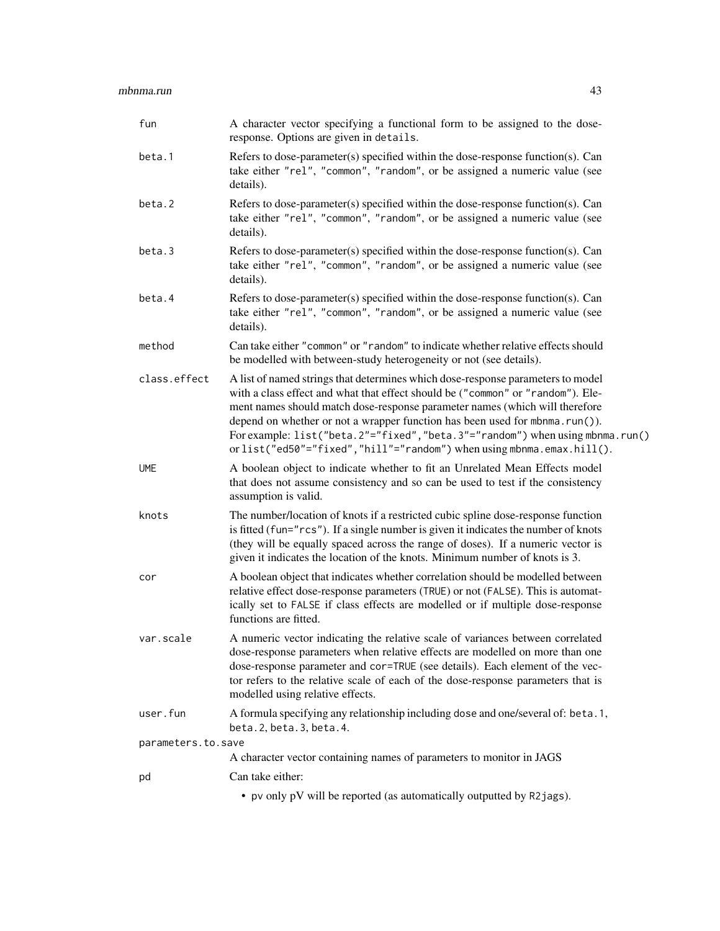| fun                | A character vector specifying a functional form to be assigned to the dose-<br>response. Options are given in details.                                                                                                                                                                                                                                                                                                                                                                    |
|--------------------|-------------------------------------------------------------------------------------------------------------------------------------------------------------------------------------------------------------------------------------------------------------------------------------------------------------------------------------------------------------------------------------------------------------------------------------------------------------------------------------------|
| beta.1             | Refers to dose-parameter(s) specified within the dose-response function(s). Can<br>take either "rel", "common", "random", or be assigned a numeric value (see<br>details).                                                                                                                                                                                                                                                                                                                |
| beta.2             | Refers to dose-parameter(s) specified within the dose-response function(s). Can<br>take either "rel", "common", "random", or be assigned a numeric value (see<br>details).                                                                                                                                                                                                                                                                                                                |
| beta.3             | Refers to dose-parameter(s) specified within the dose-response function(s). Can<br>take either "rel", "common", "random", or be assigned a numeric value (see<br>details).                                                                                                                                                                                                                                                                                                                |
| beta.4             | Refers to dose-parameter(s) specified within the dose-response function(s). Can<br>take either "rel", "common", "random", or be assigned a numeric value (see<br>details).                                                                                                                                                                                                                                                                                                                |
| method             | Can take either "common" or "random" to indicate whether relative effects should<br>be modelled with between-study heterogeneity or not (see details).                                                                                                                                                                                                                                                                                                                                    |
| class.effect       | A list of named strings that determines which dose-response parameters to model<br>with a class effect and what that effect should be ("common" or "random"). Ele-<br>ment names should match dose-response parameter names (which will therefore<br>depend on whether or not a wrapper function has been used for mbnma.run()).<br>For example: list("beta.2"="fixed","beta.3"="random") when using mbnma.run()<br>or list("ed50"="fixed","hill"="random") when using mbnma.emax.hill(). |
| <b>UME</b>         | A boolean object to indicate whether to fit an Unrelated Mean Effects model<br>that does not assume consistency and so can be used to test if the consistency<br>assumption is valid.                                                                                                                                                                                                                                                                                                     |
| knots              | The number/location of knots if a restricted cubic spline dose-response function<br>is fitted (fun="rcs"). If a single number is given it indicates the number of knots<br>(they will be equally spaced across the range of doses). If a numeric vector is<br>given it indicates the location of the knots. Minimum number of knots is 3.                                                                                                                                                 |
| cor                | A boolean object that indicates whether correlation should be modelled between<br>relative effect dose-response parameters (TRUE) or not (FALSE). This is automat-<br>ically set to FALSE if class effects are modelled or if multiple dose-response<br>functions are fitted.                                                                                                                                                                                                             |
| var.scale          | A numeric vector indicating the relative scale of variances between correlated<br>dose-response parameters when relative effects are modelled on more than one<br>dose-response parameter and cor=TRUE (see details). Each element of the vec-<br>tor refers to the relative scale of each of the dose-response parameters that is<br>modelled using relative effects.                                                                                                                    |
| user.fun           | A formula specifying any relationship including dose and one/several of: beta.1,<br>beta.2, beta.3, beta.4.                                                                                                                                                                                                                                                                                                                                                                               |
| parameters.to.save |                                                                                                                                                                                                                                                                                                                                                                                                                                                                                           |
|                    | A character vector containing names of parameters to monitor in JAGS                                                                                                                                                                                                                                                                                                                                                                                                                      |
| pd                 | Can take either:                                                                                                                                                                                                                                                                                                                                                                                                                                                                          |
|                    | • pv only pV will be reported (as automatically outputted by R2jags).                                                                                                                                                                                                                                                                                                                                                                                                                     |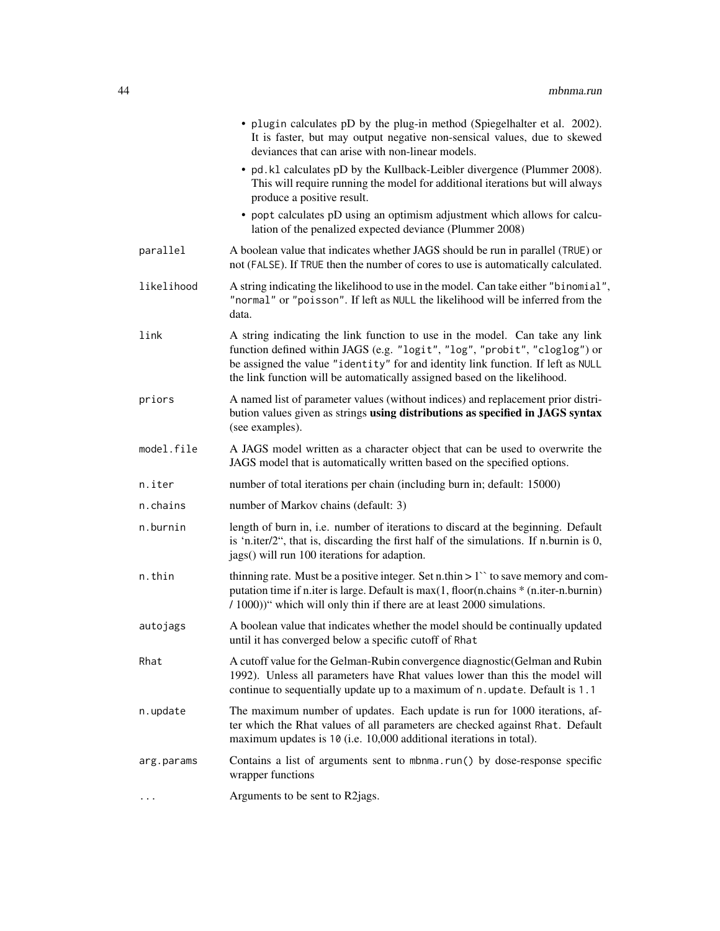|            | · plugin calculates pD by the plug-in method (Spiegelhalter et al. 2002).<br>It is faster, but may output negative non-sensical values, due to skewed<br>deviances that can arise with non-linear models.                                                                                                                   |
|------------|-----------------------------------------------------------------------------------------------------------------------------------------------------------------------------------------------------------------------------------------------------------------------------------------------------------------------------|
|            | • pd. k1 calculates pD by the Kullback-Leibler divergence (Plummer 2008).<br>This will require running the model for additional iterations but will always<br>produce a positive result.                                                                                                                                    |
|            | • popt calculates pD using an optimism adjustment which allows for calcu-<br>lation of the penalized expected deviance (Plummer 2008)                                                                                                                                                                                       |
| parallel   | A boolean value that indicates whether JAGS should be run in parallel (TRUE) or<br>not (FALSE). If TRUE then the number of cores to use is automatically calculated.                                                                                                                                                        |
| likelihood | A string indicating the likelihood to use in the model. Can take either "binomial",<br>"normal" or "poisson". If left as NULL the likelihood will be inferred from the<br>data.                                                                                                                                             |
| link       | A string indicating the link function to use in the model. Can take any link<br>function defined within JAGS (e.g. "logit", "log", "probit", "cloglog") or<br>be assigned the value "identity" for and identity link function. If left as NULL<br>the link function will be automatically assigned based on the likelihood. |
| priors     | A named list of parameter values (without indices) and replacement prior distri-<br>bution values given as strings using distributions as specified in JAGS syntax<br>(see examples).                                                                                                                                       |
| model.file | A JAGS model written as a character object that can be used to overwrite the<br>JAGS model that is automatically written based on the specified options.                                                                                                                                                                    |
| n.iter     | number of total iterations per chain (including burn in; default: 15000)                                                                                                                                                                                                                                                    |
| n.chains   | number of Markov chains (default: 3)                                                                                                                                                                                                                                                                                        |
| n.burnin   | length of burn in, i.e. number of iterations to discard at the beginning. Default<br>is 'n.iter/2", that is, discarding the first half of the simulations. If n.burnin is $0$ ,<br>jags() will run 100 iterations for adaption.                                                                                             |
| n.thin     | thinning rate. Must be a positive integer. Set n.thin $> 1$ to save memory and com-<br>putation time if n.iter is large. Default is max(1, floor(n.chains * (n.iter-n.burnin)<br>/ 1000))" which will only thin if there are at least 2000 simulations.                                                                     |
| autojags   | A boolean value that indicates whether the model should be continually updated<br>until it has converged below a specific cutoff of Rhat                                                                                                                                                                                    |
| Rhat       | A cutoff value for the Gelman-Rubin convergence diagnostic(Gelman and Rubin<br>1992). Unless all parameters have Rhat values lower than this the model will<br>continue to sequentially update up to a maximum of n. update. Default is 1.1                                                                                 |
| n.update   | The maximum number of updates. Each update is run for 1000 iterations, af-<br>ter which the Rhat values of all parameters are checked against Rhat. Default<br>maximum updates is 10 (i.e. 10,000 additional iterations in total).                                                                                          |
| arg.params | Contains a list of arguments sent to mbnma.run() by dose-response specific<br>wrapper functions                                                                                                                                                                                                                             |
| .          | Arguments to be sent to R2 jags.                                                                                                                                                                                                                                                                                            |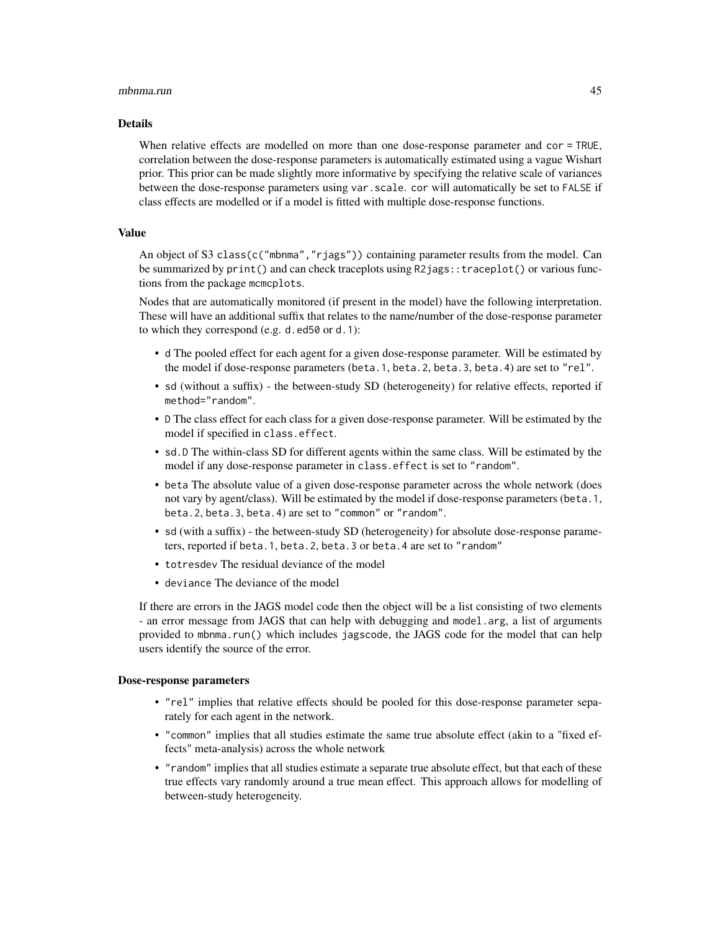#### mbnma.run 45

#### Details

When relative effects are modelled on more than one dose-response parameter and cor = TRUE, correlation between the dose-response parameters is automatically estimated using a vague Wishart prior. This prior can be made slightly more informative by specifying the relative scale of variances between the dose-response parameters using var.scale. cor will automatically be set to FALSE if class effects are modelled or if a model is fitted with multiple dose-response functions.

## Value

An object of S3 class(c("mbnma","rjags")) containing parameter results from the model. Can be summarized by print() and can check traceplots using R2jags::traceplot() or various functions from the package mcmcplots.

Nodes that are automatically monitored (if present in the model) have the following interpretation. These will have an additional suffix that relates to the name/number of the dose-response parameter to which they correspond (e.g. d.ed50 or d.1):

- d The pooled effect for each agent for a given dose-response parameter. Will be estimated by the model if dose-response parameters (beta.1, beta.2, beta.3, beta.4) are set to "rel".
- sd (without a suffix) the between-study SD (heterogeneity) for relative effects, reported if method="random".
- D The class effect for each class for a given dose-response parameter. Will be estimated by the model if specified in class.effect.
- sd.D The within-class SD for different agents within the same class. Will be estimated by the model if any dose-response parameter in class.effect is set to "random".
- beta The absolute value of a given dose-response parameter across the whole network (does not vary by agent/class). Will be estimated by the model if dose-response parameters (beta.1, beta.2, beta.3, beta.4) are set to "common" or "random".
- sd (with a suffix) the between-study SD (heterogeneity) for absolute dose-response parameters, reported if beta.1, beta.2, beta.3 or beta.4 are set to "random"
- totresdev The residual deviance of the model
- deviance The deviance of the model

If there are errors in the JAGS model code then the object will be a list consisting of two elements - an error message from JAGS that can help with debugging and model.arg, a list of arguments provided to mbnma.run() which includes jagscode, the JAGS code for the model that can help users identify the source of the error.

#### Dose-response parameters

- "rel" implies that relative effects should be pooled for this dose-response parameter separately for each agent in the network.
- "common" implies that all studies estimate the same true absolute effect (akin to a "fixed effects" meta-analysis) across the whole network
- "random" implies that all studies estimate a separate true absolute effect, but that each of these true effects vary randomly around a true mean effect. This approach allows for modelling of between-study heterogeneity.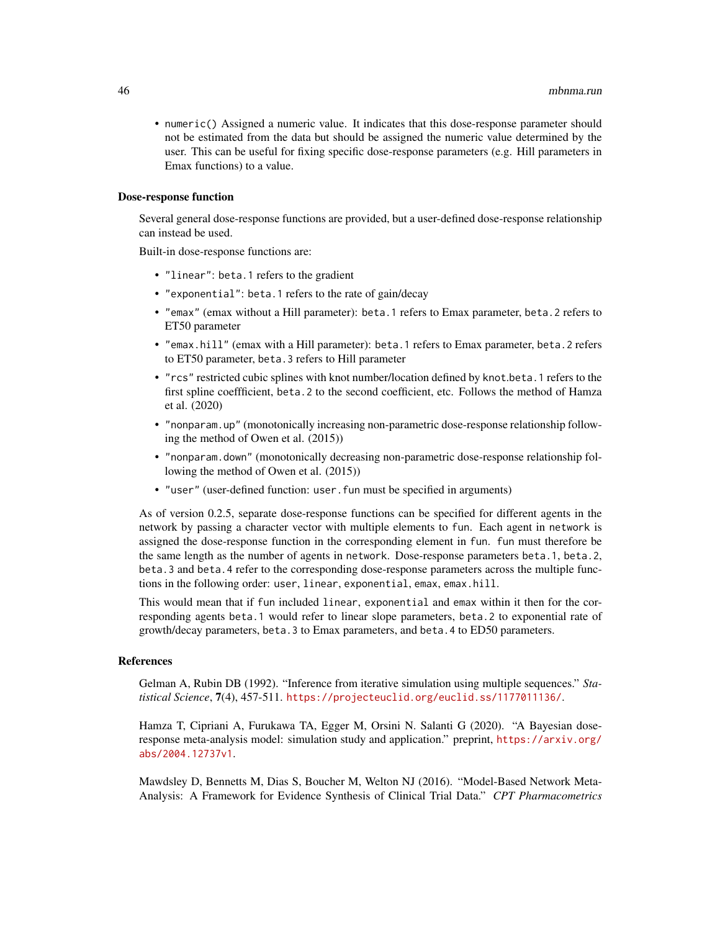• numeric() Assigned a numeric value. It indicates that this dose-response parameter should not be estimated from the data but should be assigned the numeric value determined by the user. This can be useful for fixing specific dose-response parameters (e.g. Hill parameters in Emax functions) to a value.

#### Dose-response function

Several general dose-response functions are provided, but a user-defined dose-response relationship can instead be used.

Built-in dose-response functions are:

- "linear": beta.1 refers to the gradient
- "exponential": beta.1 refers to the rate of gain/decay
- "emax" (emax without a Hill parameter): beta.1 refers to Emax parameter, beta.2 refers to ET50 parameter
- "emax.hill" (emax with a Hill parameter): beta.1 refers to Emax parameter, beta.2 refers to ET50 parameter, beta.3 refers to Hill parameter
- "rcs" restricted cubic splines with knot number/location defined by knot.beta.1 refers to the first spline coeffficient, beta.2 to the second coefficient, etc. Follows the method of Hamza et al. (2020)
- "nonparam.up" (monotonically increasing non-parametric dose-response relationship following the method of Owen et al. (2015))
- "nonparam.down" (monotonically decreasing non-parametric dose-response relationship following the method of Owen et al. (2015))
- "user" (user-defined function: user. fun must be specified in arguments)

As of version 0.2.5, separate dose-response functions can be specified for different agents in the network by passing a character vector with multiple elements to fun. Each agent in network is assigned the dose-response function in the corresponding element in fun. fun must therefore be the same length as the number of agents in network. Dose-response parameters beta.1, beta.2, beta.3 and beta.4 refer to the corresponding dose-response parameters across the multiple functions in the following order: user, linear, exponential, emax, emax.hill.

This would mean that if fun included linear, exponential and emax within it then for the corresponding agents beta.1 would refer to linear slope parameters, beta.2 to exponential rate of growth/decay parameters, beta.3 to Emax parameters, and beta.4 to ED50 parameters.

#### References

Gelman A, Rubin DB (1992). "Inference from iterative simulation using multiple sequences." *Statistical Science*, 7(4), 457-511. <https://projecteuclid.org/euclid.ss/1177011136/>.

Hamza T, Cipriani A, Furukawa TA, Egger M, Orsini N. Salanti G (2020). "A Bayesian doseresponse meta-analysis model: simulation study and application." preprint, [https://arxiv.org/](https://arxiv.org/abs/2004.12737v1) [abs/2004.12737v1](https://arxiv.org/abs/2004.12737v1).

Mawdsley D, Bennetts M, Dias S, Boucher M, Welton NJ (2016). "Model-Based Network Meta-Analysis: A Framework for Evidence Synthesis of Clinical Trial Data." *CPT Pharmacometrics*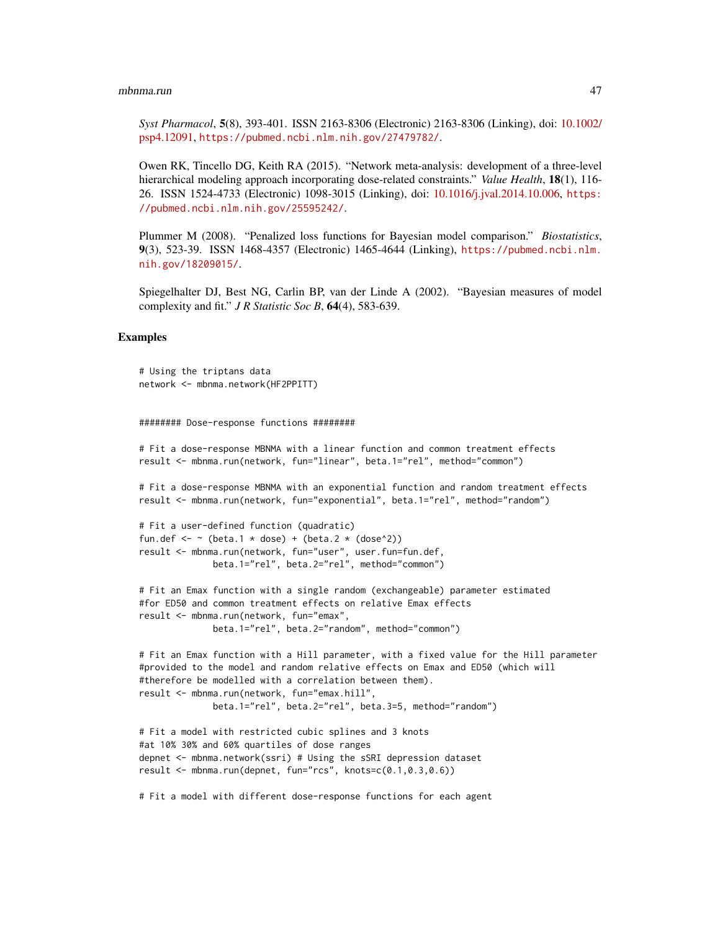#### mbnma.run 47

*Syst Pharmacol*, 5(8), 393-401. ISSN 2163-8306 (Electronic) 2163-8306 (Linking), doi: [10.1002/](https://doi.org/10.1002/psp4.12091) [psp4.12091,](https://doi.org/10.1002/psp4.12091) <https://pubmed.ncbi.nlm.nih.gov/27479782/>.

Owen RK, Tincello DG, Keith RA (2015). "Network meta-analysis: development of a three-level hierarchical modeling approach incorporating dose-related constraints." *Value Health*, 18(1), 116- 26. ISSN 1524-4733 (Electronic) 1098-3015 (Linking), doi: [10.1016/j.jval.2014.10.006,](https://doi.org/10.1016/j.jval.2014.10.006) [https:](https://pubmed.ncbi.nlm.nih.gov/25595242/) [//pubmed.ncbi.nlm.nih.gov/25595242/](https://pubmed.ncbi.nlm.nih.gov/25595242/).

Plummer M (2008). "Penalized loss functions for Bayesian model comparison." *Biostatistics*, 9(3), 523-39. ISSN 1468-4357 (Electronic) 1465-4644 (Linking), [https://pubmed.ncbi.nlm.](https://pubmed.ncbi.nlm.nih.gov/18209015/) [nih.gov/18209015/](https://pubmed.ncbi.nlm.nih.gov/18209015/).

Spiegelhalter DJ, Best NG, Carlin BP, van der Linde A (2002). "Bayesian measures of model complexity and fit." *J R Statistic Soc B*, 64(4), 583-639.

### Examples

```
# Using the triptans data
network <- mbnma.network(HF2PPITT)
######## Dose-response functions ########
# Fit a dose-response MBNMA with a linear function and common treatment effects
result <- mbnma.run(network, fun="linear", beta.1="rel", method="common")
# Fit a dose-response MBNMA with an exponential function and random treatment effects
result <- mbnma.run(network, fun="exponential", beta.1="rel", method="random")
# Fit a user-defined function (quadratic)
fun.def \leq - \leq (beta.1 \neq dose) + (beta.2 \neq (dose<sup>\geq</sup>))
result <- mbnma.run(network, fun="user", user.fun=fun.def,
              beta.1="rel", beta.2="rel", method="common")
# Fit an Emax function with a single random (exchangeable) parameter estimated
#for ED50 and common treatment effects on relative Emax effects
result <- mbnma.run(network, fun="emax",
              beta.1="rel", beta.2="random", method="common")
# Fit an Emax function with a Hill parameter, with a fixed value for the Hill parameter
#provided to the model and random relative effects on Emax and ED50 (which will
#therefore be modelled with a correlation between them).
result <- mbnma.run(network, fun="emax.hill",
              beta.1="rel", beta.2="rel", beta.3=5, method="random")
# Fit a model with restricted cubic splines and 3 knots
#at 10% 30% and 60% quartiles of dose ranges
depnet <- mbnma.network(ssri) # Using the sSRI depression dataset
result <- mbnma.run(depnet, fun="rcs", knots=c(0.1,0.3,0.6))
# Fit a model with different dose-response functions for each agent
```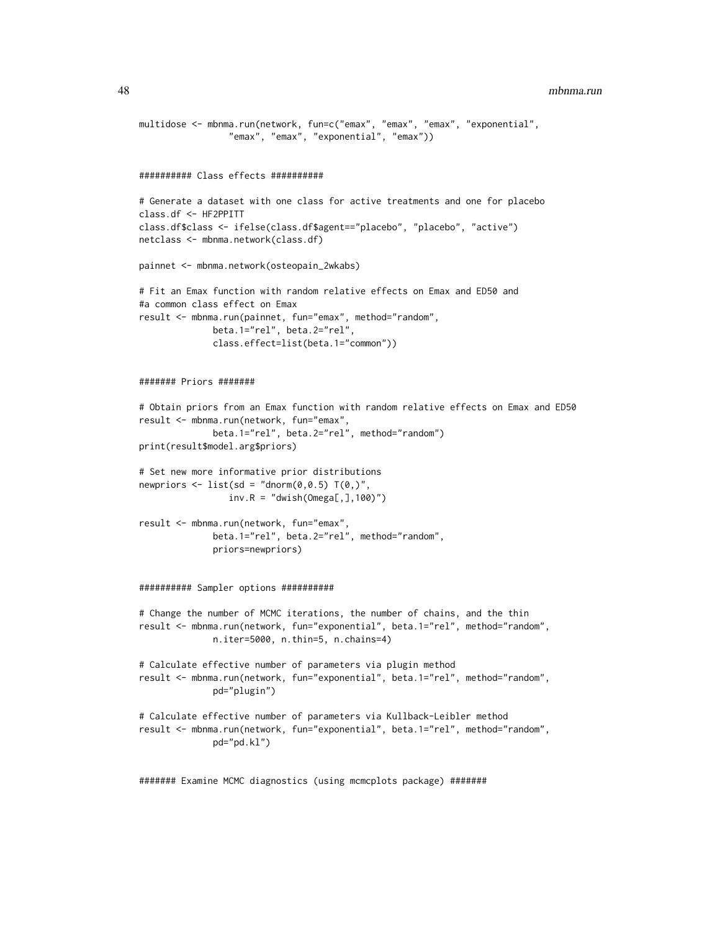```
48 mbnma.run
```

```
multidose <- mbnma.run(network, fun=c("emax", "emax", "emax", "exponential",
                 "emax", "emax", "exponential", "emax"))
########## Class effects ##########
# Generate a dataset with one class for active treatments and one for placebo
class.df <- HF2PPITT
class.df$class <- ifelse(class.df$agent=="placebo", "placebo", "active")
netclass <- mbnma.network(class.df)
painnet <- mbnma.network(osteopain_2wkabs)
# Fit an Emax function with random relative effects on Emax and ED50 and
#a common class effect on Emax
result <- mbnma.run(painnet, fun="emax", method="random",
             beta.1="rel", beta.2="rel",
              class.effect=list(beta.1="common"))
####### Priors #######
# Obtain priors from an Emax function with random relative effects on Emax and ED50
result <- mbnma.run(network, fun="emax",
             beta.1="rel", beta.2="rel", method="random")
print(result$model.arg$priors)
# Set new more informative prior distributions
newpriors \le list(sd = "dnorm(0,0.5) T(0,)",
                inv.R = "d wish(Omega[,], 100)")result <- mbnma.run(network, fun="emax",
             beta.1="rel", beta.2="rel", method="random",
              priors=newpriors)
########## Sampler options ##########
# Change the number of MCMC iterations, the number of chains, and the thin
result <- mbnma.run(network, fun="exponential", beta.1="rel", method="random",
              n.iter=5000, n.thin=5, n.chains=4)
# Calculate effective number of parameters via plugin method
result <- mbnma.run(network, fun="exponential", beta.1="rel", method="random",
             pd="plugin")
# Calculate effective number of parameters via Kullback-Leibler method
result <- mbnma.run(network, fun="exponential", beta.1="rel", method="random",
             pd="pd.kl")
```
####### Examine MCMC diagnostics (using mcmcplots package) #######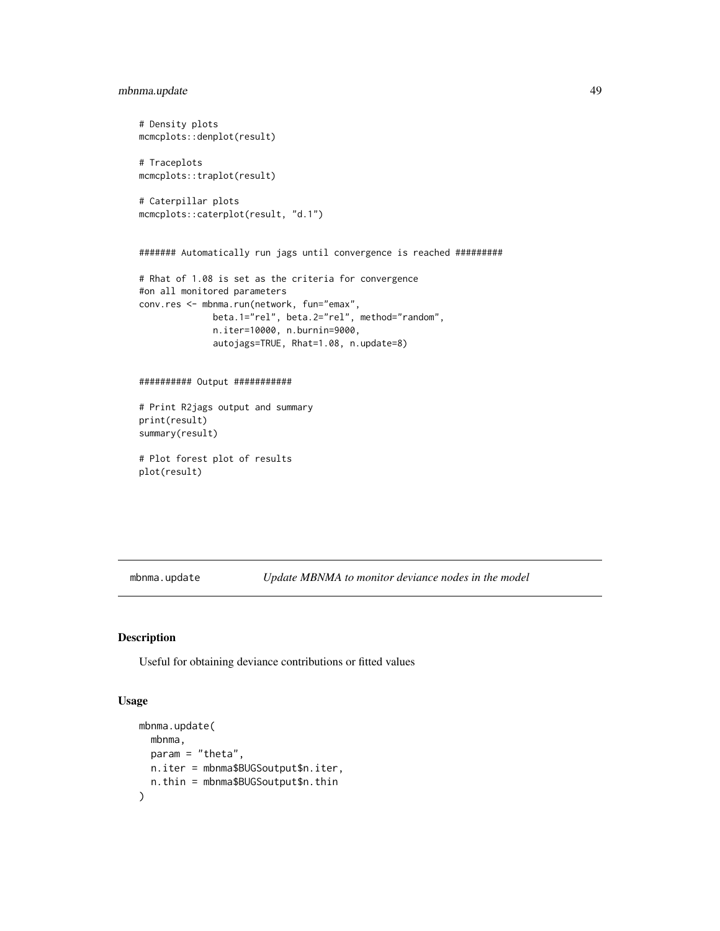```
mbnma.update 49
```

```
# Density plots
mcmcplots::denplot(result)
# Traceplots
mcmcplots::traplot(result)
# Caterpillar plots
mcmcplots::caterplot(result, "d.1")
####### Automatically run jags until convergence is reached #########
# Rhat of 1.08 is set as the criteria for convergence
#on all monitored parameters
conv.res <- mbnma.run(network, fun="emax",
             beta.1="rel", beta.2="rel", method="random",
             n.iter=10000, n.burnin=9000,
              autojags=TRUE, Rhat=1.08, n.update=8)
########## Output ###########
# Print R2jags output and summary
print(result)
summary(result)
# Plot forest plot of results
plot(result)
```
mbnma.update *Update MBNMA to monitor deviance nodes in the model*

### Description

Useful for obtaining deviance contributions or fitted values

### Usage

```
mbnma.update(
 mbnma,
 param = "theta",n.iter = mbnma$BUGSoutput$n.iter,
 n.thin = mbnma$BUGSoutput$n.thin
)
```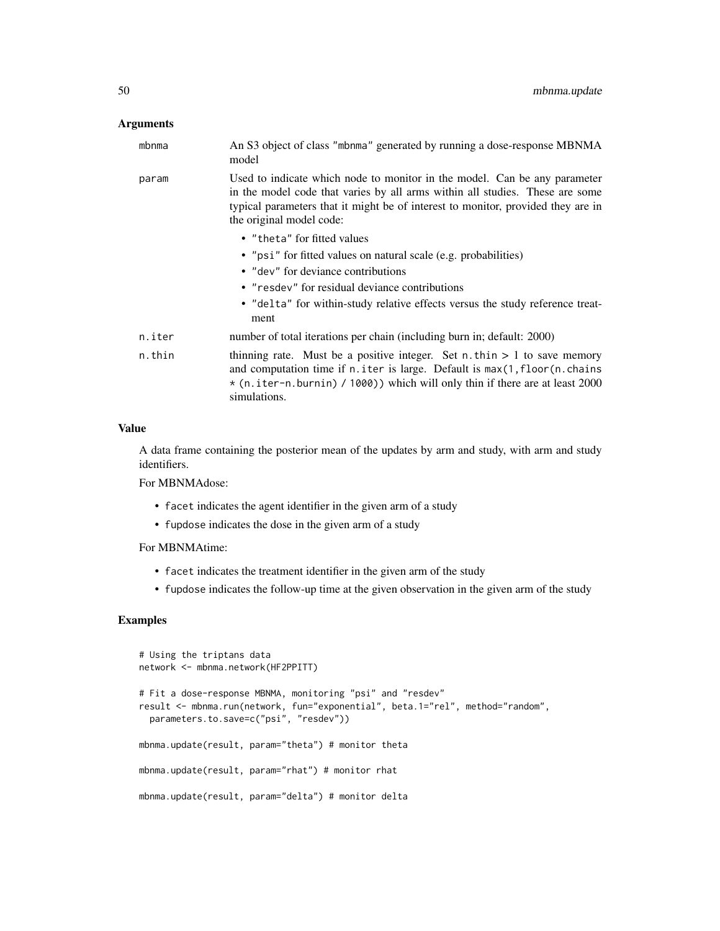## Arguments

| mbnma  | An S3 object of class "mbnma" generated by running a dose-response MBNMA<br>model                                                                                                                                                                                         |
|--------|---------------------------------------------------------------------------------------------------------------------------------------------------------------------------------------------------------------------------------------------------------------------------|
| param  | Used to indicate which node to monitor in the model. Can be any parameter<br>in the model code that varies by all arms within all studies. These are some<br>typical parameters that it might be of interest to monitor, provided they are in<br>the original model code: |
|        | • "theta" for fitted values                                                                                                                                                                                                                                               |
|        | • "psi" for fitted values on natural scale (e.g. probabilities)                                                                                                                                                                                                           |
|        | • "dev" for deviance contributions                                                                                                                                                                                                                                        |
|        | • "resdev" for residual deviance contributions                                                                                                                                                                                                                            |
|        | • "delta" for within-study relative effects versus the study reference treat-<br>ment                                                                                                                                                                                     |
| n.iter | number of total iterations per chain (including burn in; default: 2000)                                                                                                                                                                                                   |
| n.thin | thinning rate. Must be a positive integer. Set n.thin $> 1$ to save memory<br>and computation time if $n$ , iter is large. Default is $max(1, floor(n, chains))$<br>* (n.iter-n.burnin) / 1000)) which will only thin if there are at least 2000<br>simulations.          |

### Value

A data frame containing the posterior mean of the updates by arm and study, with arm and study identifiers.

For MBNMAdose:

- facet indicates the agent identifier in the given arm of a study
- fupdose indicates the dose in the given arm of a study

For MBNMAtime:

- facet indicates the treatment identifier in the given arm of the study
- fupdose indicates the follow-up time at the given observation in the given arm of the study

## Examples

```
# Using the triptans data
network <- mbnma.network(HF2PPITT)
# Fit a dose-response MBNMA, monitoring "psi" and "resdev"
result <- mbnma.run(network, fun="exponential", beta.1="rel", method="random",
  parameters.to.save=c("psi", "resdev"))
mbnma.update(result, param="theta") # monitor theta
mbnma.update(result, param="rhat") # monitor rhat
mbnma.update(result, param="delta") # monitor delta
```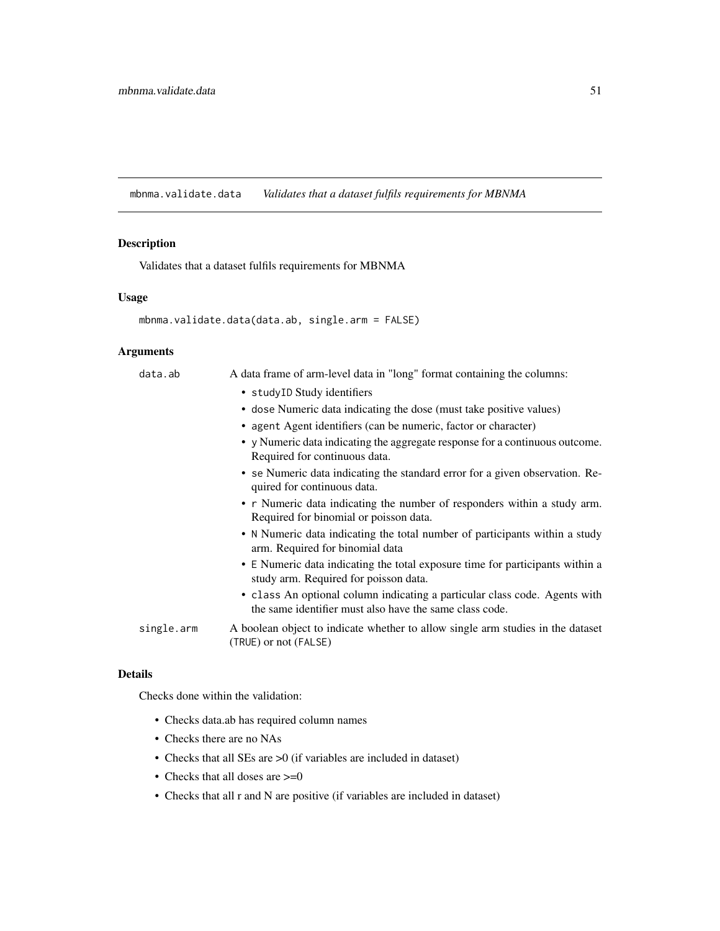mbnma.validate.data *Validates that a dataset fulfils requirements for MBNMA*

## Description

Validates that a dataset fulfils requirements for MBNMA

### Usage

```
mbnma.validate.data(data.ab, single.arm = FALSE)
```
## Arguments

| data.ab    | A data frame of arm-level data in "long" format containing the columns:                                                               |
|------------|---------------------------------------------------------------------------------------------------------------------------------------|
|            | • studyID Study identifiers                                                                                                           |
|            | • dose Numeric data indicating the dose (must take positive values)                                                                   |
|            | • agent Agent identifiers (can be numeric, factor or character)                                                                       |
|            | • y Numeric data indicating the aggregate response for a continuous outcome.<br>Required for continuous data.                         |
|            | • se Numeric data indicating the standard error for a given observation. Re-<br>quired for continuous data.                           |
|            | • r Numeric data indicating the number of responders within a study arm.<br>Required for binomial or poisson data.                    |
|            | • N Numeric data indicating the total number of participants within a study<br>arm. Required for binomial data                        |
|            | • E Numeric data indicating the total exposure time for participants within a<br>study arm. Required for poisson data.                |
|            | • class An optional column indicating a particular class code. Agents with<br>the same identifier must also have the same class code. |
| single.arm | A boolean object to indicate whether to allow single arm studies in the dataset<br>(TRUE) or not (FALSE)                              |

### Details

Checks done within the validation:

- Checks data.ab has required column names
- Checks there are no NAs
- Checks that all SEs are >0 (if variables are included in dataset)
- Checks that all doses are  $>=0$
- Checks that all r and N are positive (if variables are included in dataset)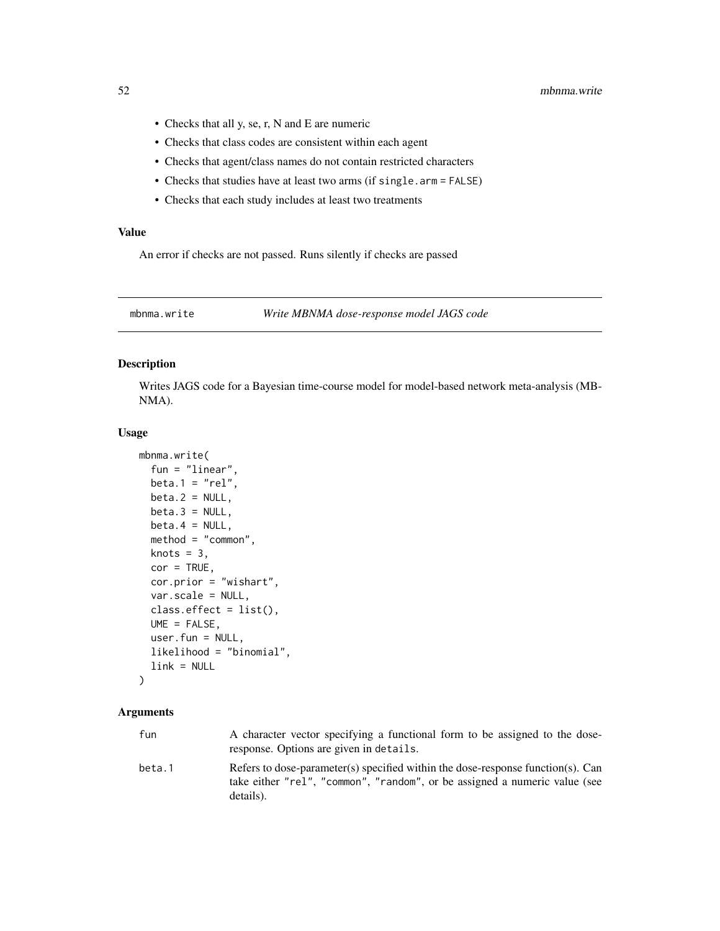- Checks that all y, se, r, N and E are numeric
- Checks that class codes are consistent within each agent
- Checks that agent/class names do not contain restricted characters
- Checks that studies have at least two arms (if single.arm = FALSE)
- Checks that each study includes at least two treatments

### Value

An error if checks are not passed. Runs silently if checks are passed

mbnma.write *Write MBNMA dose-response model JAGS code*

### Description

Writes JAGS code for a Bayesian time-course model for model-based network meta-analysis (MB-NMA).

### Usage

```
mbnma.write(
  fun = "linear",
  beta.1 = "rel",
 beta.2 = NULL,beta.3 = NULL,beta.4 = NULL,method = "common",
 knots = 3,
  cor = TRUE,
  cor.prior = "wishart",
  var.scale = NULL,
  class.effect = list(),
 UME = FALSE,user.fun = NULL,
  likelihood = "binomial",
  link = NULL
\mathcal{L}
```

| fun    | A character vector specifying a functional form to be assigned to the dose-<br>response. Options are given in details.                                                     |
|--------|----------------------------------------------------------------------------------------------------------------------------------------------------------------------------|
| beta.1 | Refers to dose-parameter(s) specified within the dose-response function(s). Can<br>take either "rel", "common", "random", or be assigned a numeric value (see<br>details). |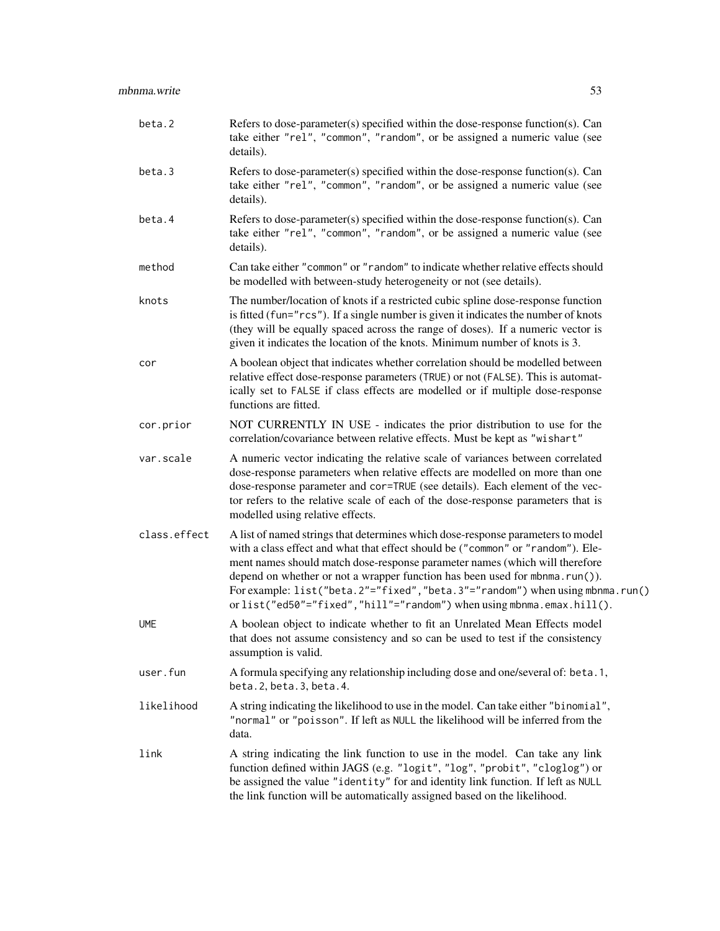| beta.2       | Refers to dose-parameter(s) specified within the dose-response function(s). Can<br>take either "rel", "common", "random", or be assigned a numeric value (see<br>details).                                                                                                                                                                                                                                                                                                                |
|--------------|-------------------------------------------------------------------------------------------------------------------------------------------------------------------------------------------------------------------------------------------------------------------------------------------------------------------------------------------------------------------------------------------------------------------------------------------------------------------------------------------|
| beta.3       | Refers to dose-parameter(s) specified within the dose-response function(s). Can<br>take either "rel", "common", "random", or be assigned a numeric value (see<br>details).                                                                                                                                                                                                                                                                                                                |
| beta.4       | Refers to dose-parameter(s) specified within the dose-response function(s). Can<br>take either "rel", "common", "random", or be assigned a numeric value (see<br>details).                                                                                                                                                                                                                                                                                                                |
| method       | Can take either "common" or "random" to indicate whether relative effects should<br>be modelled with between-study heterogeneity or not (see details).                                                                                                                                                                                                                                                                                                                                    |
| knots        | The number/location of knots if a restricted cubic spline dose-response function<br>is fitted (fun="rcs"). If a single number is given it indicates the number of knots<br>(they will be equally spaced across the range of doses). If a numeric vector is<br>given it indicates the location of the knots. Minimum number of knots is 3.                                                                                                                                                 |
| cor          | A boolean object that indicates whether correlation should be modelled between<br>relative effect dose-response parameters (TRUE) or not (FALSE). This is automat-<br>ically set to FALSE if class effects are modelled or if multiple dose-response<br>functions are fitted.                                                                                                                                                                                                             |
| cor.prior    | NOT CURRENTLY IN USE - indicates the prior distribution to use for the<br>correlation/covariance between relative effects. Must be kept as "wishart"                                                                                                                                                                                                                                                                                                                                      |
| var.scale    | A numeric vector indicating the relative scale of variances between correlated<br>dose-response parameters when relative effects are modelled on more than one<br>dose-response parameter and cor=TRUE (see details). Each element of the vec-<br>tor refers to the relative scale of each of the dose-response parameters that is<br>modelled using relative effects.                                                                                                                    |
| class.effect | A list of named strings that determines which dose-response parameters to model<br>with a class effect and what that effect should be ("common" or "random"). Ele-<br>ment names should match dose-response parameter names (which will therefore<br>depend on whether or not a wrapper function has been used for mbnma.run()).<br>For example: list("beta.2"="fixed","beta.3"="random") when using mbnma.run()<br>or list("ed50"="fixed","hill"="random") when using mbnma.emax.hill(). |
| <b>UME</b>   | A boolean object to indicate whether to fit an Unrelated Mean Effects model<br>that does not assume consistency and so can be used to test if the consistency<br>assumption is valid.                                                                                                                                                                                                                                                                                                     |
| user.fun     | A formula specifying any relationship including dose and one/several of: beta.1,<br>beta. 2, beta. 3, beta. 4.                                                                                                                                                                                                                                                                                                                                                                            |
| likelihood   | A string indicating the likelihood to use in the model. Can take either "binomial",<br>"normal" or "poisson". If left as NULL the likelihood will be inferred from the<br>data.                                                                                                                                                                                                                                                                                                           |
| link         | A string indicating the link function to use in the model. Can take any link<br>function defined within JAGS (e.g. "logit", "log", "probit", "cloglog") or<br>be assigned the value "identity" for and identity link function. If left as NULL<br>the link function will be automatically assigned based on the likelihood.                                                                                                                                                               |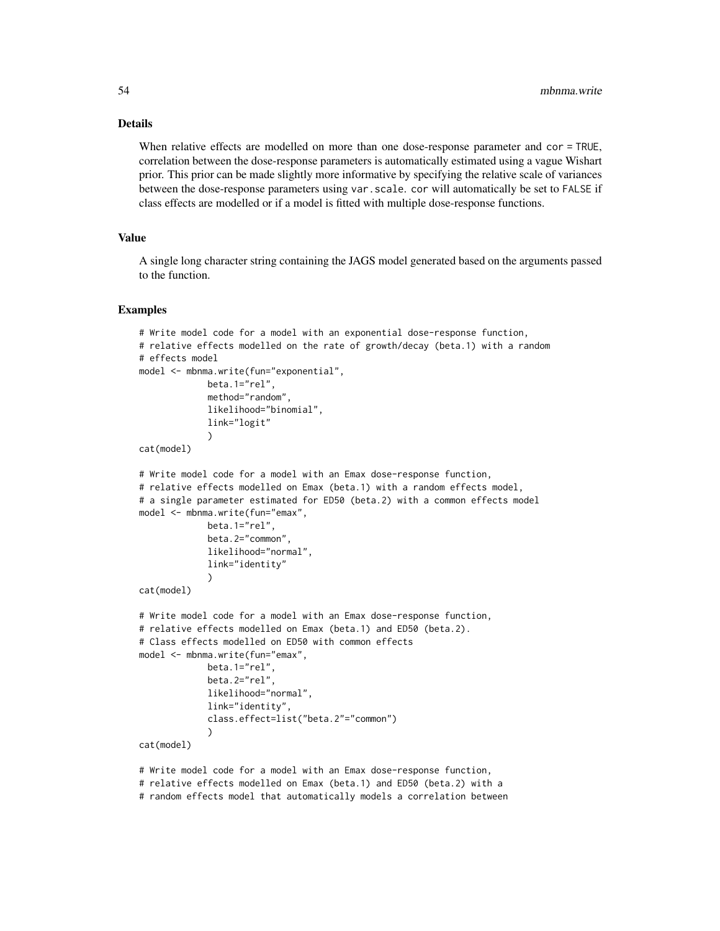## Details

When relative effects are modelled on more than one dose-response parameter and cor = TRUE, correlation between the dose-response parameters is automatically estimated using a vague Wishart prior. This prior can be made slightly more informative by specifying the relative scale of variances between the dose-response parameters using var.scale. cor will automatically be set to FALSE if class effects are modelled or if a model is fitted with multiple dose-response functions.

#### Value

A single long character string containing the JAGS model generated based on the arguments passed to the function.

#### Examples

```
# Write model code for a model with an exponential dose-response function,
# relative effects modelled on the rate of growth/decay (beta.1) with a random
# effects model
model <- mbnma.write(fun="exponential",
            beta.1="rel",
             method="random",
             likelihood="binomial",
             link="logit"
             )
cat(model)
# Write model code for a model with an Emax dose-response function,
# relative effects modelled on Emax (beta.1) with a random effects model,
# a single parameter estimated for ED50 (beta.2) with a common effects model
model <- mbnma.write(fun="emax",
            beta.1="rel",
             beta.2="common",
             likelihood="normal",
             link="identity"
             )
cat(model)
# Write model code for a model with an Emax dose-response function,
# relative effects modelled on Emax (beta.1) and ED50 (beta.2).
# Class effects modelled on ED50 with common effects
model <- mbnma.write(fun="emax",
            beta.1="rel",
             beta.2="rel",
             likelihood="normal",
             link="identity",
             class.effect=list("beta.2"="common")
             )
cat(model)
# Write model code for a model with an Emax dose-response function,
# relative effects modelled on Emax (beta.1) and ED50 (beta.2) with a
# random effects model that automatically models a correlation between
```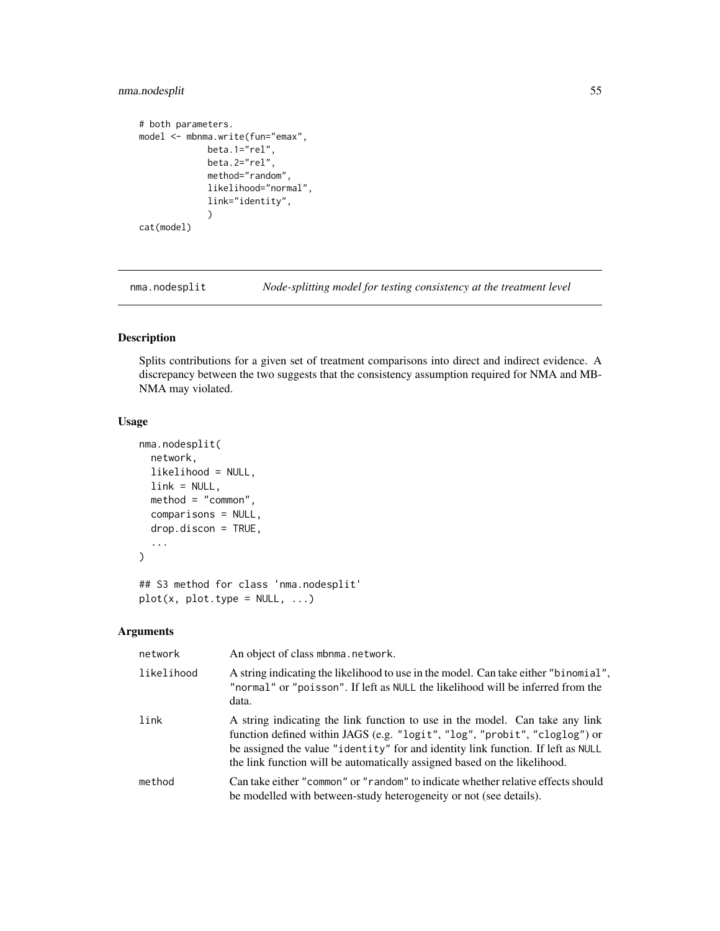## nma.nodesplit 55

```
# both parameters.
model <- mbnma.write(fun="emax",
             beta.1="rel",
             beta.2="rel",
             method="random",
             likelihood="normal",
             link="identity",
             )
cat(model)
```
nma.nodesplit *Node-splitting model for testing consistency at the treatment level*

## Description

Splits contributions for a given set of treatment comparisons into direct and indirect evidence. A discrepancy between the two suggests that the consistency assumption required for NMA and MB-NMA may violated.

## Usage

```
nma.nodesplit(
  network,
  likelihood = NULL,
 link = NULL,
 method = "common",comparisons = NULL,
  drop.discon = TRUE,
  ...
\mathcal{L}## S3 method for class 'nma.nodesplit'
plot(x, plot-type = NULL, ...)
```

| network    | An object of class mbnma.network.                                                                                                                                                                                                                                                                                           |
|------------|-----------------------------------------------------------------------------------------------------------------------------------------------------------------------------------------------------------------------------------------------------------------------------------------------------------------------------|
| likelihood | A string indicating the likelihood to use in the model. Can take either "binomial",<br>"normal" or "poisson". If left as NULL the likelihood will be inferred from the<br>data.                                                                                                                                             |
| link       | A string indicating the link function to use in the model. Can take any link<br>function defined within JAGS (e.g. "logit", "log", "probit", "cloglog") or<br>be assigned the value "identity" for and identity link function. If left as NULL<br>the link function will be automatically assigned based on the likelihood. |
| method     | Can take either "common" or "random" to indicate whether relative effects should<br>be modelled with between-study heterogeneity or not (see details).                                                                                                                                                                      |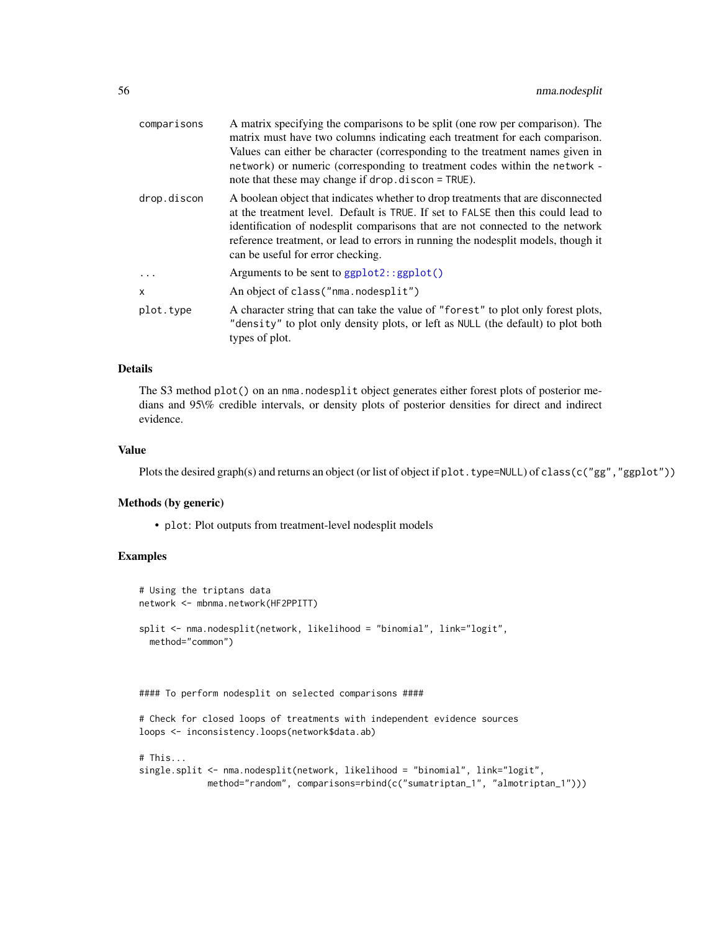| comparisons | A matrix specifying the comparisons to be split (one row per comparison). The<br>matrix must have two columns indicating each treatment for each comparison.<br>Values can either be character (corresponding to the treatment names given in<br>network) or numeric (corresponding to treatment codes within the network -<br>note that these may change if drop. discon = TRUE). |
|-------------|------------------------------------------------------------------------------------------------------------------------------------------------------------------------------------------------------------------------------------------------------------------------------------------------------------------------------------------------------------------------------------|
| drop.discon | A boolean object that indicates whether to drop treatments that are disconnected<br>at the treatment level. Default is TRUE. If set to FALSE then this could lead to<br>identification of nodesplit comparisons that are not connected to the network<br>reference treatment, or lead to errors in running the nodesplit models, though it<br>can be useful for error checking.    |
|             | Arguments to be sent to $ggplot2::ggplot()$                                                                                                                                                                                                                                                                                                                                        |
| X           | An object of class ("nma.nodesplit")                                                                                                                                                                                                                                                                                                                                               |
| plot.type   | A character string that can take the value of "forest" to plot only forest plots,<br>"density" to plot only density plots, or left as NULL (the default) to plot both<br>types of plot.                                                                                                                                                                                            |
|             |                                                                                                                                                                                                                                                                                                                                                                                    |

## Details

The S3 method plot() on an nma.nodesplit object generates either forest plots of posterior medians and 95\% credible intervals, or density plots of posterior densities for direct and indirect evidence.

#### Value

Plots the desired graph(s) and returns an object (or list of object if plot. type=NULL) of class(c("gg","ggplot"))

## Methods (by generic)

• plot: Plot outputs from treatment-level nodesplit models

## Examples

```
# Using the triptans data
network <- mbnma.network(HF2PPITT)
split <- nma.nodesplit(network, likelihood = "binomial", link="logit",
  method="common")
#### To perform nodesplit on selected comparisons ####
# Check for closed loops of treatments with independent evidence sources
loops <- inconsistency.loops(network$data.ab)
# This...
single.split <- nma.nodesplit(network, likelihood = "binomial", link="logit",
             method="random", comparisons=rbind(c("sumatriptan_1", "almotriptan_1")))
```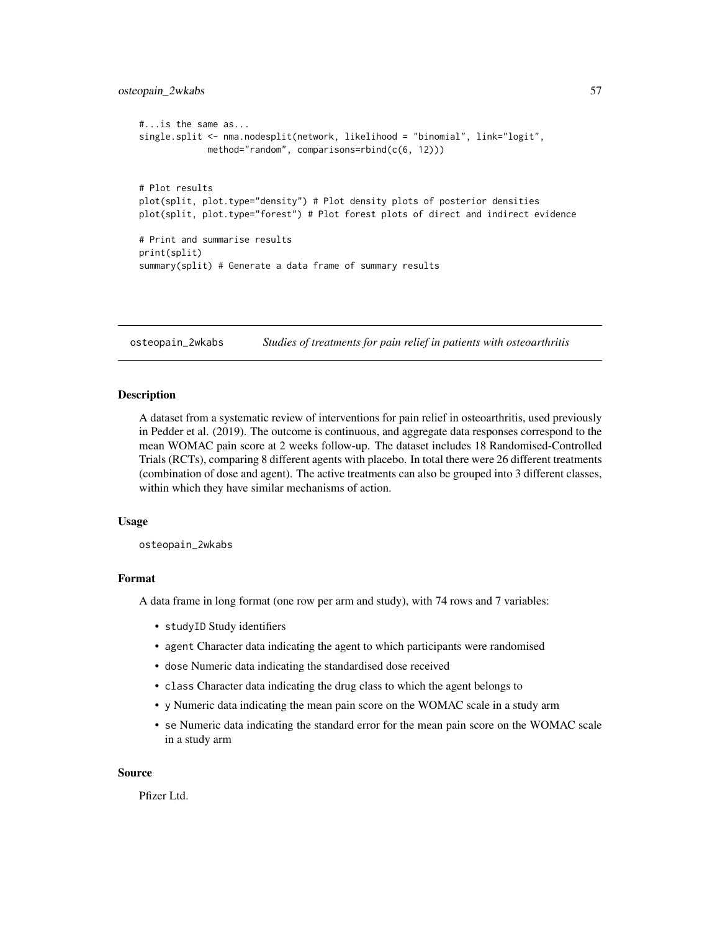### osteopain\_2wkabs 57

```
#...is the same as...
single.split <- nma.nodesplit(network, likelihood = "binomial", link="logit",
            method="random", comparisons=rbind(c(6, 12)))
# Plot results
plot(split, plot.type="density") # Plot density plots of posterior densities
plot(split, plot.type="forest") # Plot forest plots of direct and indirect evidence
# Print and summarise results
print(split)
summary(split) # Generate a data frame of summary results
```
osteopain\_2wkabs *Studies of treatments for pain relief in patients with osteoarthritis*

### Description

A dataset from a systematic review of interventions for pain relief in osteoarthritis, used previously in Pedder et al. (2019). The outcome is continuous, and aggregate data responses correspond to the mean WOMAC pain score at 2 weeks follow-up. The dataset includes 18 Randomised-Controlled Trials (RCTs), comparing 8 different agents with placebo. In total there were 26 different treatments (combination of dose and agent). The active treatments can also be grouped into 3 different classes, within which they have similar mechanisms of action.

### Usage

osteopain\_2wkabs

## Format

A data frame in long format (one row per arm and study), with 74 rows and 7 variables:

- studyID Study identifiers
- agent Character data indicating the agent to which participants were randomised
- dose Numeric data indicating the standardised dose received
- class Character data indicating the drug class to which the agent belongs to
- y Numeric data indicating the mean pain score on the WOMAC scale in a study arm
- se Numeric data indicating the standard error for the mean pain score on the WOMAC scale in a study arm

#### Source

Pfizer Ltd.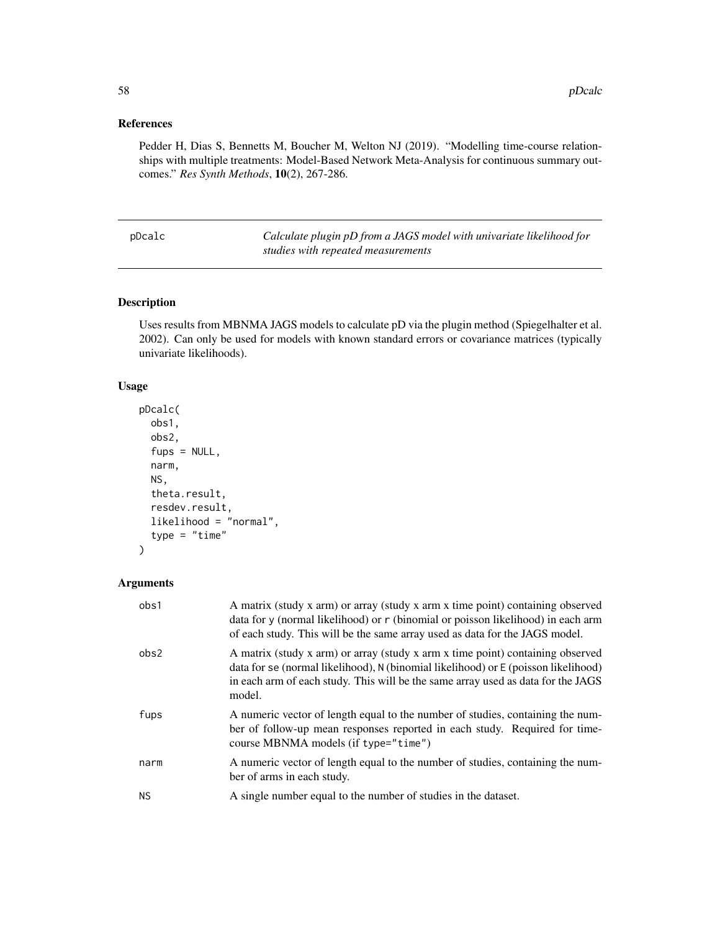## References

Pedder H, Dias S, Bennetts M, Boucher M, Welton NJ (2019). "Modelling time-course relationships with multiple treatments: Model-Based Network Meta-Analysis for continuous summary outcomes." *Res Synth Methods*, 10(2), 267-286.

pDcalc *Calculate plugin pD from a JAGS model with univariate likelihood for studies with repeated measurements*

### Description

Uses results from MBNMA JAGS models to calculate pD via the plugin method (Spiegelhalter et al. 2002). Can only be used for models with known standard errors or covariance matrices (typically univariate likelihoods).

### Usage

```
pDcalc(
  obs1,
  obs2,
  fups = NULL,narm,
 NS,
  theta.result,
  resdev.result,
  likelihood = "normal",
  type = "time")
```

| obs1      | A matrix (study x arm) or array (study x arm x time point) containing observed<br>data for y (normal likelihood) or r (binomial or poisson likelihood) in each arm<br>of each study. This will be the same array used as data for the JAGS model.                  |
|-----------|--------------------------------------------------------------------------------------------------------------------------------------------------------------------------------------------------------------------------------------------------------------------|
| obs2      | A matrix (study x arm) or array (study x arm x time point) containing observed<br>data for se (normal likelihood), N (binomial likelihood) or E (poisson likelihood)<br>in each arm of each study. This will be the same array used as data for the JAGS<br>model. |
| fups      | A numeric vector of length equal to the number of studies, containing the num-<br>ber of follow-up mean responses reported in each study. Required for time-<br>course MBNMA models (if type="time")                                                               |
| narm      | A numeric vector of length equal to the number of studies, containing the num-<br>ber of arms in each study.                                                                                                                                                       |
| <b>NS</b> | A single number equal to the number of studies in the dataset.                                                                                                                                                                                                     |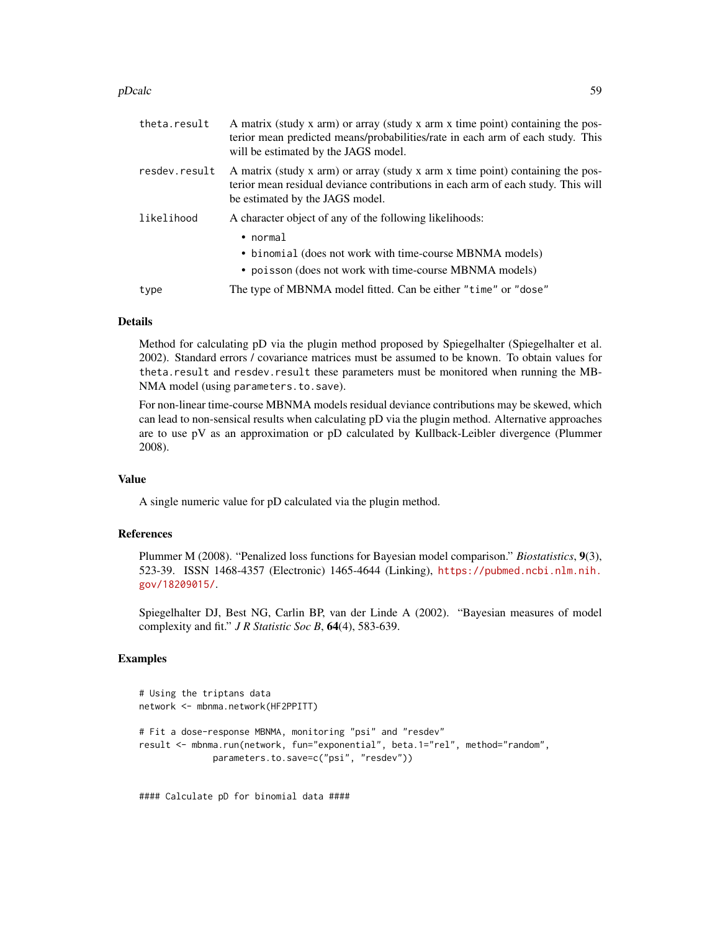#### pDcalc 59

| theta.result  | A matrix (study x arm) or array (study x arm x time point) containing the pos-<br>terior mean predicted means/probabilities/rate in each arm of each study. This<br>will be estimated by the JAGS model. |
|---------------|----------------------------------------------------------------------------------------------------------------------------------------------------------------------------------------------------------|
| resdev.result | A matrix (study x arm) or array (study x arm x time point) containing the pos-<br>terior mean residual deviance contributions in each arm of each study. This will<br>be estimated by the JAGS model.    |
| likelihood    | A character object of any of the following likelihoods:<br>$\cdot$ normal<br>• binomial (does not work with time-course MBNMA models)<br>• poisson (does not work with time-course MBNMA models)         |
| type          | The type of MBNMA model fitted. Can be either "time" or "dose"                                                                                                                                           |
|               |                                                                                                                                                                                                          |

### Details

Method for calculating pD via the plugin method proposed by Spiegelhalter (Spiegelhalter et al. 2002). Standard errors / covariance matrices must be assumed to be known. To obtain values for theta.result and resdev.result these parameters must be monitored when running the MB-NMA model (using parameters.to.save).

For non-linear time-course MBNMA models residual deviance contributions may be skewed, which can lead to non-sensical results when calculating pD via the plugin method. Alternative approaches are to use pV as an approximation or pD calculated by Kullback-Leibler divergence (Plummer 2008).

### Value

A single numeric value for pD calculated via the plugin method.

#### References

Plummer M (2008). "Penalized loss functions for Bayesian model comparison." *Biostatistics*, 9(3), 523-39. ISSN 1468-4357 (Electronic) 1465-4644 (Linking), [https://pubmed.ncbi.nlm.nih.](https://pubmed.ncbi.nlm.nih.gov/18209015/) [gov/18209015/](https://pubmed.ncbi.nlm.nih.gov/18209015/).

Spiegelhalter DJ, Best NG, Carlin BP, van der Linde A (2002). "Bayesian measures of model complexity and fit." *J R Statistic Soc B*, 64(4), 583-639.

### Examples

```
# Using the triptans data
network <- mbnma.network(HF2PPITT)
# Fit a dose-response MBNMA, monitoring "psi" and "resdev"
result <- mbnma.run(network, fun="exponential", beta.1="rel", method="random",
             parameters.to.save=c("psi", "resdev"))
```
#### Calculate pD for binomial data ####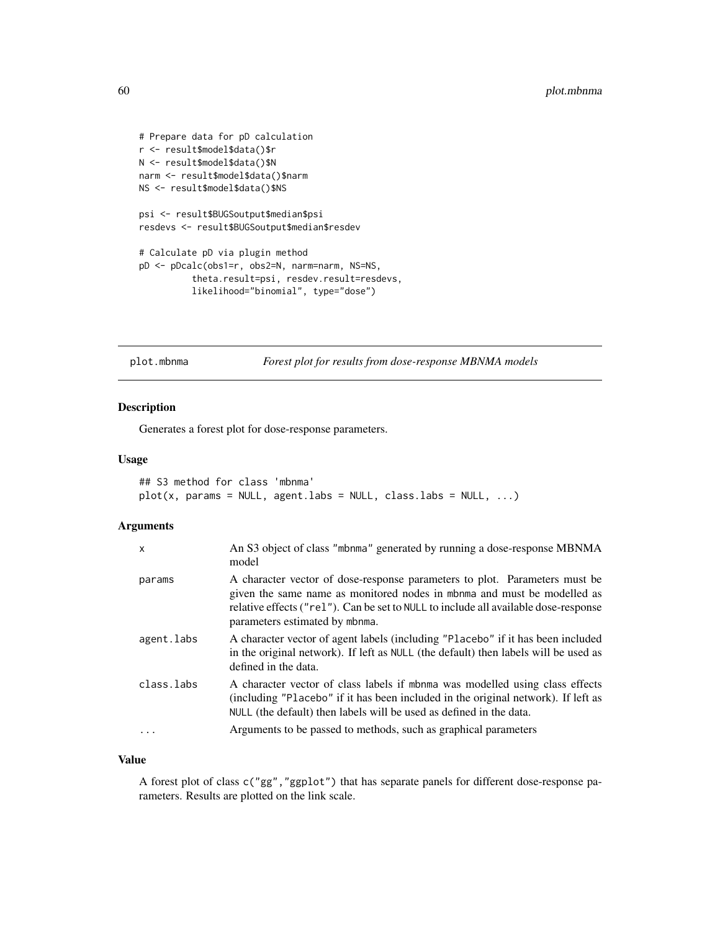```
# Prepare data for pD calculation
r <- result$model$data()$r
N <- result$model$data()$N
narm <- result$model$data()$narm
NS <- result$model$data()$NS
psi <- result$BUGSoutput$median$psi
resdevs <- result$BUGSoutput$median$resdev
# Calculate pD via plugin method
pD <- pDcalc(obs1=r, obs2=N, narm=narm, NS=NS,
          theta.result=psi, resdev.result=resdevs,
          likelihood="binomial", type="dose")
```
plot.mbnma *Forest plot for results from dose-response MBNMA models*

## Description

Generates a forest plot for dose-response parameters.

### Usage

```
## S3 method for class 'mbnma'
plot(x, parents = NULL, agent.labs = NULL, class.labs = NULL, ...)
```
#### Arguments

| $\mathsf{x}$ | An S3 object of class "mbnma" generated by running a dose-response MBNMA<br>model                                                                                                                                                                                              |
|--------------|--------------------------------------------------------------------------------------------------------------------------------------------------------------------------------------------------------------------------------------------------------------------------------|
| params       | A character vector of dose-response parameters to plot. Parameters must be<br>given the same name as monitored nodes in mbnma and must be modelled as<br>relative effects ("rel"). Can be set to NULL to include all available dose-response<br>parameters estimated by mbnma. |
| agent.labs   | A character vector of agent labels (including "Placebo" if it has been included<br>in the original network). If left as NULL (the default) then labels will be used as<br>defined in the data.                                                                                 |
| class.labs   | A character vector of class labels if mbnma was modelled using class effects<br>(including "Placebo" if it has been included in the original network). If left as<br>NULL (the default) then labels will be used as defined in the data.                                       |
| .            | Arguments to be passed to methods, such as graphical parameters                                                                                                                                                                                                                |

#### Value

A forest plot of class c("gg","ggplot") that has separate panels for different dose-response parameters. Results are plotted on the link scale.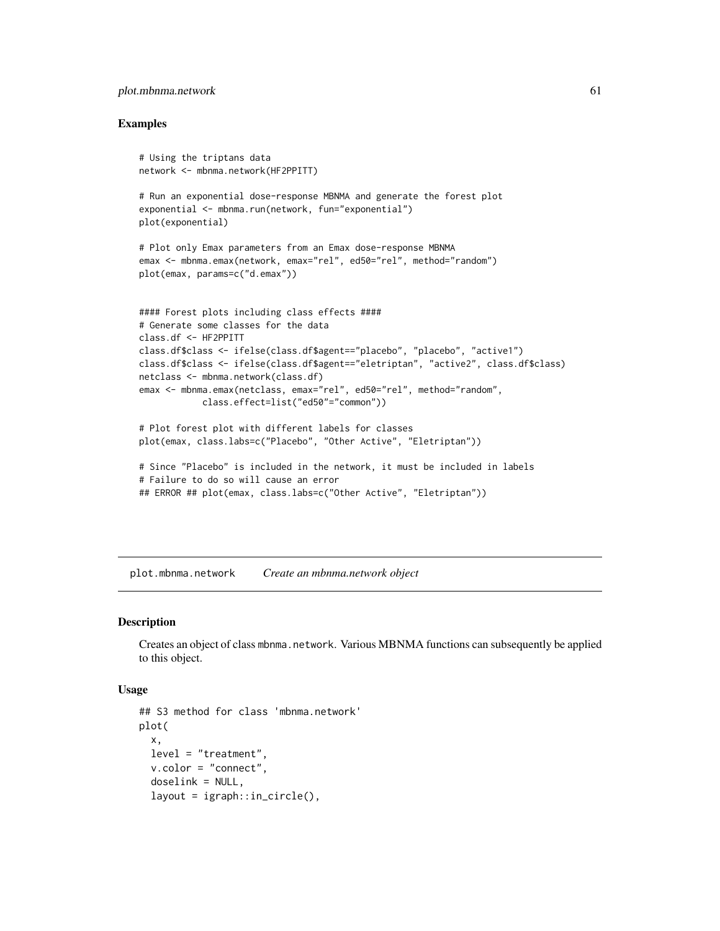### plot.mbnma.network 61

### Examples

```
# Using the triptans data
network <- mbnma.network(HF2PPITT)
# Run an exponential dose-response MBNMA and generate the forest plot
exponential <- mbnma.run(network, fun="exponential")
plot(exponential)
# Plot only Emax parameters from an Emax dose-response MBNMA
emax <- mbnma.emax(network, emax="rel", ed50="rel", method="random")
plot(emax, params=c("d.emax"))
#### Forest plots including class effects ####
# Generate some classes for the data
class.df <- HF2PPITT
class.df$class <- ifelse(class.df$agent=="placebo", "placebo", "active1")
class.df$class <- ifelse(class.df$agent=="eletriptan", "active2", class.df$class)
netclass <- mbnma.network(class.df)
emax <- mbnma.emax(netclass, emax="rel", ed50="rel", method="random",
            class.effect=list("ed50"="common"))
# Plot forest plot with different labels for classes
plot(emax, class.labs=c("Placebo", "Other Active", "Eletriptan"))
# Since "Placebo" is included in the network, it must be included in labels
# Failure to do so will cause an error
## ERROR ## plot(emax, class.labs=c("Other Active", "Eletriptan"))
```
plot.mbnma.network *Create an mbnma.network object*

#### Description

Creates an object of class mbnma.network. Various MBNMA functions can subsequently be applied to this object.

#### Usage

```
## S3 method for class 'mbnma.network'
plot(
 x,
  level = "treatment",
  v.color = "connect",
  doselink = NULL,
  layout = igraph::in_circle(),
```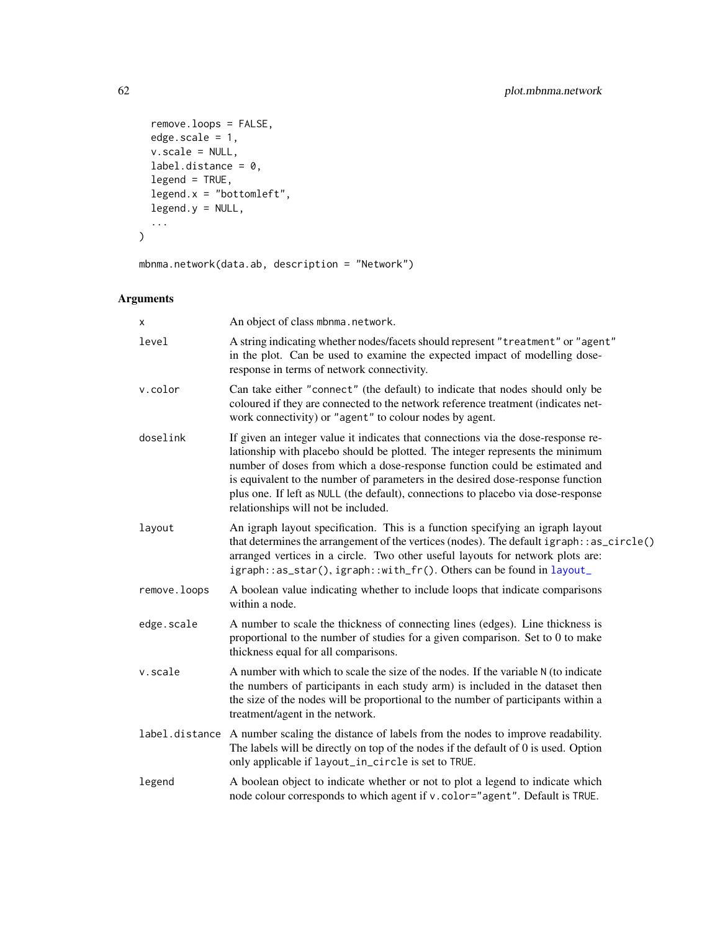```
remove.loops = FALSE,
 edge.scale = 1,
 v.scale = NULL,
 label.distance = 0,
 legend = TRUE,
 legend.x = "bottomleft",
 legend.y = NULL,
  ...
)
```
mbnma.network(data.ab, description = "Network")

| x            | An object of class mbnma.network.                                                                                                                                                                                                                                                                                                                                                                                                                               |
|--------------|-----------------------------------------------------------------------------------------------------------------------------------------------------------------------------------------------------------------------------------------------------------------------------------------------------------------------------------------------------------------------------------------------------------------------------------------------------------------|
| level        | A string indicating whether nodes/facets should represent "treatment" or "agent"<br>in the plot. Can be used to examine the expected impact of modelling dose-<br>response in terms of network connectivity.                                                                                                                                                                                                                                                    |
| v.color      | Can take either "connect" (the default) to indicate that nodes should only be<br>coloured if they are connected to the network reference treatment (indicates net-<br>work connectivity) or "agent" to colour nodes by agent.                                                                                                                                                                                                                                   |
| doselink     | If given an integer value it indicates that connections via the dose-response re-<br>lationship with placebo should be plotted. The integer represents the minimum<br>number of doses from which a dose-response function could be estimated and<br>is equivalent to the number of parameters in the desired dose-response function<br>plus one. If left as NULL (the default), connections to placebo via dose-response<br>relationships will not be included. |
| layout       | An igraph layout specification. This is a function specifying an igraph layout<br>that determines the arrangement of the vertices (nodes). The default igraph::as_circle()<br>arranged vertices in a circle. Two other useful layouts for network plots are:<br>igraph::as_star(), igraph::with_fr(). Others can be found in layout_                                                                                                                            |
| remove.loops | A boolean value indicating whether to include loops that indicate comparisons<br>within a node.                                                                                                                                                                                                                                                                                                                                                                 |
| edge.scale   | A number to scale the thickness of connecting lines (edges). Line thickness is<br>proportional to the number of studies for a given comparison. Set to 0 to make<br>thickness equal for all comparisons.                                                                                                                                                                                                                                                        |
| v.scale      | A number with which to scale the size of the nodes. If the variable N (to indicate<br>the numbers of participants in each study arm) is included in the dataset then<br>the size of the nodes will be proportional to the number of participants within a<br>treatment/agent in the network.                                                                                                                                                                    |
|              | label.distance A number scaling the distance of labels from the nodes to improve readability.<br>The labels will be directly on top of the nodes if the default of 0 is used. Option<br>only applicable if layout_in_circle is set to TRUE.                                                                                                                                                                                                                     |
| legend       | A boolean object to indicate whether or not to plot a legend to indicate which<br>node colour corresponds to which agent if v. color="agent". Default is TRUE.                                                                                                                                                                                                                                                                                                  |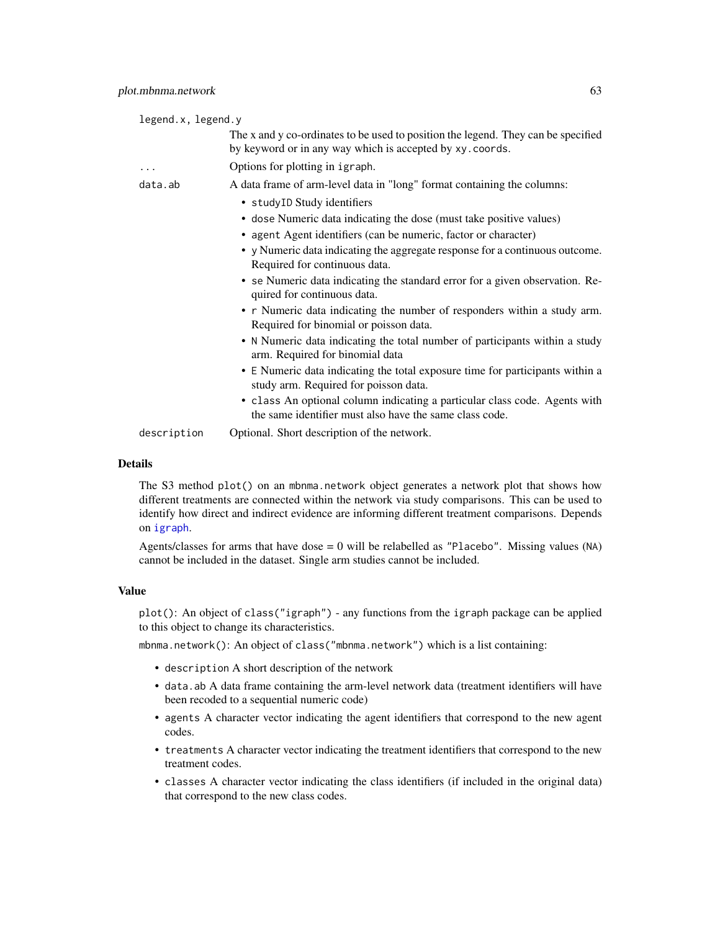| legend.x, legend.y |                                                                                                                                               |
|--------------------|-----------------------------------------------------------------------------------------------------------------------------------------------|
|                    | The x and y co-ordinates to be used to position the legend. They can be specified<br>by keyword or in any way which is accepted by xy.coords. |
| $\ddotsc$          | Options for plotting in igraph.                                                                                                               |
| data.ab            | A data frame of arm-level data in "long" format containing the columns:                                                                       |
|                    | • studyID Study identifiers                                                                                                                   |
|                    | • dose Numeric data indicating the dose (must take positive values)                                                                           |
|                    | • agent Agent identifiers (can be numeric, factor or character)                                                                               |
|                    | • y Numeric data indicating the aggregate response for a continuous outcome.<br>Required for continuous data.                                 |
|                    | • se Numeric data indicating the standard error for a given observation. Re-<br>quired for continuous data.                                   |
|                    | • r Numeric data indicating the number of responders within a study arm.<br>Required for binomial or poisson data.                            |
|                    | • N Numeric data indicating the total number of participants within a study<br>arm. Required for binomial data                                |
|                    | • E Numeric data indicating the total exposure time for participants within a<br>study arm. Required for poisson data.                        |
|                    | • class An optional column indicating a particular class code. Agents with<br>the same identifier must also have the same class code.         |
| description        | Optional. Short description of the network.                                                                                                   |

#### Details

The S3 method plot() on an mbnma.network object generates a network plot that shows how different treatments are connected within the network via study comparisons. This can be used to identify how direct and indirect evidence are informing different treatment comparisons. Depends on [igraph](#page-0-0).

Agents/classes for arms that have dose  $= 0$  will be relabelled as "Placebo". Missing values (NA) cannot be included in the dataset. Single arm studies cannot be included.

#### Value

plot(): An object of class("igraph") - any functions from the igraph package can be applied to this object to change its characteristics.

mbnma.network(): An object of class("mbnma.network") which is a list containing:

- description A short description of the network
- data.ab A data frame containing the arm-level network data (treatment identifiers will have been recoded to a sequential numeric code)
- agents A character vector indicating the agent identifiers that correspond to the new agent codes.
- treatments A character vector indicating the treatment identifiers that correspond to the new treatment codes.
- classes A character vector indicating the class identifiers (if included in the original data) that correspond to the new class codes.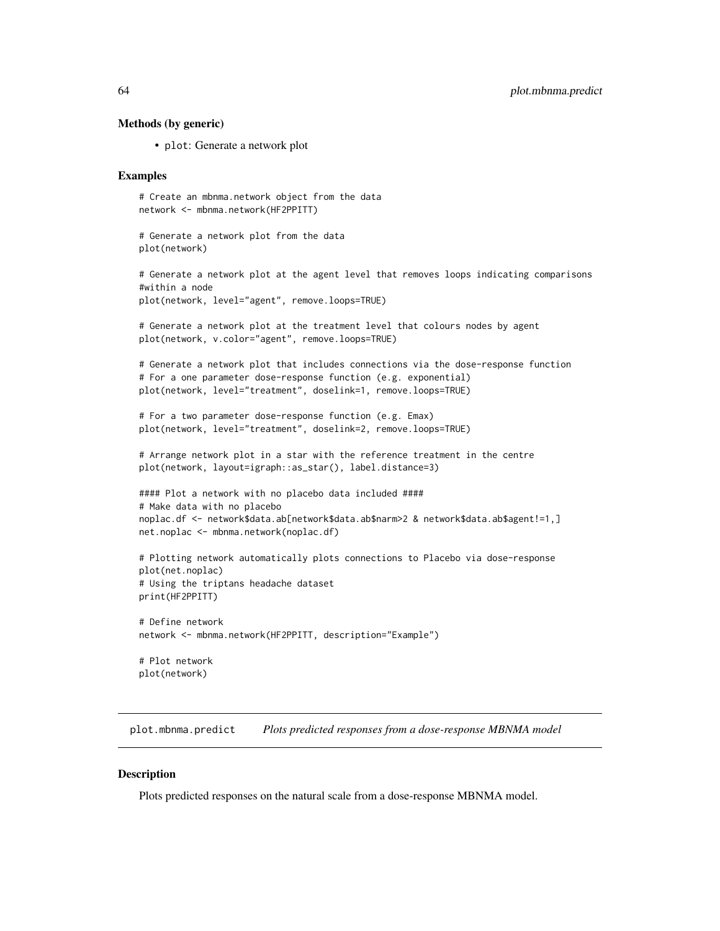#### Methods (by generic)

• plot: Generate a network plot

### Examples

```
# Create an mbnma.network object from the data
network <- mbnma.network(HF2PPITT)
# Generate a network plot from the data
plot(network)
# Generate a network plot at the agent level that removes loops indicating comparisons
#within a node
plot(network, level="agent", remove.loops=TRUE)
# Generate a network plot at the treatment level that colours nodes by agent
plot(network, v.color="agent", remove.loops=TRUE)
# Generate a network plot that includes connections via the dose-response function
# For a one parameter dose-response function (e.g. exponential)
plot(network, level="treatment", doselink=1, remove.loops=TRUE)
# For a two parameter dose-response function (e.g. Emax)
plot(network, level="treatment", doselink=2, remove.loops=TRUE)
# Arrange network plot in a star with the reference treatment in the centre
plot(network, layout=igraph::as_star(), label.distance=3)
#### Plot a network with no placebo data included ####
# Make data with no placebo
noplac.df <- network$data.ab[network$data.ab$narm>2 & network$data.ab$agent!=1,]
net.noplac <- mbnma.network(noplac.df)
# Plotting network automatically plots connections to Placebo via dose-response
plot(net.noplac)
# Using the triptans headache dataset
print(HF2PPITT)
# Define network
network <- mbnma.network(HF2PPITT, description="Example")
# Plot network
plot(network)
```
plot.mbnma.predict *Plots predicted responses from a dose-response MBNMA model*

### **Description**

Plots predicted responses on the natural scale from a dose-response MBNMA model.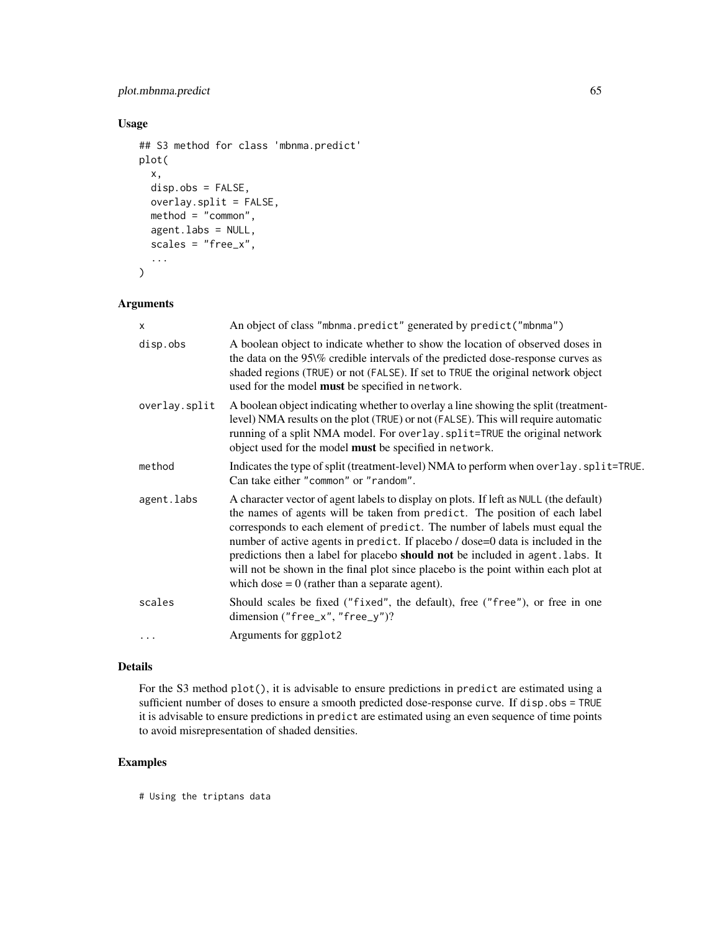## plot.mbnma.predict 65

## Usage

```
## S3 method for class 'mbnma.predict'
plot(
  x,
 disp.obs = FALSE,
 overlay.split = FALSE,
 method = "common",
  agent.labs = NULL,
  scales = "free_x",
  ...
\mathcal{L}
```
## Arguments

| X             | An object of class "mbnma.predict" generated by predict ("mbnma")                                                                                                                                                                                                                                                                                                                                                                                                                                                                                                 |
|---------------|-------------------------------------------------------------------------------------------------------------------------------------------------------------------------------------------------------------------------------------------------------------------------------------------------------------------------------------------------------------------------------------------------------------------------------------------------------------------------------------------------------------------------------------------------------------------|
| disp.obs      | A boolean object to indicate whether to show the location of observed doses in<br>the data on the 95\% credible intervals of the predicted dose-response curves as<br>shaded regions (TRUE) or not (FALSE). If set to TRUE the original network object<br>used for the model must be specified in network.                                                                                                                                                                                                                                                        |
| overlay.split | A boolean object indicating whether to overlay a line showing the split (treatment-<br>level) NMA results on the plot (TRUE) or not (FALSE). This will require automatic<br>running of a split NMA model. For overlay. split=TRUE the original network<br>object used for the model must be specified in network.                                                                                                                                                                                                                                                 |
| method        | Indicates the type of split (treatment-level) NMA to perform when overlay. split=TRUE.<br>Can take either "common" or "random".                                                                                                                                                                                                                                                                                                                                                                                                                                   |
| agent.labs    | A character vector of agent labels to display on plots. If left as NULL (the default)<br>the names of agents will be taken from predict. The position of each label<br>corresponds to each element of predict. The number of labels must equal the<br>number of active agents in predict. If placebo / dose=0 data is included in the<br>predictions then a label for placebo should not be included in agent. labs. It<br>will not be shown in the final plot since placebo is the point within each plot at<br>which dose $= 0$ (rather than a separate agent). |
| scales        | Should scales be fixed ("fixed", the default), free ("free"), or free in one<br>dimension ("free_x", "free_y")?                                                                                                                                                                                                                                                                                                                                                                                                                                                   |
|               | Arguments for ggplot2                                                                                                                                                                                                                                                                                                                                                                                                                                                                                                                                             |
|               |                                                                                                                                                                                                                                                                                                                                                                                                                                                                                                                                                                   |

## Details

For the S3 method plot(), it is advisable to ensure predictions in predict are estimated using a sufficient number of doses to ensure a smooth predicted dose-response curve. If disp.obs = TRUE it is advisable to ensure predictions in predict are estimated using an even sequence of time points to avoid misrepresentation of shaded densities.

## Examples

# Using the triptans data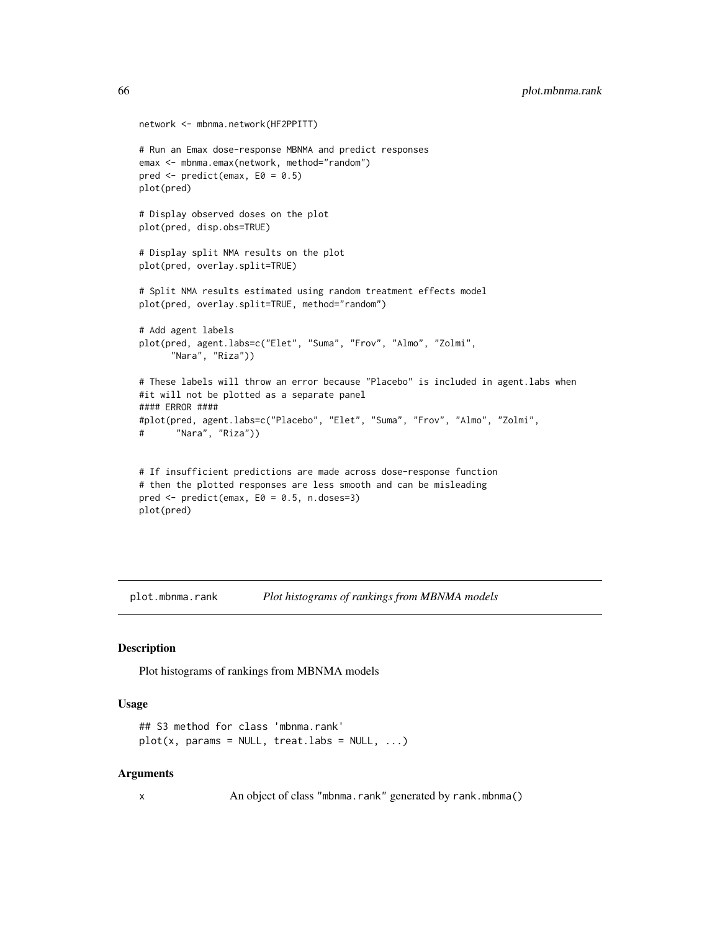```
network <- mbnma.network(HF2PPITT)
# Run an Emax dose-response MBNMA and predict responses
emax <- mbnma.emax(network, method="random")
pred \leq predict(emax, E0 = 0.5)
plot(pred)
# Display observed doses on the plot
plot(pred, disp.obs=TRUE)
# Display split NMA results on the plot
plot(pred, overlay.split=TRUE)
# Split NMA results estimated using random treatment effects model
plot(pred, overlay.split=TRUE, method="random")
# Add agent labels
plot(pred, agent.labs=c("Elet", "Suma", "Frov", "Almo", "Zolmi",
      "Nara", "Riza"))
# These labels will throw an error because "Placebo" is included in agent.labs when
#it will not be plotted as a separate panel
#### ERROR ####
#plot(pred, agent.labs=c("Placebo", "Elet", "Suma", "Frov", "Almo", "Zolmi",
# "Nara", "Riza"))
# If insufficient predictions are made across dose-response function
# then the plotted responses are less smooth and can be misleading
pred <- predict(emax, E0 = 0.5, n.doses=3)
plot(pred)
```
plot.mbnma.rank *Plot histograms of rankings from MBNMA models*

#### Description

Plot histograms of rankings from MBNMA models

### Usage

```
## S3 method for class 'mbnma.rank'
plot(x, params = NULL, treat.labs = NULL, ...)
```
#### Arguments

x An object of class "mbnma.rank" generated by rank.mbnma()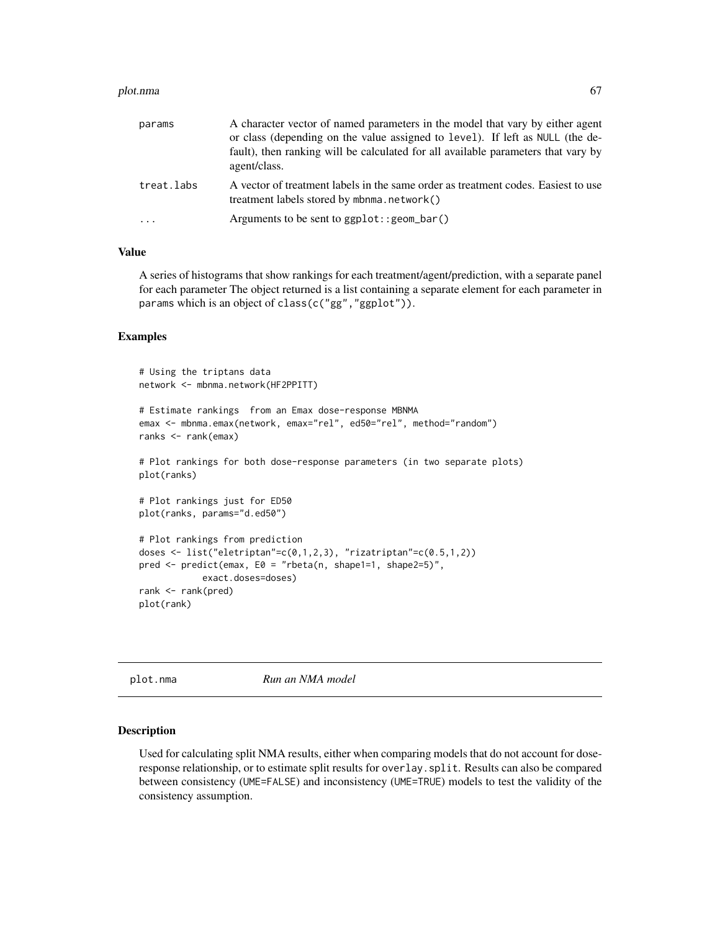#### plot.nma 67

| params     | A character vector of named parameters in the model that vary by either agent<br>or class (depending on the value assigned to level). If left as NULL (the de-<br>fault), then ranking will be calculated for all available parameters that vary by<br>agent/class. |
|------------|---------------------------------------------------------------------------------------------------------------------------------------------------------------------------------------------------------------------------------------------------------------------|
| treat.labs | A vector of treatment labels in the same order as treatment codes. Easiest to use<br>treatment labels stored by mbnma.network()                                                                                                                                     |
| $\cdot$    | Arguments to be sent to $ggplot::geom\_bar()$                                                                                                                                                                                                                       |

## Value

A series of histograms that show rankings for each treatment/agent/prediction, with a separate panel for each parameter The object returned is a list containing a separate element for each parameter in params which is an object of class(c("gg", "ggplot")).

## Examples

```
# Using the triptans data
network <- mbnma.network(HF2PPITT)
# Estimate rankings from an Emax dose-response MBNMA
emax <- mbnma.emax(network, emax="rel", ed50="rel", method="random")
ranks <- rank(emax)
# Plot rankings for both dose-response parameters (in two separate plots)
plot(ranks)
# Plot rankings just for ED50
plot(ranks, params="d.ed50")
# Plot rankings from prediction
doses <- list("eletriptan"=c(0,1,2,3), "rizatriptan"=c(0.5,1,2))
pred <- predict(emax, E0 = "rbeta(n, shape1=1, shape2=5)",
            exact.doses=doses)
rank <- rank(pred)
plot(rank)
```
plot.nma *Run an NMA model*

## Description

Used for calculating split NMA results, either when comparing models that do not account for doseresponse relationship, or to estimate split results for overlay.split. Results can also be compared between consistency (UME=FALSE) and inconsistency (UME=TRUE) models to test the validity of the consistency assumption.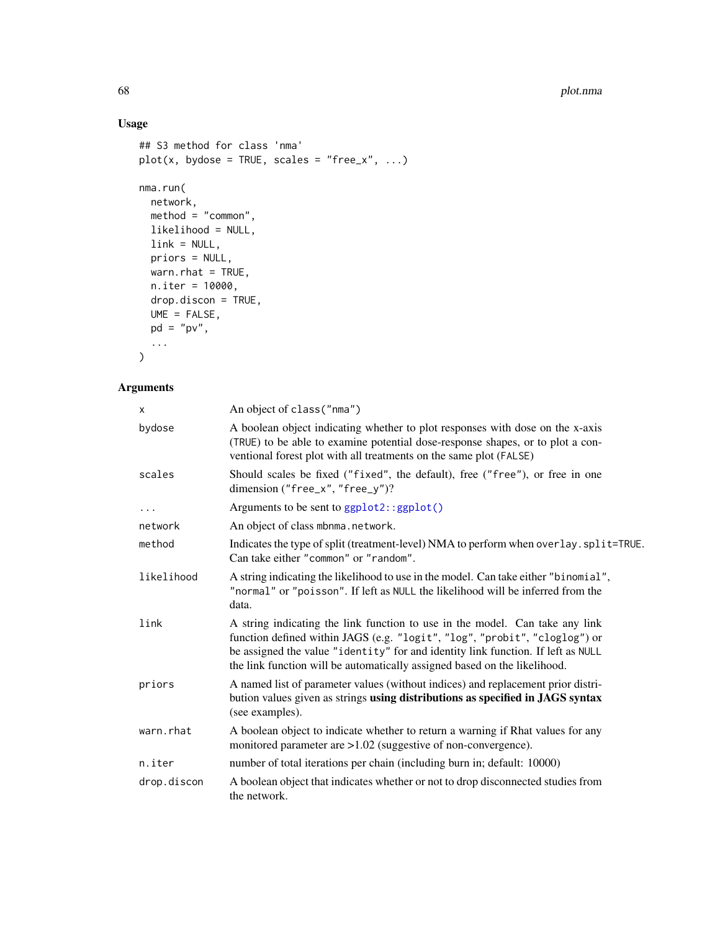## Usage

```
## S3 method for class 'nma'
plot(x, bydose = TRUE, scales = "free_x", ...)nma.run(
  network,
  method = "common",
  likelihood = NULL,
  link = NULL,priors = NULL,
  warn.rhat = TRUE,n.iter = 10000,
  drop.discon = TRUE,
  UME = FALSE,
  pd = "pv",...
\mathcal{L}
```

| x           | An object of class ("nma")                                                                                                                                                                                                                                                                                                  |
|-------------|-----------------------------------------------------------------------------------------------------------------------------------------------------------------------------------------------------------------------------------------------------------------------------------------------------------------------------|
| bydose      | A boolean object indicating whether to plot responses with dose on the x-axis<br>(TRUE) to be able to examine potential dose-response shapes, or to plot a con-<br>ventional forest plot with all treatments on the same plot (FALSE)                                                                                       |
| scales      | Should scales be fixed ("fixed", the default), free ("free"), or free in one<br>dimension ("free_x", "free_y")?                                                                                                                                                                                                             |
| $\cdots$    | Arguments to be sent to $ggplot2::ggplot()$                                                                                                                                                                                                                                                                                 |
| network     | An object of class mbnma.network.                                                                                                                                                                                                                                                                                           |
| method      | Indicates the type of split (treatment-level) NMA to perform when overlay . split=TRUE.<br>Can take either "common" or "random".                                                                                                                                                                                            |
| likelihood  | A string indicating the likelihood to use in the model. Can take either "binomial",<br>"normal" or "poisson". If left as NULL the likelihood will be inferred from the<br>data.                                                                                                                                             |
| link        | A string indicating the link function to use in the model. Can take any link<br>function defined within JAGS (e.g. "logit", "log", "probit", "cloglog") or<br>be assigned the value "identity" for and identity link function. If left as NULL<br>the link function will be automatically assigned based on the likelihood. |
| priors      | A named list of parameter values (without indices) and replacement prior distri-<br>bution values given as strings using distributions as specified in JAGS syntax<br>(see examples).                                                                                                                                       |
| warn.rhat   | A boolean object to indicate whether to return a warning if Rhat values for any<br>monitored parameter are >1.02 (suggestive of non-convergence).                                                                                                                                                                           |
| n.iter      | number of total iterations per chain (including burn in; default: 10000)                                                                                                                                                                                                                                                    |
| drop.discon | A boolean object that indicates whether or not to drop disconnected studies from<br>the network.                                                                                                                                                                                                                            |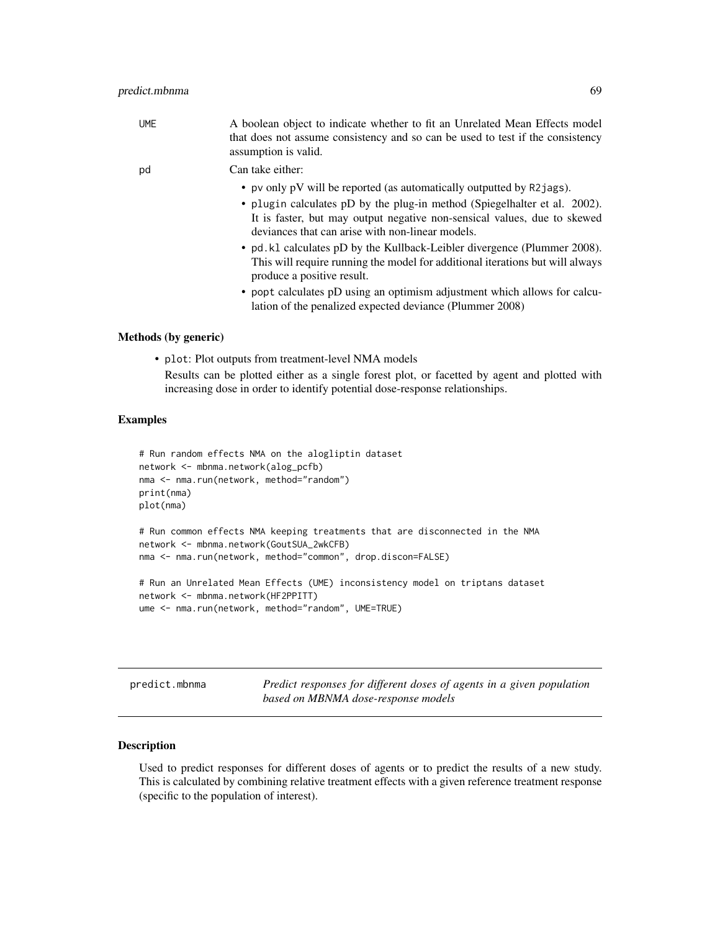| <b>UME</b>         | A boolean object to indicate whether to fit an Unrelated Mean Effects model<br>that does not assume consistency and so can be used to test if the consistency<br>assumption is valid.                                                                                                                                                                                                                                                                                                                                                                                                                                                       |
|--------------------|---------------------------------------------------------------------------------------------------------------------------------------------------------------------------------------------------------------------------------------------------------------------------------------------------------------------------------------------------------------------------------------------------------------------------------------------------------------------------------------------------------------------------------------------------------------------------------------------------------------------------------------------|
| pd                 | Can take either:<br>• pv only pV will be reported (as automatically outputted by R2jags).<br>• plugin calculates pD by the plug-in method (Spiegelhalter et al. 2002).<br>It is faster, but may output negative non-sensical values, due to skewed<br>deviances that can arise with non-linear models.<br>• pd. k1 calculates pD by the Kullback-Leibler divergence (Plummer 2008).<br>This will require running the model for additional iterations but will always<br>produce a positive result.<br>• popt calculates pD using an optimism adjustment which allows for calcu-<br>lation of the penalized expected deviance (Plummer 2008) |
| thods (by generic) |                                                                                                                                                                                                                                                                                                                                                                                                                                                                                                                                                                                                                                             |

### Me

• plot: Plot outputs from treatment-level NMA models

Results can be plotted either as a single forest plot, or facetted by agent and plotted with increasing dose in order to identify potential dose-response relationships.

## Examples

```
# Run random effects NMA on the alogliptin dataset
network <- mbnma.network(alog_pcfb)
nma <- nma.run(network, method="random")
print(nma)
plot(nma)
# Run common effects NMA keeping treatments that are disconnected in the NMA
network <- mbnma.network(GoutSUA_2wkCFB)
nma <- nma.run(network, method="common", drop.discon=FALSE)
# Run an Unrelated Mean Effects (UME) inconsistency model on triptans dataset
network <- mbnma.network(HF2PPITT)
ume <- nma.run(network, method="random", UME=TRUE)
```
predict.mbnma *Predict responses for different doses of agents in a given population based on MBNMA dose-response models*

### Description

Used to predict responses for different doses of agents or to predict the results of a new study. This is calculated by combining relative treatment effects with a given reference treatment response (specific to the population of interest).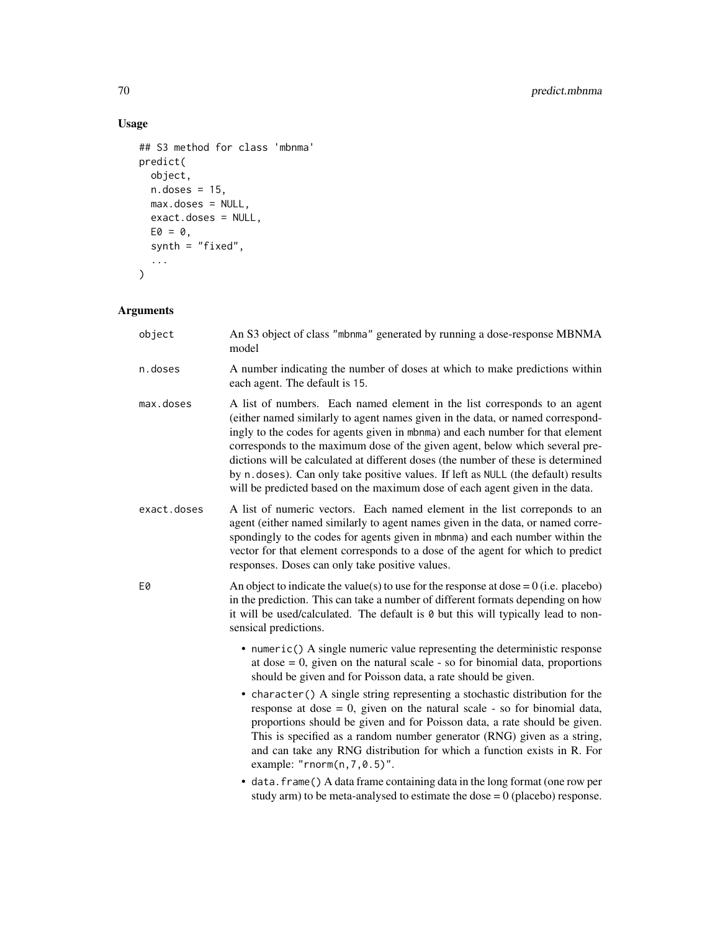# Usage

```
## S3 method for class 'mbnma'
predict(
  object,
 n.doses = 15,
  max.doses = NULL,
  exact.doses = NULL,
  E0 = 0,
 synth = "fixed",
  ...
\mathcal{L}
```

| object      | An S3 object of class "mbnma" generated by running a dose-response MBNMA<br>model                                                                                                                                                                                                                                                                                                                                                                                                                                                                                                                                                                                    |
|-------------|----------------------------------------------------------------------------------------------------------------------------------------------------------------------------------------------------------------------------------------------------------------------------------------------------------------------------------------------------------------------------------------------------------------------------------------------------------------------------------------------------------------------------------------------------------------------------------------------------------------------------------------------------------------------|
| n.doses     | A number indicating the number of doses at which to make predictions within<br>each agent. The default is 15.                                                                                                                                                                                                                                                                                                                                                                                                                                                                                                                                                        |
| max.doses   | A list of numbers. Each named element in the list corresponds to an agent<br>(either named similarly to agent names given in the data, or named correspond-<br>ingly to the codes for agents given in mbnma) and each number for that element<br>corresponds to the maximum dose of the given agent, below which several pre-<br>dictions will be calculated at different doses (the number of these is determined<br>by n. doses). Can only take positive values. If left as NULL (the default) results<br>will be predicted based on the maximum dose of each agent given in the data.                                                                             |
| exact.doses | A list of numeric vectors. Each named element in the list correponds to an<br>agent (either named similarly to agent names given in the data, or named corre-<br>spondingly to the codes for agents given in mbnma) and each number within the<br>vector for that element corresponds to a dose of the agent for which to predict<br>responses. Doses can only take positive values.                                                                                                                                                                                                                                                                                 |
| E0          | An object to indicate the value(s) to use for the response at dose = $0$ (i.e. placebo)<br>in the prediction. This can take a number of different formats depending on how<br>it will be used/calculated. The default is 0 but this will typically lead to non-<br>sensical predictions.                                                                                                                                                                                                                                                                                                                                                                             |
|             | • numeric() A single numeric value representing the deterministic response<br>at dose $= 0$ , given on the natural scale - so for binomial data, proportions<br>should be given and for Poisson data, a rate should be given.<br>• character () A single string representing a stochastic distribution for the<br>response at dose $= 0$ , given on the natural scale - so for binomial data,<br>proportions should be given and for Poisson data, a rate should be given.<br>This is specified as a random number generator (RNG) given as a string,<br>and can take any RNG distribution for which a function exists in R. For<br>example: " $rnorm(n, 7, 0.5)$ ". |
|             | • data. frame () A data frame containing data in the long format (one row per<br>study arm) to be meta-analysed to estimate the dose $= 0$ (placebo) response.                                                                                                                                                                                                                                                                                                                                                                                                                                                                                                       |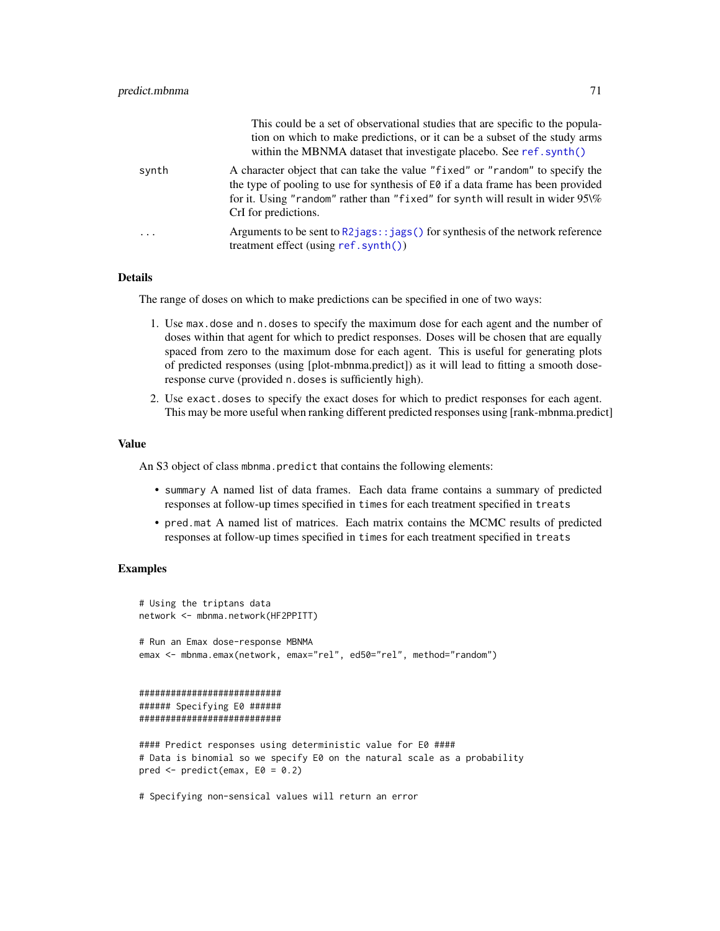|       | This could be a set of observational studies that are specific to the popula-<br>tion on which to make predictions, or it can be a subset of the study arms<br>within the MBNMA dataset that investigate placebo. See ref. synth()                                            |
|-------|-------------------------------------------------------------------------------------------------------------------------------------------------------------------------------------------------------------------------------------------------------------------------------|
| synth | A character object that can take the value "fixed" or "random" to specify the<br>the type of pooling to use for synthesis of E0 if a data frame has been provided<br>for it. Using "random" rather than "fixed" for synth will result in wider $95\%$<br>CrI for predictions. |
| .     | Arguments to be sent to $R2jags: jags()$ for synthesis of the network reference<br>treatment effect $(using ref.synth())$                                                                                                                                                     |

## Details

The range of doses on which to make predictions can be specified in one of two ways:

- 1. Use max.dose and n.doses to specify the maximum dose for each agent and the number of doses within that agent for which to predict responses. Doses will be chosen that are equally spaced from zero to the maximum dose for each agent. This is useful for generating plots of predicted responses (using [plot-mbnma.predict]) as it will lead to fitting a smooth doseresponse curve (provided n.doses is sufficiently high).
- 2. Use exact.doses to specify the exact doses for which to predict responses for each agent. This may be more useful when ranking different predicted responses using [rank-mbnma.predict]

#### Value

An S3 object of class mbnma.predict that contains the following elements:

- summary A named list of data frames. Each data frame contains a summary of predicted responses at follow-up times specified in times for each treatment specified in treats
- pred.mat A named list of matrices. Each matrix contains the MCMC results of predicted responses at follow-up times specified in times for each treatment specified in treats

## Examples

```
# Using the triptans data
network <- mbnma.network(HF2PPITT)
# Run an Emax dose-response MBNMA
emax <- mbnma.emax(network, emax="rel", ed50="rel", method="random")
###########################
###### Specifying E0 ######
###########################
#### Predict responses using deterministic value for E0 ####
# Data is binomial so we specify E0 on the natural scale as a probability
pred \leq predict(emax, E0 = 0.2)
```
# Specifying non-sensical values will return an error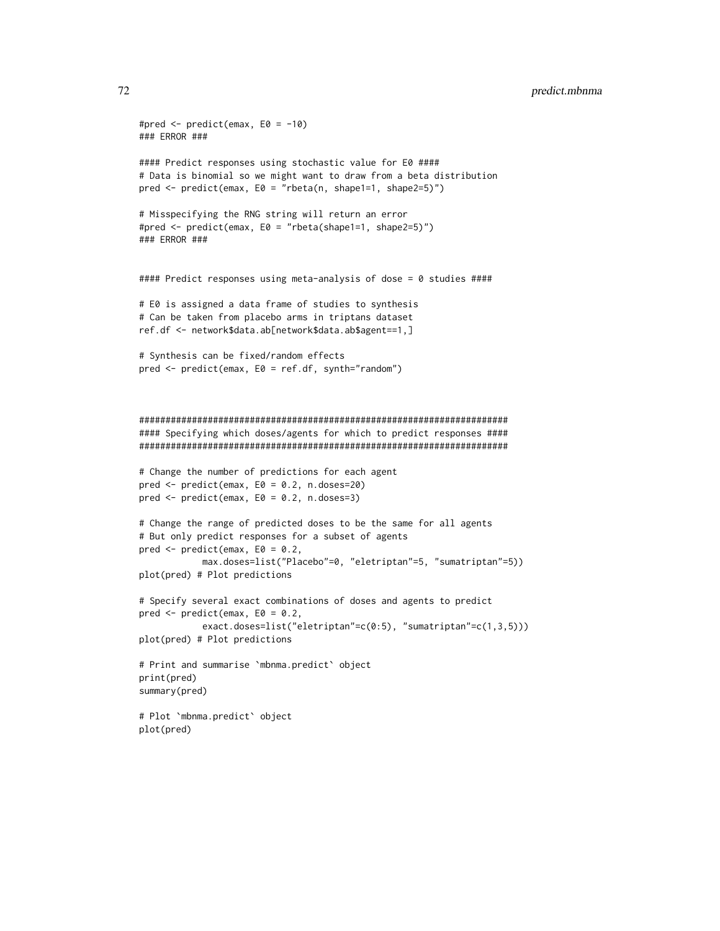### 72 predict.mbnma

```
#pred <- predict(emax, E0 = -10)
### ERROR ###
#### Predict responses using stochastic value for E0 ####
# Data is binomial so we might want to draw from a beta distribution
pred \leq predict(emax, E0 = "rbeta(n, shape1=1, shape2=5)")
# Misspecifying the RNG string will return an error
#pred <- predict(emax, E0 = "rbeta(shape1=1, shape2=5)")
### ERROR ###
#### Predict responses using meta-analysis of dose = 0 studies ####
# E0 is assigned a data frame of studies to synthesis
# Can be taken from placebo arms in triptans dataset
ref.df <- network$data.ab[network$data.ab$agent==1,]
# Synthesis can be fixed/random effects
pred <- predict(emax, E0 = ref.df, synth="random")
######################################################################
#### Specifying which doses/agents for which to predict responses ####
######################################################################
# Change the number of predictions for each agent
pred <- predict(emax, E0 = 0.2, n.doses=20)
pred <- predict(emax, E0 = 0.2, n.doses=3)
# Change the range of predicted doses to be the same for all agents
# But only predict responses for a subset of agents
pred \leq predict(emax, E0 = 0.2,
           max.doses=list("Placebo"=0, "eletriptan"=5, "sumatriptan"=5))
plot(pred) # Plot predictions
# Specify several exact combinations of doses and agents to predict
pred \leq predict(emax, E0 = 0.2,
            exact.doses=list("eletriptan"=c(0:5), "sumatriptan"=c(1,3,5)))
plot(pred) # Plot predictions
# Print and summarise `mbnma.predict` object
print(pred)
summary(pred)
# Plot `mbnma.predict` object
plot(pred)
```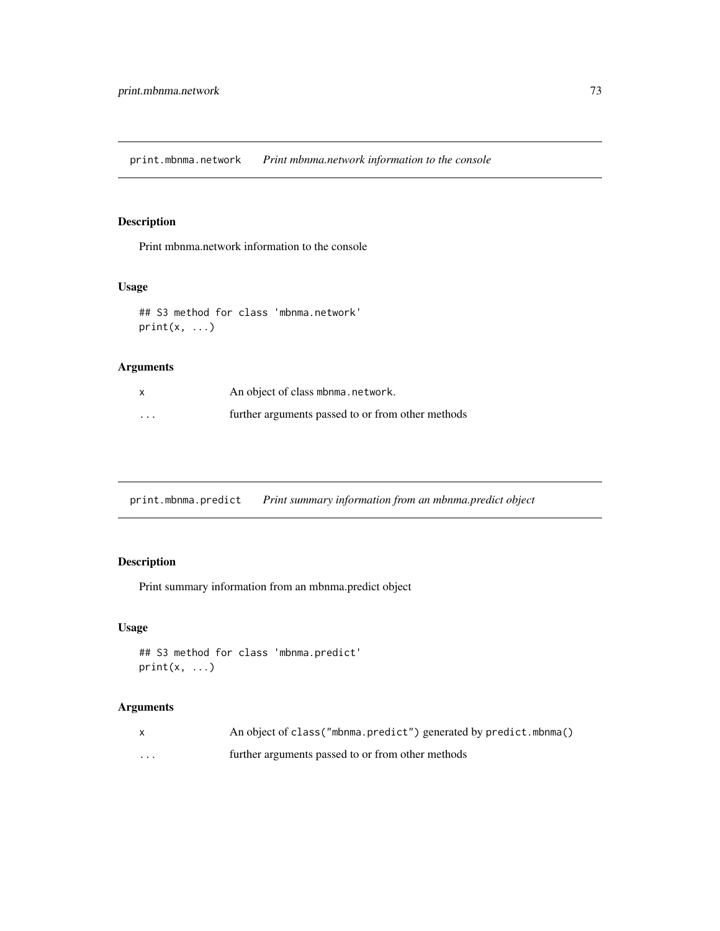<span id="page-72-0"></span>print.mbnma.network *Print mbnma.network information to the console*

# Description

Print mbnma.network information to the console

## Usage

```
## S3 method for class 'mbnma.network'
print(x, \ldots)
```
# Arguments

| x        | An object of class mbnma.network.                 |
|----------|---------------------------------------------------|
| $\cdots$ | further arguments passed to or from other methods |

print.mbnma.predict *Print summary information from an mbnma.predict object*

# Description

Print summary information from an mbnma.predict object

# Usage

```
## S3 method for class 'mbnma.predict'
print(x, \ldots)
```

|   | An object of class ("mbnma.predict") generated by predict.mbnma() |
|---|-------------------------------------------------------------------|
| . | further arguments passed to or from other methods                 |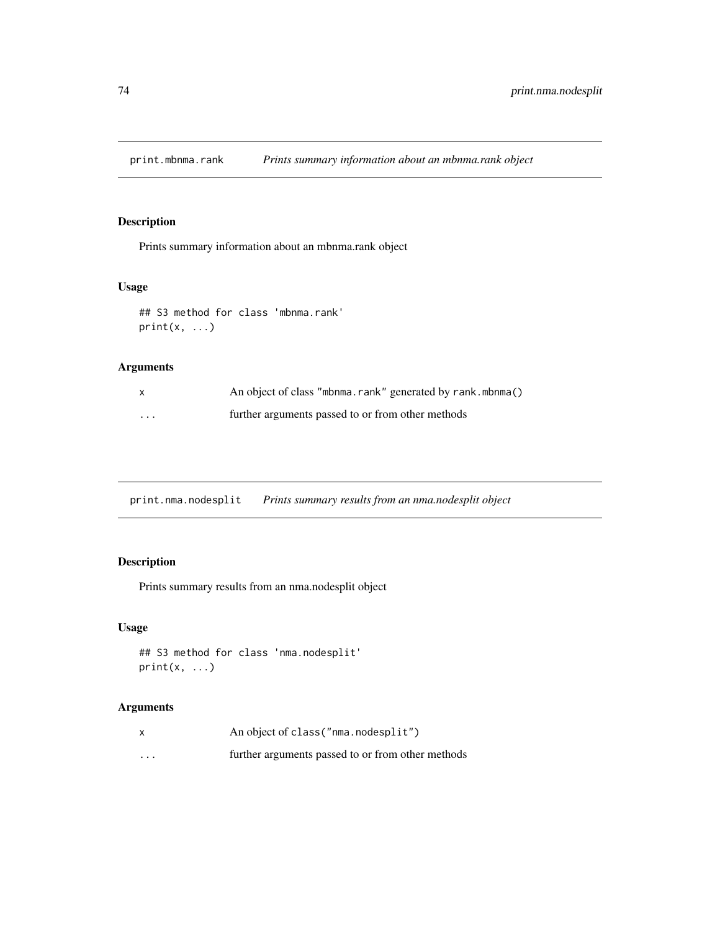<span id="page-73-0"></span>print.mbnma.rank *Prints summary information about an mbnma.rank object*

# Description

Prints summary information about an mbnma.rank object

## Usage

```
## S3 method for class 'mbnma.rank'
print(x, \ldots)
```
# Arguments

| X                       | An object of class "mbnma.rank" generated by rank.mbnma() |
|-------------------------|-----------------------------------------------------------|
| $\cdot$ $\cdot$ $\cdot$ | further arguments passed to or from other methods         |

print.nma.nodesplit *Prints summary results from an nma.nodesplit object*

# Description

Prints summary results from an nma.nodesplit object

# Usage

```
## S3 method for class 'nma.nodesplit'
print(x, \ldots)
```

| x        | An object of class ("nma.nodesplit")              |
|----------|---------------------------------------------------|
| $\cdots$ | further arguments passed to or from other methods |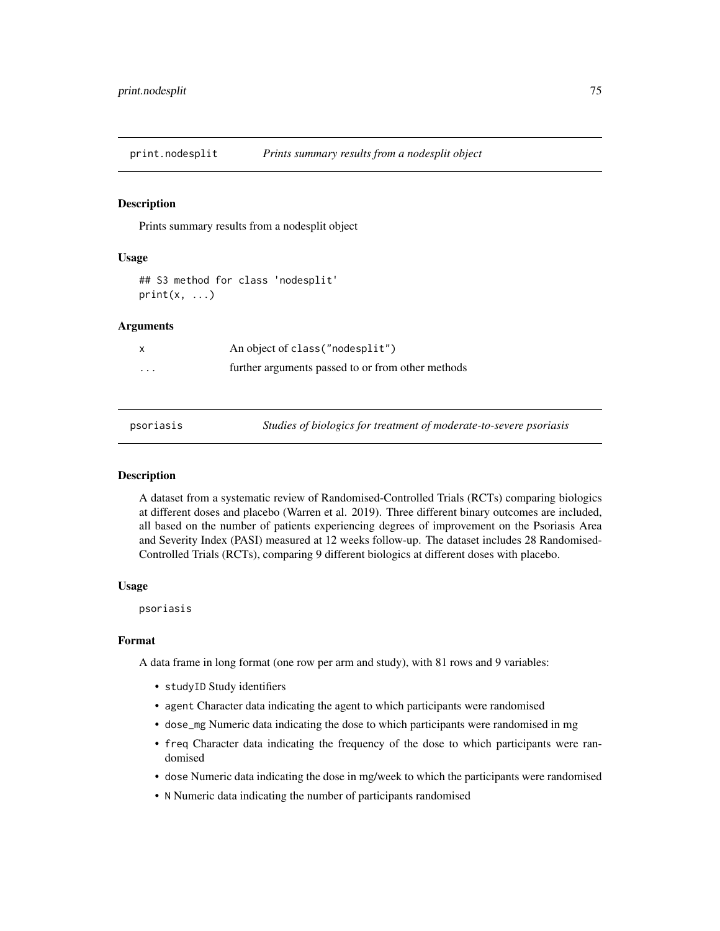<span id="page-74-0"></span>print.nodesplit *Prints summary results from a nodesplit object*

#### Description

Prints summary results from a nodesplit object

## Usage

```
## S3 method for class 'nodesplit'
print(x, \ldots)
```
#### Arguments

|          | An object of class ("nodesplit")                  |
|----------|---------------------------------------------------|
| $\cdots$ | further arguments passed to or from other methods |

psoriasis *Studies of biologics for treatment of moderate-to-severe psoriasis*

## **Description**

A dataset from a systematic review of Randomised-Controlled Trials (RCTs) comparing biologics at different doses and placebo (Warren et al. 2019). Three different binary outcomes are included, all based on the number of patients experiencing degrees of improvement on the Psoriasis Area and Severity Index (PASI) measured at 12 weeks follow-up. The dataset includes 28 Randomised-Controlled Trials (RCTs), comparing 9 different biologics at different doses with placebo.

## Usage

psoriasis

## Format

A data frame in long format (one row per arm and study), with 81 rows and 9 variables:

- studyID Study identifiers
- agent Character data indicating the agent to which participants were randomised
- dose\_mg Numeric data indicating the dose to which participants were randomised in mg
- freq Character data indicating the frequency of the dose to which participants were randomised
- dose Numeric data indicating the dose in mg/week to which the participants were randomised
- N Numeric data indicating the number of participants randomised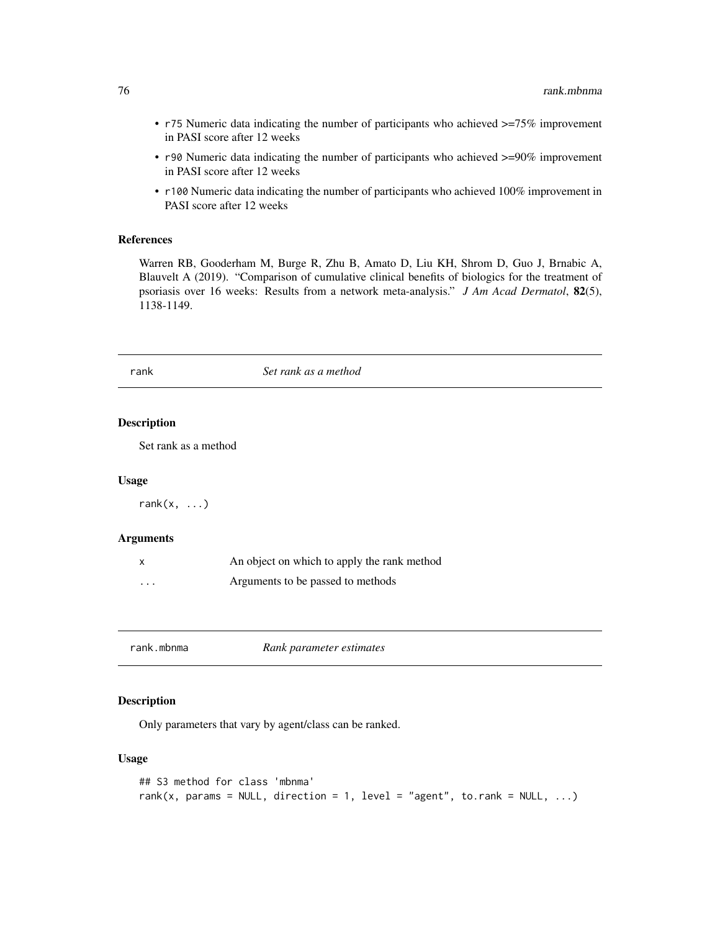- <span id="page-75-0"></span>• r75 Numeric data indicating the number of participants who achieved  $\geq$ =75% improvement in PASI score after 12 weeks
- r90 Numeric data indicating the number of participants who achieved  $\geq$ =90% improvement in PASI score after 12 weeks
- r100 Numeric data indicating the number of participants who achieved 100% improvement in PASI score after 12 weeks

# References

Warren RB, Gooderham M, Burge R, Zhu B, Amato D, Liu KH, Shrom D, Guo J, Brnabic A, Blauvelt A (2019). "Comparison of cumulative clinical benefits of biologics for the treatment of psoriasis over 16 weeks: Results from a network meta-analysis." *J Am Acad Dermatol*, 82(5), 1138-1149.

rank *Set rank as a method*

## Description

Set rank as a method

## Usage

 $rank(x, \ldots)$ 

#### Arguments

|                         | An object on which to apply the rank method |
|-------------------------|---------------------------------------------|
| $\cdot$ $\cdot$ $\cdot$ | Arguments to be passed to methods           |

rank.mbnma *Rank parameter estimates*

#### Description

Only parameters that vary by agent/class can be ranked.

### Usage

```
## S3 method for class 'mbnma'
rank(x, params = NULL, direction = 1, level = "agent", to.rank = NULL, ...)
```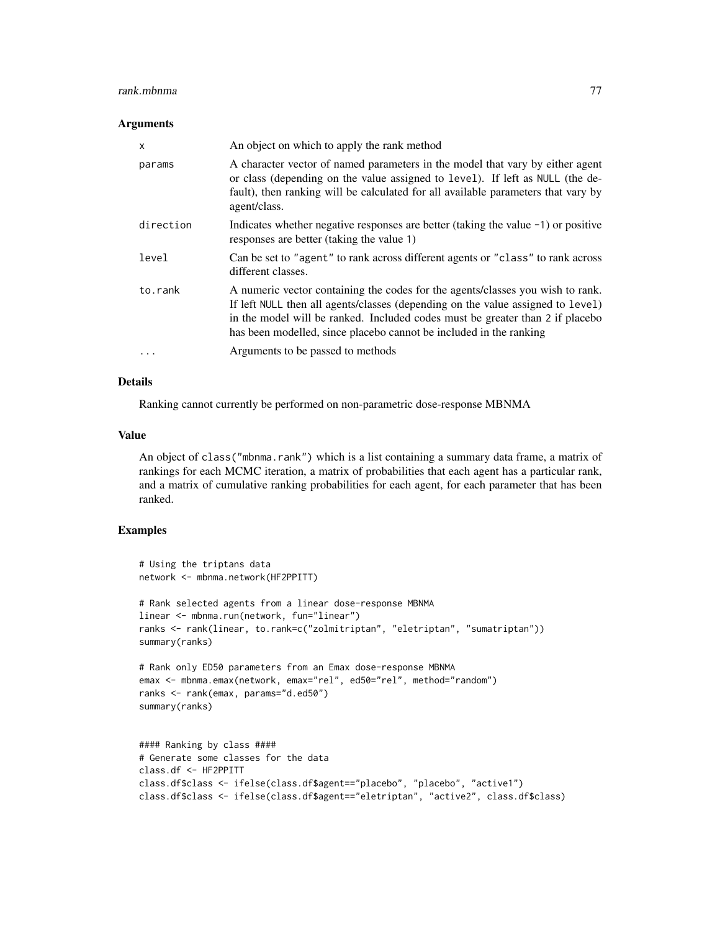#### rank.mbnma 77

#### **Arguments**

| $\mathsf{x}$ | An object on which to apply the rank method                                                                                                                                                                                                                                                                              |
|--------------|--------------------------------------------------------------------------------------------------------------------------------------------------------------------------------------------------------------------------------------------------------------------------------------------------------------------------|
| params       | A character vector of named parameters in the model that vary by either agent<br>or class (depending on the value assigned to level). If left as NULL (the de-<br>fault), then ranking will be calculated for all available parameters that vary by<br>agent/class.                                                      |
| direction    | Indicates whether negative responses are better (taking the value $-1$ ) or positive<br>responses are better (taking the value 1)                                                                                                                                                                                        |
| level        | Can be set to "agent" to rank across different agents or "class" to rank across<br>different classes.                                                                                                                                                                                                                    |
| to.rank      | A numeric vector containing the codes for the agents/classes you wish to rank.<br>If left NULL then all agents/classes (depending on the value assigned to level)<br>in the model will be ranked. Included codes must be greater than 2 if placebo<br>has been modelled, since placebo cannot be included in the ranking |
| $\ddotsc$    | Arguments to be passed to methods                                                                                                                                                                                                                                                                                        |

## Details

Ranking cannot currently be performed on non-parametric dose-response MBNMA

## Value

An object of class("mbnma.rank") which is a list containing a summary data frame, a matrix of rankings for each MCMC iteration, a matrix of probabilities that each agent has a particular rank, and a matrix of cumulative ranking probabilities for each agent, for each parameter that has been ranked.

## Examples

```
# Using the triptans data
network <- mbnma.network(HF2PPITT)
# Rank selected agents from a linear dose-response MBNMA
linear <- mbnma.run(network, fun="linear")
ranks <- rank(linear, to.rank=c("zolmitriptan", "eletriptan", "sumatriptan"))
summary(ranks)
# Rank only ED50 parameters from an Emax dose-response MBNMA
emax <- mbnma.emax(network, emax="rel", ed50="rel", method="random")
ranks <- rank(emax, params="d.ed50")
summary(ranks)
#### Ranking by class ####
# Generate some classes for the data
class.df <- HF2PPITT
class.df$class <- ifelse(class.df$agent=="placebo", "placebo", "active1")
class.df$class <- ifelse(class.df$agent=="eletriptan", "active2", class.df$class)
```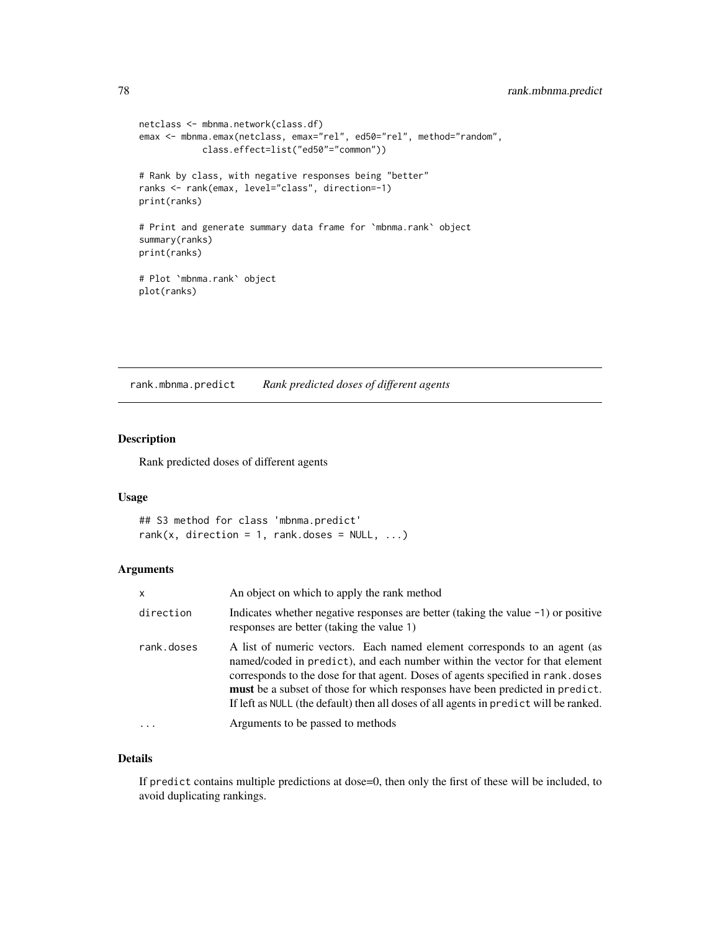```
netclass <- mbnma.network(class.df)
emax <- mbnma.emax(netclass, emax="rel", ed50="rel", method="random",
            class.effect=list("ed50"="common"))
# Rank by class, with negative responses being "better"
ranks <- rank(emax, level="class", direction=-1)
print(ranks)
# Print and generate summary data frame for `mbnma.rank` object
summary(ranks)
print(ranks)
# Plot `mbnma.rank` object
plot(ranks)
```
rank.mbnma.predict *Rank predicted doses of different agents*

# Description

Rank predicted doses of different agents

# Usage

```
## S3 method for class 'mbnma.predict'
rank(x, direction = 1, rank.doses = NULL, ...)
```
## Arguments

| $\mathsf{x}$ | An object on which to apply the rank method                                                                                                                                                                                                                                                                                                                                                                            |
|--------------|------------------------------------------------------------------------------------------------------------------------------------------------------------------------------------------------------------------------------------------------------------------------------------------------------------------------------------------------------------------------------------------------------------------------|
| direction    | Indicates whether negative responses are better (taking the value $-1$ ) or positive<br>responses are better (taking the value 1)                                                                                                                                                                                                                                                                                      |
| rank.doses   | A list of numeric vectors. Each named element corresponds to an agent (as<br>named/coded in predict), and each number within the vector for that element<br>corresponds to the dose for that agent. Doses of agents specified in rank, doses<br>must be a subset of those for which responses have been predicted in predict.<br>If left as NULL (the default) then all doses of all agents in predict will be ranked. |
|              | Arguments to be passed to methods                                                                                                                                                                                                                                                                                                                                                                                      |

#### Details

If predict contains multiple predictions at dose=0, then only the first of these will be included, to avoid duplicating rankings.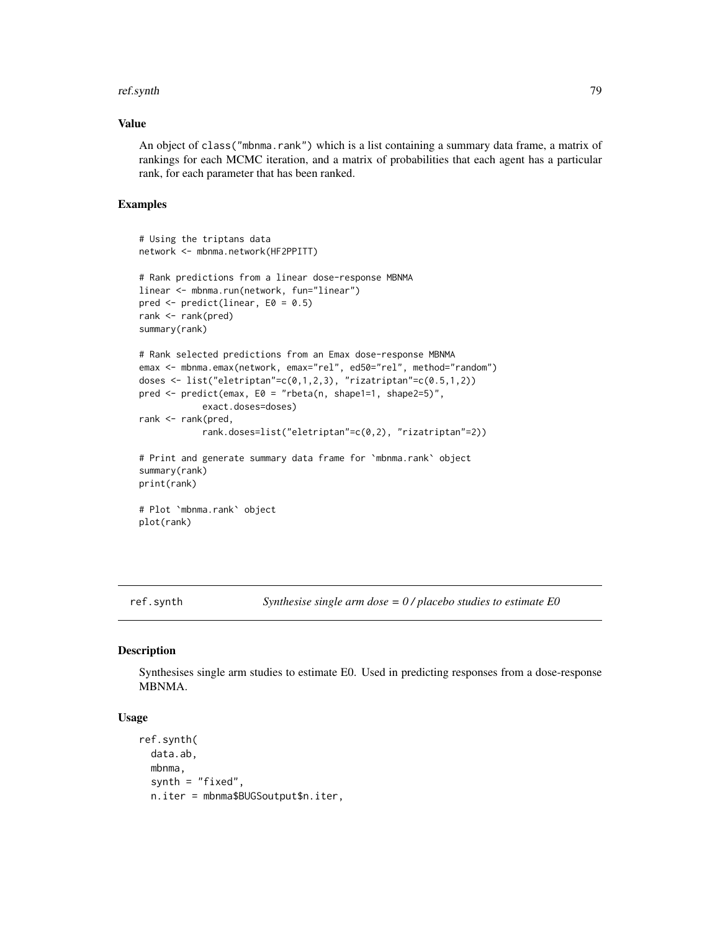#### <span id="page-78-1"></span>ref.synth 79

## Value

An object of class("mbnma.rank") which is a list containing a summary data frame, a matrix of rankings for each MCMC iteration, and a matrix of probabilities that each agent has a particular rank, for each parameter that has been ranked.

## Examples

```
# Using the triptans data
network <- mbnma.network(HF2PPITT)
# Rank predictions from a linear dose-response MBNMA
linear <- mbnma.run(network, fun="linear")
pred \leq predict(linear, E0 = 0.5)
rank <- rank(pred)
summary(rank)
# Rank selected predictions from an Emax dose-response MBNMA
emax <- mbnma.emax(network, emax="rel", ed50="rel", method="random")
doses <- list("eletriptan"=c(0,1,2,3), "rizatriptan"=c(0.5,1,2))
pred <- predict(emax, E0 = "rbeta(n, shape1=1, shape2=5)",
            exact.doses=doses)
rank <- rank(pred,
            rank.doses=list("eletriptan"=c(0,2), "rizatriptan"=2))
# Print and generate summary data frame for `mbnma.rank` object
summary(rank)
print(rank)
# Plot `mbnma.rank` object
plot(rank)
```
<span id="page-78-0"></span>ref.synth *Synthesise single arm dose = 0 / placebo studies to estimate E0*

## Description

Synthesises single arm studies to estimate E0. Used in predicting responses from a dose-response MBNMA.

## Usage

```
ref.synth(
  data.ab,
 mbnma,
  synth = "fixed",
  n.iter = mbnma$BUGSoutput$n.iter,
```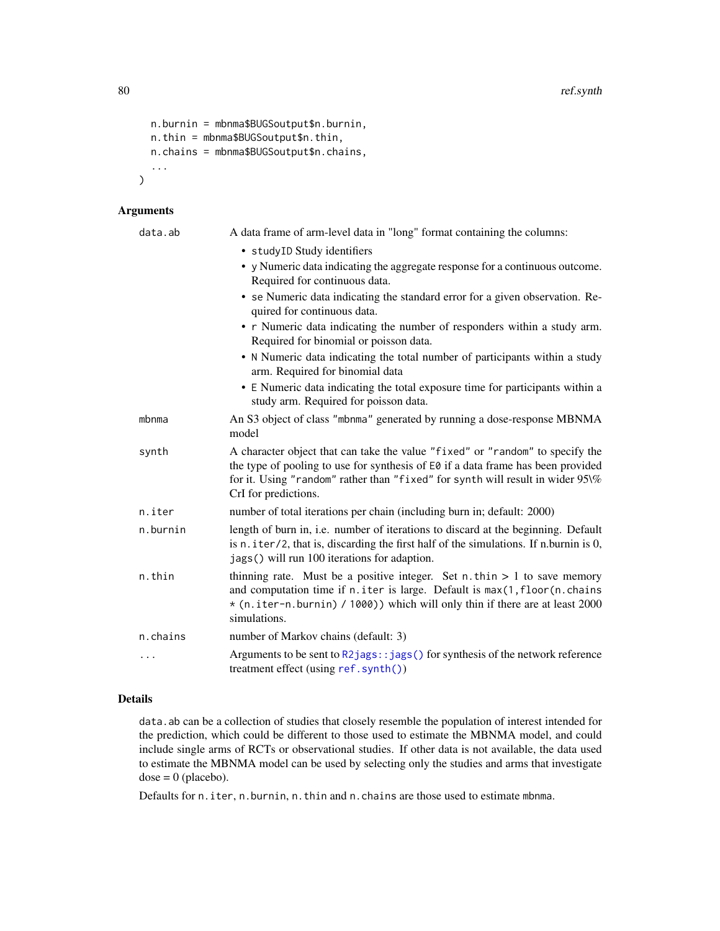```
n.burnin = mbnma$BUGSoutput$n.burnin,
  n.thin = mbnma$BUGSoutput$n.thin,
  n.chains = mbnma$BUGSoutput$n.chains,
  ...
\mathcal{E}
```
## Arguments

| data.ab  | A data frame of arm-level data in "long" format containing the columns:                                                                                                                                                                                                     |
|----------|-----------------------------------------------------------------------------------------------------------------------------------------------------------------------------------------------------------------------------------------------------------------------------|
|          | • studyID Study identifiers                                                                                                                                                                                                                                                 |
|          | • y Numeric data indicating the aggregate response for a continuous outcome.<br>Required for continuous data.                                                                                                                                                               |
|          | • se Numeric data indicating the standard error for a given observation. Re-<br>quired for continuous data.                                                                                                                                                                 |
|          | • r Numeric data indicating the number of responders within a study arm.<br>Required for binomial or poisson data.                                                                                                                                                          |
|          | • N Numeric data indicating the total number of participants within a study<br>arm. Required for binomial data                                                                                                                                                              |
|          | • E Numeric data indicating the total exposure time for participants within a<br>study arm. Required for poisson data.                                                                                                                                                      |
| mbnma    | An S3 object of class "mbnma" generated by running a dose-response MBNMA<br>model                                                                                                                                                                                           |
| synth    | A character object that can take the value "fixed" or "random" to specify the<br>the type of pooling to use for synthesis of E0 if a data frame has been provided<br>for it. Using "random" rather than "fixed" for synth will result in wider 95\%<br>CrI for predictions. |
| n.iter   | number of total iterations per chain (including burn in; default: 2000)                                                                                                                                                                                                     |
| n.burnin | length of burn in, i.e. number of iterations to discard at the beginning. Default<br>is $n$ . iter/2, that is, discarding the first half of the simulations. If n.burnin is $0$ ,<br>jags() will run 100 iterations for adaption.                                           |
| n.thin   | thinning rate. Must be a positive integer. Set $n$ . thin $> 1$ to save memory<br>and computation time if n.iter is large. Default is max(1,floor(n.chains<br>* (n.iter-n.burnin) / 1000) which will only thin if there are at least 2000<br>simulations.                   |
| n.chains | number of Markov chains (default: 3)                                                                                                                                                                                                                                        |
| $\cdots$ | Arguments to be sent to $R2jags: jags()$ for synthesis of the network reference<br>treatment effect (using ref. synth())                                                                                                                                                    |

# Details

data.ab can be a collection of studies that closely resemble the population of interest intended for the prediction, which could be different to those used to estimate the MBNMA model, and could include single arms of RCTs or observational studies. If other data is not available, the data used to estimate the MBNMA model can be used by selecting only the studies and arms that investigate  $dose = 0$  (placebo).

Defaults for n.iter, n.burnin, n.thin and n.chains are those used to estimate mbnma.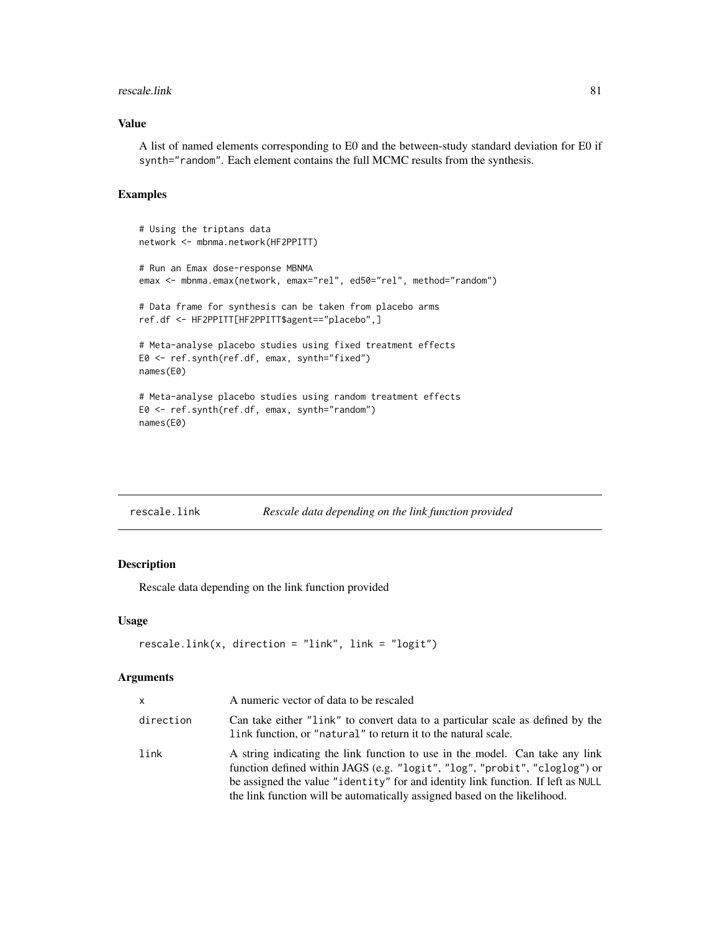#### <span id="page-80-0"></span>rescale.link 81

## Value

A list of named elements corresponding to E0 and the between-study standard deviation for E0 if synth="random". Each element contains the full MCMC results from the synthesis.

#### Examples

```
# Using the triptans data
network <- mbnma.network(HF2PPITT)
# Run an Emax dose-response MBNMA
emax <- mbnma.emax(network, emax="rel", ed50="rel", method="random")
# Data frame for synthesis can be taken from placebo arms
ref.df <- HF2PPITT[HF2PPITT$agent=="placebo",]
# Meta-analyse placebo studies using fixed treatment effects
E0 <- ref.synth(ref.df, emax, synth="fixed")
names(E0)
# Meta-analyse placebo studies using random treatment effects
E0 <- ref.synth(ref.df, emax, synth="random")
names(E0)
```

| rescale.link | Rescale data depending on the link function provided |  |
|--------------|------------------------------------------------------|--|
|--------------|------------------------------------------------------|--|

# Description

Rescale data depending on the link function provided

# Usage

```
rescaleuink(x, direction = "link", link = "logit")
```

| $\mathsf{x}$ | A numeric vector of data to be rescaled                                                                                                                                                                                                                                                                                     |
|--------------|-----------------------------------------------------------------------------------------------------------------------------------------------------------------------------------------------------------------------------------------------------------------------------------------------------------------------------|
| direction    | Can take either "link" to convert data to a particular scale as defined by the<br>link function, or "natural" to return it to the natural scale.                                                                                                                                                                            |
| link         | A string indicating the link function to use in the model. Can take any link<br>function defined within JAGS (e.g. "logit", "log", "probit", "cloglog") or<br>be assigned the value "identity" for and identity link function. If left as NULL<br>the link function will be automatically assigned based on the likelihood. |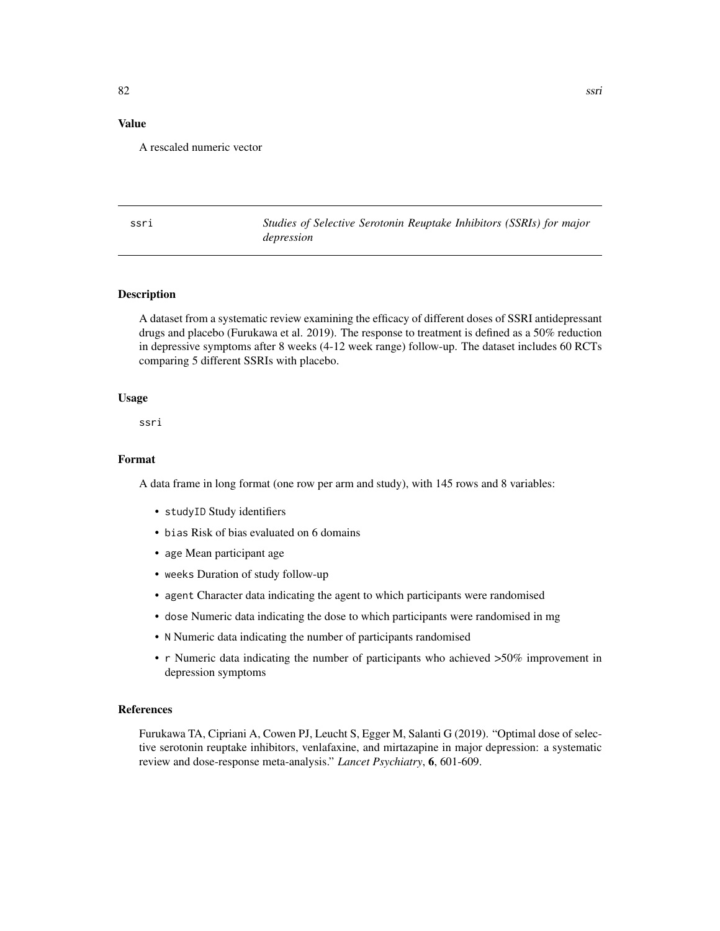# Value

A rescaled numeric vector

ssri *Studies of Selective Serotonin Reuptake Inhibitors (SSRIs) for major depression*

## **Description**

A dataset from a systematic review examining the efficacy of different doses of SSRI antidepressant drugs and placebo (Furukawa et al. 2019). The response to treatment is defined as a 50% reduction in depressive symptoms after 8 weeks (4-12 week range) follow-up. The dataset includes 60 RCTs comparing 5 different SSRIs with placebo.

#### Usage

ssri

## Format

A data frame in long format (one row per arm and study), with 145 rows and 8 variables:

- studyID Study identifiers
- bias Risk of bias evaluated on 6 domains
- age Mean participant age
- weeks Duration of study follow-up
- agent Character data indicating the agent to which participants were randomised
- dose Numeric data indicating the dose to which participants were randomised in mg
- N Numeric data indicating the number of participants randomised
- r Numeric data indicating the number of participants who achieved >50% improvement in depression symptoms

#### References

Furukawa TA, Cipriani A, Cowen PJ, Leucht S, Egger M, Salanti G (2019). "Optimal dose of selective serotonin reuptake inhibitors, venlafaxine, and mirtazapine in major depression: a systematic review and dose-response meta-analysis." *Lancet Psychiatry*, 6, 601-609.

<span id="page-81-0"></span>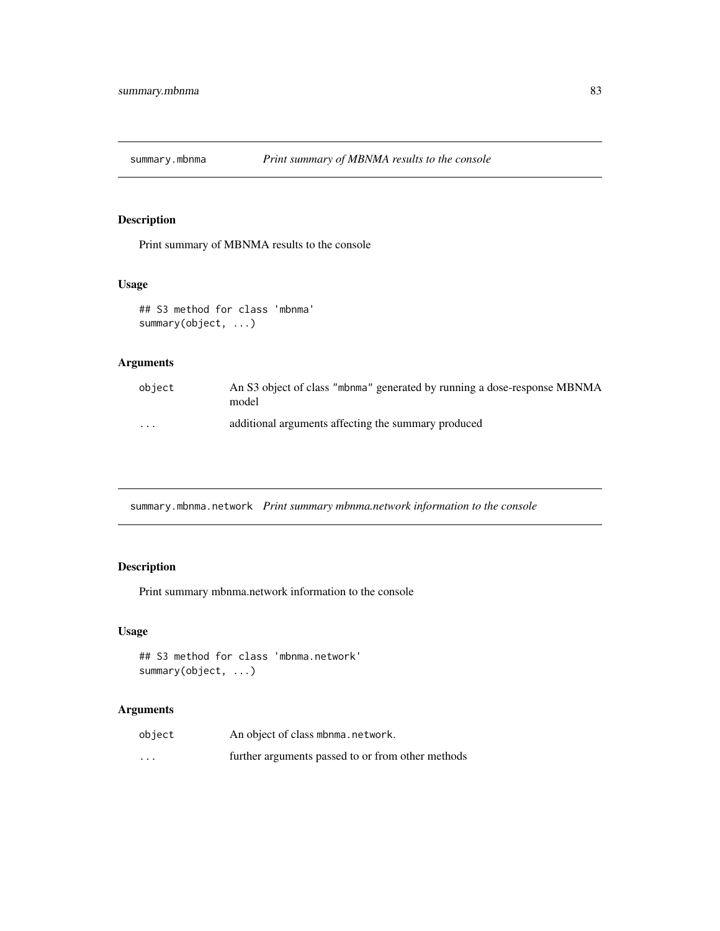<span id="page-82-0"></span>

# Description

Print summary of MBNMA results to the console

# Usage

```
## S3 method for class 'mbnma'
summary(object, ...)
```
# Arguments

| obiect                  | An S3 object of class "mbnma" generated by running a dose-response MBNMA<br>model |
|-------------------------|-----------------------------------------------------------------------------------|
| $\cdot$ $\cdot$ $\cdot$ | additional arguments affecting the summary produced                               |

summary.mbnma.network *Print summary mbnma.network information to the console*

# Description

Print summary mbnma.network information to the console

## Usage

```
## S3 method for class 'mbnma.network'
summary(object, ...)
```

| object   | An object of class mbnma.network.                 |
|----------|---------------------------------------------------|
| $\cdots$ | further arguments passed to or from other methods |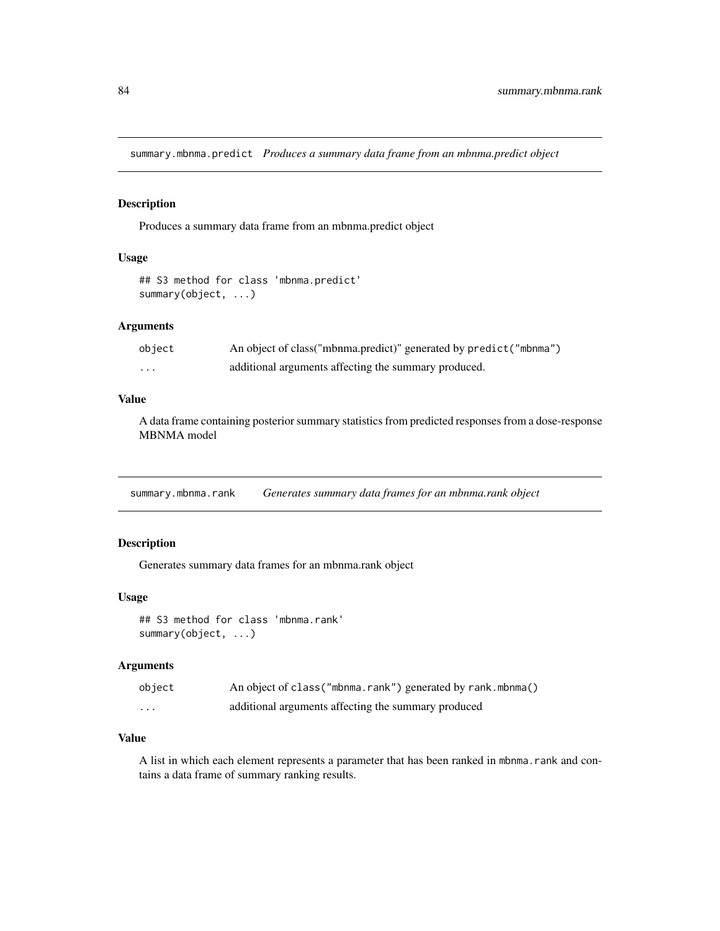<span id="page-83-0"></span>summary.mbnma.predict *Produces a summary data frame from an mbnma.predict object*

## Description

Produces a summary data frame from an mbnma.predict object

# Usage

```
## S3 method for class 'mbnma.predict'
summary(object, ...)
```
#### Arguments

| object | An object of class("mbnma.predict)" generated by predict("mbnma") |
|--------|-------------------------------------------------------------------|
| .      | additional arguments affecting the summary produced.              |

#### Value

A data frame containing posterior summary statistics from predicted responses from a dose-response MBNMA model

summary.mbnma.rank *Generates summary data frames for an mbnma.rank object*

# Description

Generates summary data frames for an mbnma.rank object

#### Usage

## S3 method for class 'mbnma.rank' summary(object, ...)

# Arguments

| object   | An object of class ("mbnma.rank") generated by rank.mbnma() |
|----------|-------------------------------------------------------------|
| $\cdots$ | additional arguments affecting the summary produced         |

#### Value

A list in which each element represents a parameter that has been ranked in mbnma.rank and contains a data frame of summary ranking results.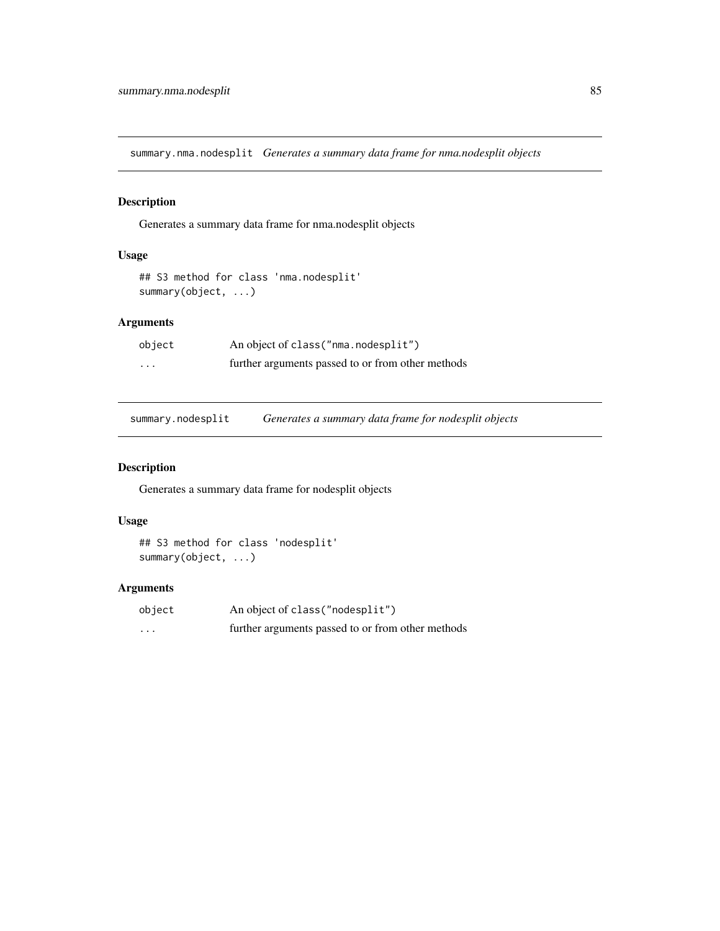<span id="page-84-0"></span>summary.nma.nodesplit *Generates a summary data frame for nma.nodesplit objects*

# Description

Generates a summary data frame for nma.nodesplit objects

# Usage

```
## S3 method for class 'nma.nodesplit'
summary(object, ...)
```
# Arguments

| object   | An object of class ("nma.nodesplit")              |
|----------|---------------------------------------------------|
| $\cdots$ | further arguments passed to or from other methods |

summary.nodesplit *Generates a summary data frame for nodesplit objects*

## Description

Generates a summary data frame for nodesplit objects

#### Usage

```
## S3 method for class 'nodesplit'
summary(object, ...)
```

| object   | An object of class ("nodesplit")                  |
|----------|---------------------------------------------------|
| $\cdots$ | further arguments passed to or from other methods |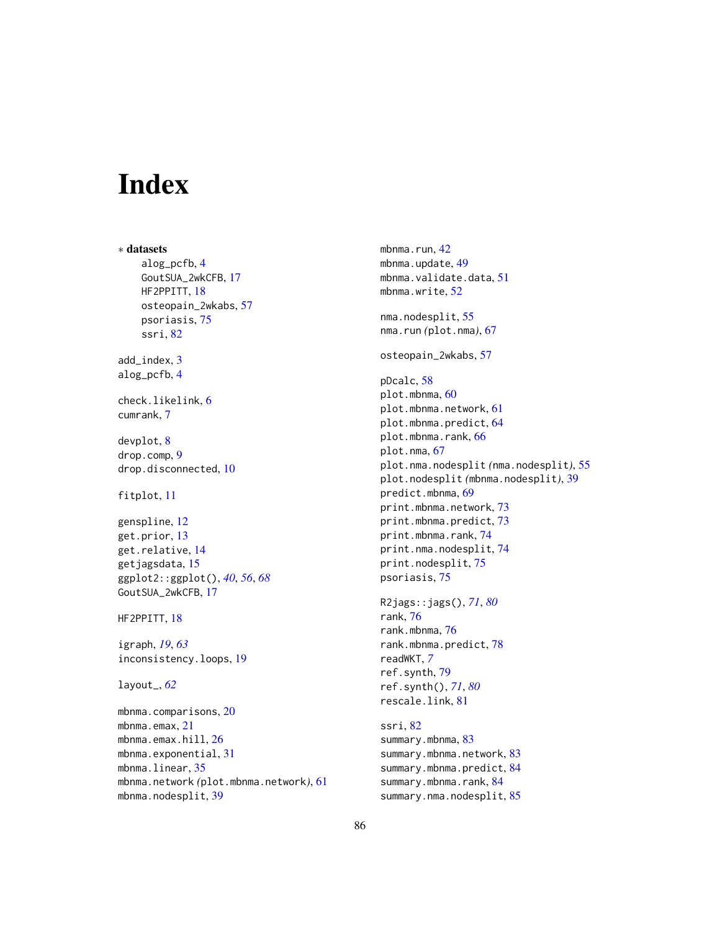# **Index**

∗ datasets alog\_pcfb, [4](#page-3-0) GoutSUA\_2wkCFB, [17](#page-16-0) HF2PPITT, [18](#page-17-0) osteopain\_2wkabs, [57](#page-56-0) psoriasis, [75](#page-74-0) ssri, [82](#page-81-0) add\_index, [3](#page-2-0) alog\_pcfb, [4](#page-3-0) check.likelink, [6](#page-5-0) cumrank, [7](#page-6-0) devplot, [8](#page-7-0) drop.comp, [9](#page-8-0) drop.disconnected, [10](#page-9-0) fitplot, [11](#page-10-0) genspline, [12](#page-11-0) get.prior, [13](#page-12-0) get.relative, [14](#page-13-0) getjagsdata, [15](#page-14-0) ggplot2::ggplot(), *[40](#page-39-0)*, *[56](#page-55-0)*, *[68](#page-67-0)* GoutSUA\_2wkCFB, [17](#page-16-0) HF2PPITT, [18](#page-17-0) igraph, *[19](#page-18-0)*, *[63](#page-62-0)* inconsistency.loops, [19](#page-18-0) layout\_, *[62](#page-61-0)* mbnma.comparisons, [20](#page-19-0) mbnma.emax, [21](#page-20-0) mbnma.emax.hill, [26](#page-25-0) mbnma.exponential, [31](#page-30-0) mbnma.linear, [35](#page-34-0) mbnma.network *(*plot.mbnma.network*)*, [61](#page-60-0)

mbnma.nodesplit, [39](#page-38-0)

mbnma.run, [42](#page-41-0) mbnma.update, [49](#page-48-0) mbnma.validate.data, [51](#page-50-0) mbnma.write, [52](#page-51-0) nma.nodesplit, [55](#page-54-0) nma.run *(*plot.nma*)*, [67](#page-66-0) osteopain\_2wkabs, [57](#page-56-0) pDcalc, [58](#page-57-0) plot.mbnma, [60](#page-59-0) plot.mbnma.network, [61](#page-60-0) plot.mbnma.predict, [64](#page-63-0) plot.mbnma.rank, [66](#page-65-0) plot.nma, [67](#page-66-0) plot.nma.nodesplit *(*nma.nodesplit*)*, [55](#page-54-0) plot.nodesplit *(*mbnma.nodesplit*)*, [39](#page-38-0) predict.mbnma, [69](#page-68-0) print.mbnma.network, [73](#page-72-0) print.mbnma.predict, [73](#page-72-0) print.mbnma.rank, [74](#page-73-0) print.nma.nodesplit, [74](#page-73-0) print.nodesplit, [75](#page-74-0) psoriasis, [75](#page-74-0) R2jags::jags(), *[71](#page-70-0)*, *[80](#page-79-0)* rank, [76](#page-75-0) rank.mbnma, [76](#page-75-0) rank.mbnma.predict, [78](#page-77-0) readWKT, *[7](#page-6-0)* ref.synth, [79](#page-78-1) ref.synth(), *[71](#page-70-0)*, *[80](#page-79-0)* rescale.link, [81](#page-80-0) ssri, [82](#page-81-0) summary.mbnma, [83](#page-82-0) summary.mbnma.network, [83](#page-82-0) summary.mbnma.predict, [84](#page-83-0) summary.mbnma.rank, [84](#page-83-0) summary.nma.nodesplit, [85](#page-84-0)